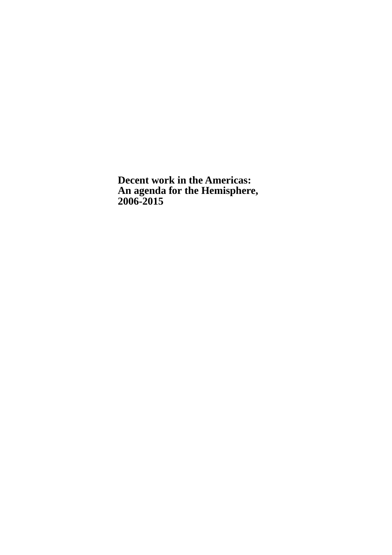**Decent work in the Americas: An agenda for the Hemisphere, 2006-2015**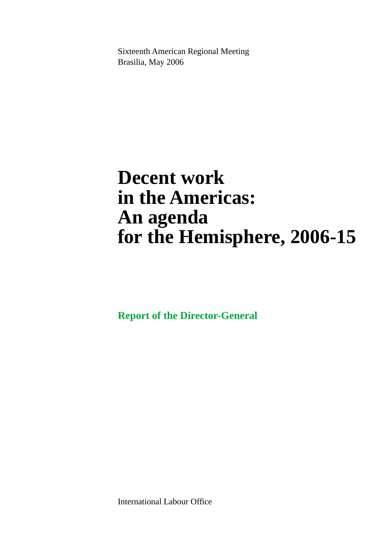Sixteenth American Regional Meeting Brasilia, May 2006

# **Decent work in the Americas: An agenda for the Hemisphere, 2006-15**

**Report of the Director-General**

International Labour Office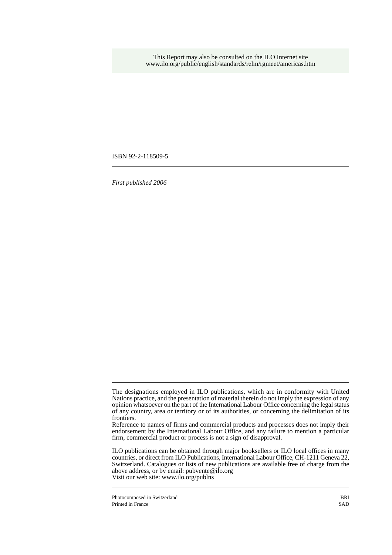This Report may also be consulted on the ILO Internet site www.ilo.org/public/english/standards/relm/rgmeet/americas.htm

ISBN 92-2-118509-5

*First published 2006*

The designations employed in ILO publications, which are in conformity with United Nations practice, and the presentation of material therein do not imply the expression of any opinion whatsoever on the part of the International Labour Office concerning the legal status of any country, area or territory or of its authorities, or concerning the delimitation of its frontiers.

Reference to names of firms and commercial products and processes does not imply their endorsement by the International Labour Office, and any failure to mention a particular firm, commercial product or process is not a sign of disapproval.

ILO publications can be obtained through major booksellers or ILO local offices in many countries, or direct from ILO Publications, International Labour Office, CH-1211 Geneva 22, Switzerland. Catalogues or lists of new publications are available free of charge from the above address, or by email: pubvente@ilo.org Visit our web site: www.ilo.org/publns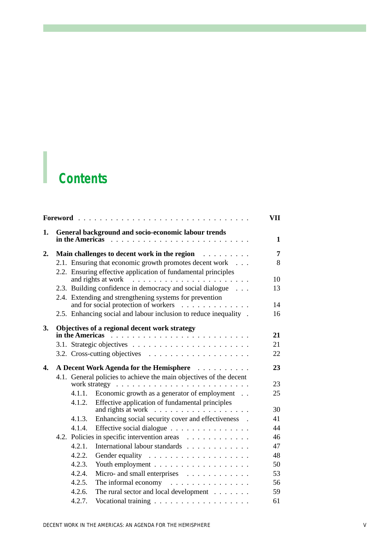# *Contents*

| 1.           | in the Americas                                                    | General background and socio-economic labour trends                                             | 1        |  |  |  |  |
|--------------|--------------------------------------------------------------------|-------------------------------------------------------------------------------------------------|----------|--|--|--|--|
|              |                                                                    |                                                                                                 |          |  |  |  |  |
| 2.           |                                                                    | Main challenges to decent work in the region                                                    | 7        |  |  |  |  |
|              |                                                                    | 2.1. Ensuring that economic growth promotes decent work                                         | 8        |  |  |  |  |
|              |                                                                    | 2.2. Ensuring effective application of fundamental principles                                   |          |  |  |  |  |
|              |                                                                    |                                                                                                 | 10<br>13 |  |  |  |  |
|              | 2.3. Building confidence in democracy and social dialogue          |                                                                                                 |          |  |  |  |  |
|              |                                                                    | 2.4. Extending and strengthening systems for prevention<br>and for social protection of workers | 14       |  |  |  |  |
|              |                                                                    | 2.5. Enhancing social and labour inclusion to reduce inequality .                               | 16       |  |  |  |  |
|              |                                                                    |                                                                                                 |          |  |  |  |  |
| 3.           |                                                                    | Objectives of a regional decent work strategy                                                   |          |  |  |  |  |
|              |                                                                    |                                                                                                 | 21       |  |  |  |  |
|              |                                                                    |                                                                                                 | 21       |  |  |  |  |
|              |                                                                    |                                                                                                 | 22       |  |  |  |  |
| $\mathbf{4}$ |                                                                    | A Decent Work Agenda for the Hemisphere                                                         | 23       |  |  |  |  |
|              | 4.1. General policies to achieve the main objectives of the decent |                                                                                                 |          |  |  |  |  |
|              |                                                                    |                                                                                                 | 23       |  |  |  |  |
|              | 4.1.1.                                                             | Economic growth as a generator of employment                                                    | 25       |  |  |  |  |
|              | 4.1.2.                                                             | Effective application of fundamental principles                                                 |          |  |  |  |  |
|              |                                                                    | and rights at work $\dots \dots \dots \dots \dots$                                              | 30       |  |  |  |  |
|              | 4.1.3.                                                             | Enhancing social security cover and effectiveness .                                             | 41       |  |  |  |  |
|              | 4.1.4.                                                             | Effective social dialogue                                                                       | 44       |  |  |  |  |
|              |                                                                    | 4.2. Policies in specific intervention areas                                                    | 46       |  |  |  |  |
|              | 4.2.1.                                                             | International labour standards                                                                  | 47       |  |  |  |  |
|              | 4.2.2.                                                             |                                                                                                 | 48       |  |  |  |  |
|              | 4.2.3.                                                             |                                                                                                 | 50       |  |  |  |  |
|              | 4.2.4.                                                             | Micro- and small enterprises                                                                    | 53       |  |  |  |  |
|              | 4.2.5.                                                             | The informal economy $\dots \dots \dots \dots \dots$                                            | 56       |  |  |  |  |
|              | 4.2.6.                                                             | The rural sector and local development                                                          | 59       |  |  |  |  |
|              | 4.2.7.                                                             |                                                                                                 | 61       |  |  |  |  |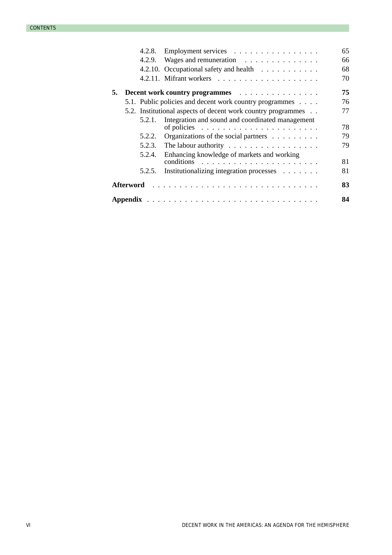|    |                                                              | 4.2.8. | Employment services                                                                                                | 65 |  |
|----|--------------------------------------------------------------|--------|--------------------------------------------------------------------------------------------------------------------|----|--|
|    |                                                              |        | 4.2.9. Wages and remuneration                                                                                      | 66 |  |
|    |                                                              |        | 4.2.10. Occupational safety and health                                                                             | 68 |  |
|    |                                                              |        |                                                                                                                    | 70 |  |
| 5. |                                                              |        | Decent work country programmes                                                                                     | 75 |  |
|    |                                                              |        | 5.1. Public policies and decent work country programmes                                                            | 76 |  |
|    | 5.2. Institutional aspects of decent work country programmes |        |                                                                                                                    |    |  |
|    |                                                              | 5.2.1. | Integration and sound and coordinated management<br>of policies $\ldots \ldots \ldots \ldots \ldots \ldots \ldots$ | 78 |  |
|    |                                                              | 5.2.2. | Organizations of the social partners                                                                               | 79 |  |
|    |                                                              |        |                                                                                                                    | 79 |  |
|    |                                                              | 5.2.4. | Enhancing knowledge of markets and working                                                                         | 81 |  |
|    |                                                              | 5.2.5. | Institutionalizing integration processes                                                                           | 81 |  |
| 83 |                                                              |        |                                                                                                                    |    |  |
| 84 |                                                              |        |                                                                                                                    |    |  |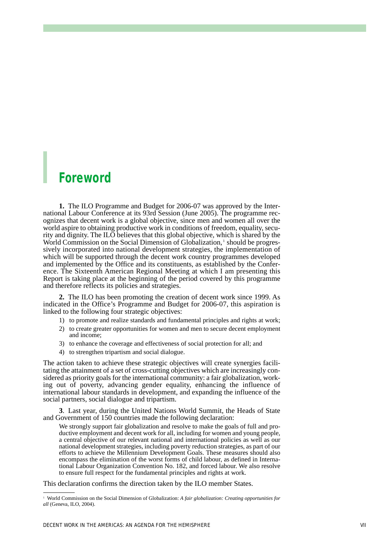## *Foreword*

**1.** The ILO Programme and Budget for 2006-07 was approved by the International Labour Conference at its 93rd Session (June 2005). The programme recognizes that decent work is a global objective, since men and women all over the world aspire to obtaining productive work in conditions of freedom, equality, security and dignity. The ILO believes that this global objective, which is shared by the World Commission on the Social Dimension of Globalization,<sup>1</sup> should be progressively incorporated into national development strategies, the implementation of which will be supported through the decent work country programmes developed and implemented by the Office and its constituents, as established by the Conference. The Sixteenth American Regional Meeting at which I am presenting this Report is taking place at the beginning of the period covered by this programme and therefore reflects its policies and strategies.

**2.** The ILO has been promoting the creation of decent work since 1999. As indicated in the Office's Programme and Budget for 2006-07, this aspiration is linked to the following four strategic objectives:

- 1) to promote and realize standards and fundamental principles and rights at work;
- 2) to create greater opportunities for women and men to secure decent employment and income;
- 3) to enhance the coverage and effectiveness of social protection for all; and
- 4) to strengthen tripartism and social dialogue.

The action taken to achieve these strategic objectives will create synergies facilitating the attainment of a set of cross-cutting objectives which are increasingly considered as priority goals for the international community: a fair globalization, working out of poverty, advancing gender equality, enhancing the influence of international labour standards in development, and expanding the influence of the social partners, social dialogue and tripartism.

**3**. Last year, during the United Nations World Summit, the Heads of State and Government of 150 countries made the following declaration:

We strongly support fair globalization and resolve to make the goals of full and productive employment and decent work for all, including for women and young people, a central objective of our relevant national and international policies as well as our national development strategies, including poverty reduction strategies, as part of our efforts to achieve the Millennium Development Goals. These measures should also encompass the elimination of the worst forms of child labour, as defined in International Labour Organization Convention No. 182, and forced labour. We also resolve to ensure full respect for the fundamental principles and rights at work.

This declaration confirms the direction taken by the ILO member States.

<sup>1</sup> World Commission on the Social Dimension of Globalization: *A fair globalization: Creating opportunities for all* (Geneva, ILO, 2004).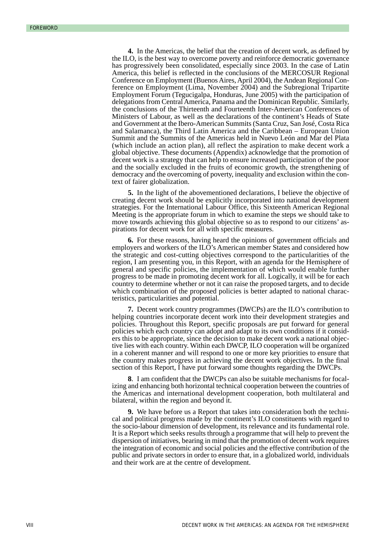**4.** In the Americas, the belief that the creation of decent work, as defined by the ILO, is the best way to overcome poverty and reinforce democratic governance has progressively been consolidated, especially since 2003. In the case of Latin America, this belief is reflected in the conclusions of the MERCOSUR Regional Conference on Employment (Buenos Aires, April 2004), the Andean Regional Conference on Employment (Lima, November 2004) and the Subregional Tripartite Employment Forum (Tegucigalpa, Honduras, June 2005) with the participation of delegations from Central America, Panama and the Dominican Republic. Similarly, the conclusions of the Thirteenth and Fourteenth Inter-American Conferences of Ministers of Labour, as well as the declarations of the continent's Heads of State and Government at the Ibero-American Summits (Santa Cruz, San José, Costa Rica and Salamanca), the Third Latin America and the Caribbean – European Union Summit and the Summits of the Americas held in Nuevo León and Mar del Plata (which include an action plan), all reflect the aspiration to make decent work a global objective. These documents (Appendix) acknowledge that the promotion of decent work is a strategy that can help to ensure increased participation of the poor and the socially excluded in the fruits of economic growth, the strengthening of democracy and the overcoming of poverty, inequality and exclusion within the context of fairer globalization.

**5.** In the light of the abovementioned declarations, I believe the objective of creating decent work should be explicitly incorporated into national development strategies. For the International Labour Office, this Sixteenth American Regional Meeting is the appropriate forum in which to examine the steps we should take to move towards achieving this global objective so as to respond to our citizens' aspirations for decent work for all with specific measures.

**6.** For these reasons, having heard the opinions of government officials and employers and workers of the ILO's American member States and considered how the strategic and cost-cutting objectives correspond to the particularities of the region, I am presenting you, in this Report, with an agenda for the Hemisphere of general and specific policies, the implementation of which would enable further progress to be made in promoting decent work for all. Logically, it will be for each country to determine whether or not it can raise the proposed targets, and to decide which combination of the proposed policies is better adapted to national characteristics, particularities and potential.

**7.** Decent work country programmes (DWCPs) are the ILO's contribution to helping countries incorporate decent work into their development strategies and policies. Throughout this Report, specific proposals are put forward for general policies which each country can adopt and adapt to its own conditions if it considers this to be appropriate, since the decision to make decent work a national objective lies with each country. Within each DWCP, ILO cooperation will be organized in a coherent manner and will respond to one or more key priorities to ensure that the country makes progress in achieving the decent work objectives. In the final section of this Report, I have put forward some thoughts regarding the DWCPs.

**8**. I am confident that the DWCPs can also be suitable mechanisms for focalizing and enhancing both horizontal technical cooperation between the countries of the Americas and international development cooperation, both multilateral and bilateral, within the region and beyond it.

**9.** We have before us a Report that takes into consideration both the technical and political progress made by the continent's ILO constituents with regard to the socio-labour dimension of development, its relevance and its fundamental role. It is a Report which seeks results through a programme that will help to prevent the dispersion of initiatives, bearing in mind that the promotion of decent work requires the integration of economic and social policies and the effective contribution of the public and private sectors in order to ensure that, in a globalized world, individuals and their work are at the centre of development.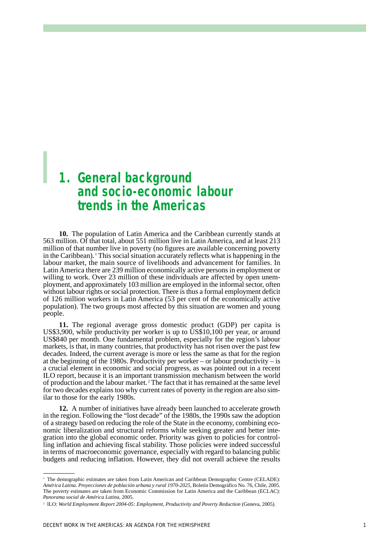## *1. General background and socio-economic labour trends in the Americas*

**10.** The population of Latin America and the Caribbean currently stands at 563 million. Of that total, about 551 million live in Latin America, and at least 213 million of that number live in poverty (no figures are available concerning poverty in the Caribbean). <sup>1</sup> This social situation accurately reflects what is happening in the labour market, the main source of livelihoods and advancement for families. In Latin America there are 239 million economically active persons in employment or willing to work. Over 23 million of these individuals are affected by open unemployment, and approximately 103 million are employed in the informal sector, often without labour rights or social protection. There is thus a formal employment deficit of 126 million workers in Latin America (53 per cent of the economically active population). The two groups most affected by this situation are women and young people.

**11.** The regional average gross domestic product (GDP) per capita is US\$3,900, while productivity per worker is up to US\$10,100 per year, or around US\$840 per month. One fundamental problem, especially for the region's labour markets, is that, in many countries, that productivity has not risen over the past few decades. Indeed, the current average is more or less the same as that for the region at the beginning of the 1980s. Productivity per worker – or labour productivity – is a crucial element in economic and social progress, as was pointed out in a recent ILO report, because it is an important transmission mechanism between the world of production and the labour market. <sup>2</sup> The fact that it has remained at the same level for two decades explains too why current rates of poverty in the region are also similar to those for the early 1980s.

**12.** A number of initiatives have already been launched to accelerate growth in the region. Following the "lost decade" of the 1980s, the 1990s saw the adoption of a strategy based on reducing the role of the State in the economy, combining economic liberalization and structural reforms while seeking greater and better integration into the global economic order. Priority was given to policies for controlling inflation and achieving fiscal stability. Those policies were indeed successful in terms of macroeconomic governance, especially with regard to balancing public budgets and reducing inflation. However, they did not overall achieve the results

<sup>&</sup>lt;sup>1</sup> The demographic estimates are taken from Latin American and Caribbean Demographic Centre (CELADE): *América Latina. Proyecciones de población urbana y rural 1970-2025*, Boletín Demográfico No. 76, Chile, 2005. The poverty estimates are taken from Economic Commission for Latin America and the Caribbean (ECLAC): *Panorama social de América Latina*, 2005.

<sup>&</sup>lt;sup>2</sup> ILO: *World Employment Report 2004-05: Employment, Productivity and Poverty Reduction (Geneva, 2005).*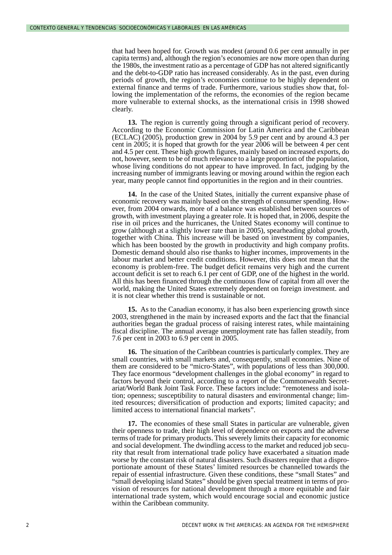that had been hoped for. Growth was modest (around 0.6 per cent annually in per capita terms) and, although the region's economies are now more open than during the 1980s, the investment ratio as a percentage of GDP has not altered significantly and the debt-to-GDP ratio has increased considerably. As in the past, even during periods of growth, the region's economies continue to be highly dependent on external finance and terms of trade. Furthermore, various studies show that, following the implementation of the reforms, the economies of the region became more vulnerable to external shocks, as the international crisis in 1998 showed clearly.

**13.** The region is currently going through a significant period of recovery. According to the Economic Commission for Latin America and the Caribbean (ECLAC) (2005), production grew in 2004 by 5.9 per cent and by around 4.3 per cent in 2005; it is hoped that growth for the year 2006 will be between 4 per cent and 4.5 per cent. These high growth figures, mainly based on increased exports, do not, however, seem to be of much relevance to a large proportion of the population, whose living conditions do not appear to have improved. In fact, judging by the increasing number of immigrants leaving or moving around within the region each year, many people cannot find opportunities in the region and in their countries.

**14.** In the case of the United States, initially the current expansive phase of economic recovery was mainly based on the strength of consumer spending. However, from 2004 onwards, more of a balance was established between sources of growth, with investment playing a greater role. It is hoped that, in 2006, despite the rise in oil prices and the hurricanes, the United States economy will continue to grow (although at a slightly lower rate than in 2005), spearheading global growth, together with China. This increase will be based on investment by companies, which has been boosted by the growth in productivity and high company profits. Domestic demand should also rise thanks to higher incomes, improvements in the labour market and better credit conditions. However, this does not mean that the economy is problem-free. The budget deficit remains very high and the current account deficit is set to reach 6.1 per cent of GDP, one of the highest in the world. All this has been financed through the continuous flow of capital from all over the world, making the United States extremely dependent on foreign investment. and it is not clear whether this trend is sustainable or not.

**15.** As to the Canadian economy, it has also been experiencing growth since 2003, strengthened in the main by increased exports and the fact that the financial authorities began the gradual process of raising interest rates, while maintaining fiscal discipline. The annual average unemployment rate has fallen steadily, from 7.6 per cent in 2003 to 6.9 per cent in 2005.

**16.** The situation of the Caribbean countries is particularly complex. They are small countries, with small markets and, consequently, small economies. Nine of them are considered to be "micro-States", with populations of less than 300,000. They face enormous "development challenges in the global economy" in regard to factors beyond their control, according to a report of the Commonwealth Secretariat/World Bank Joint Task Force. These factors include: "remoteness and isolation; openness; susceptibility to natural disasters and environmental change; limited resources; diversification of production and exports; limited capacity; and limited access to international financial markets".

**17.** The economies of these small States in particular are vulnerable, given their openness to trade, their high level of dependence on exports and the adverse terms of trade for primary products. This severely limits their capacity for economic and social development. The dwindling access to the market and reduced job security that result from international trade policy have exacerbated a situation made worse by the constant risk of natural disasters. Such disasters require that a disproportionate amount of these States' limited resources be channelled towards the repair of essential infrastructure. Given these conditions, these "small States" and "small developing island States" should be given special treatment in terms of provision of resources for national development through a more equitable and fair international trade system, which would encourage social and economic justice within the Caribbean community.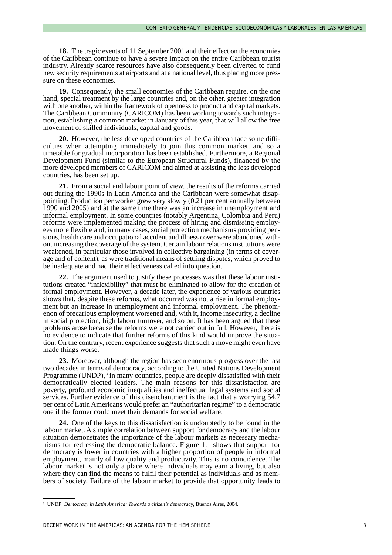**18.** The tragic events of 11 September 2001 and their effect on the economies of the Caribbean continue to have a severe impact on the entire Caribbean tourist industry. Already scarce resources have also consequently been diverted to fund new security requirements at airports and at a national level, thus placing more pressure on these economies.

**19.** Consequently, the small economies of the Caribbean require, on the one hand, special treatment by the large countries and, on the other, greater integration with one another, within the framework of openness to product and capital markets. The Caribbean Community (CARICOM) has been working towards such integration, establishing a common market in January of this year, that will allow the free movement of skilled individuals, capital and goods.

**20.** However, the less developed countries of the Caribbean face some difficulties when attempting immediately to join this common market, and so a timetable for gradual incorporation has been established. Furthermore, a Regional Development Fund (similar to the European Structural Funds), financed by the more developed members of CARICOM and aimed at assisting the less developed countries, has been set up.

**21.** From a social and labour point of view, the results of the reforms carried out during the 1990s in Latin America and the Caribbean were somewhat disappointing. Production per worker grew very slowly (0.21 per cent annually between 1990 and 2005) and at the same time there was an increase in unemployment and informal employment. In some countries (notably Argentina, Colombia and Peru) reforms were implemented making the process of hiring and dismissing employees more flexible and, in many cases, social protection mechanisms providing pensions, health care and occupational accident and illness cover were abandoned without increasing the coverage of the system. Certain labour relations institutions were weakened, in particular those involved in collective bargaining (in terms of coverage and of content), as were traditional means of settling disputes, which proved to be inadequate and had their effectiveness called into question.

**22.** The argument used to justify these processes was that these labour institutions created "inflexibility" that must be eliminated to allow for the creation of formal employment. However, a decade later, the experience of various countries shows that, despite these reforms, what occurred was not a rise in formal employment but an increase in unemployment and informal employment. The phenomenon of precarious employment worsened and, with it, income insecurity, a decline in social protection, high labour turnover, and so on. It has been argued that these problems arose because the reforms were not carried out in full. However, there is no evidence to indicate that further reforms of this kind would improve the situation. On the contrary, recent experience suggests that such a move might even have made things worse.

**23.** Moreover, although the region has seen enormous progress over the last two decades in terms of democracy, according to the United Nations Development Programme (UNDP),<sup>3</sup> in many countries, people are deeply dissatisfied with their democratically elected leaders. The main reasons for this dissatisfaction are poverty, profound economic inequalities and ineffectual legal systems and social services. Further evidence of this disenchantment is the fact that a worrying 54.7 per cent of Latin Americans would prefer an "authoritarian regime" to a democratic one if the former could meet their demands for social welfare.

**24.** One of the keys to this dissatisfaction is undoubtedly to be found in the labour market. A simple correlation between support for democracy and the labour situation demonstrates the importance of the labour markets as necessary mechanisms for redressing the democratic balance. Figure 1.1 shows that support for democracy is lower in countries with a higher proportion of people in informal employment, mainly of low quality and productivity. This is no coincidence. The labour market is not only a place where individuals may earn a living, but also where they can find the means to fulfil their potential as individuals and as members of society. Failure of the labour market to provide that opportunity leads to

<sup>3</sup> UNDP: *Democracy in Latin America: Towards a citizen's democracy*, Buenos Aires, 2004.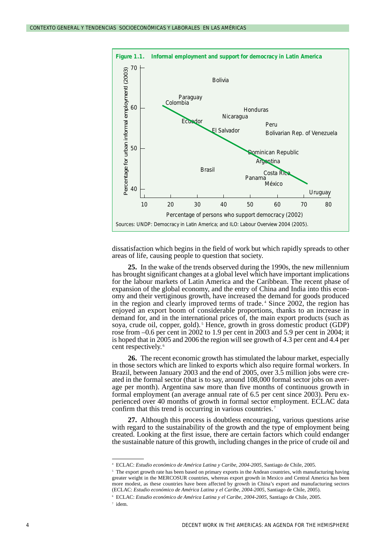

dissatisfaction which begins in the field of work but which rapidly spreads to other areas of life, causing people to question that society.

**25.** In the wake of the trends observed during the 1990s, the new millennium has brought significant changes at a global level which have important implications for the labour markets of Latin America and the Caribbean. The recent phase of expansion of the global economy, and the entry of China and India into this economy and their vertiginous growth, have increased the demand for goods produced in the region and clearly improved terms of trade. <sup>4</sup> Since 2002, the region has enjoyed an export boom of considerable proportions, thanks to an increase in demand for, and in the international prices of, the main export products (such as soya, crude oil, copper, gold).<sup>5</sup> Hence, growth in gross domestic product (GDP) rose from –0.6 per cent in 2002 to 1.9 per cent in 2003 and 5.9 per cent in 2004; it is hoped that in 2005 and 2006 the region will see growth of 4.3 per cent and 4.4 per cent respectively. <sup>6</sup>

**26.** The recent economic growth has stimulated the labour market, especially in those sectors which are linked to exports which also require formal workers. In Brazil, between January 2003 and the end of 2005, over 3.5 million jobs were created in the formal sector (that is to say, around 108,000 formal sector jobs on average per month). Argentina saw more than five months of continuous growth in formal employment (an average annual rate of 6.5 per cent since 2003). Peru experienced over 40 months of growth in formal sector employment. ECLAC data confirm that this trend is occurring in various countries.<sup>7</sup>

**27.** Although this process is doubtless encouraging, various questions arise with regard to the sustainability of the growth and the type of employment being created. Looking at the first issue, there are certain factors which could endanger the sustainable nature of this growth, including changes in the price of crude oil and

<sup>7</sup> idem.

<sup>4</sup> ECLAC: *Estudio económico de América Latina y Caribe, 2004-2005*, Santiago de Chile, 2005.

<sup>&</sup>lt;sup>5</sup> The export growth rate has been based on primary exports in the Andean countries, with manufacturing having greater weight in the MERCOSUR countries, whereas export growth in Mexico and Central America has been more modest, as these countries have been affected by growth in China's export and manufacturing sectors (ECLAC: *Estudio económico de América Latina y el Caribe, 2004-2005*, Santiago de Chile, 2005).

<sup>6</sup> ECLAC: *Estudio económico de América Latina y el Caribe, 2004-2005*, Santiago de Chile, 2005.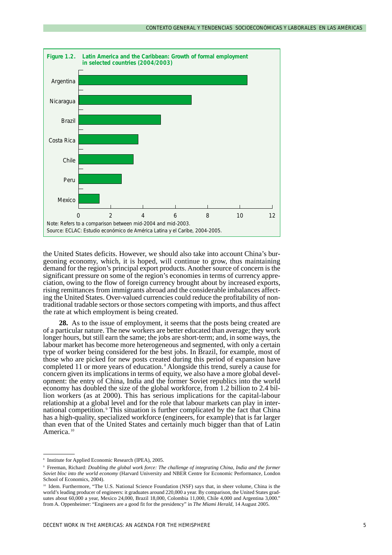

the United States deficits. However, we should also take into account China's burgeoning economy, which, it is hoped, will continue to grow, thus maintaining demand for the region's principal export products. Another source of concern is the significant pressure on some of the region's economies in terms of currency appreciation, owing to the flow of foreign currency brought about by increased exports, rising remittances from immigrants abroad and the considerable imbalances affecting the United States. Over-valued currencies could reduce the profitability of nontraditional tradable sectors or those sectors competing with imports, and thus affect the rate at which employment is being created.

**28.** As to the issue of employment, it seems that the posts being created are of a particular nature. The new workers are better educated than average; they work longer hours, but still earn the same; the jobs are short-term; and, in some ways, the labour market has become more heterogeneous and segmented, with only a certain type of worker being considered for the best jobs. In Brazil, for example, most of those who are picked for new posts created during this period of expansion have completed 11 or more years of education. <sup>8</sup> Alongside this trend, surely a cause for concern given its implications in terms of equity, we also have a more global development: the entry of China, India and the former Soviet republics into the world economy has doubled the size of the global workforce, from 1.2 billion to 2.4 billion workers (as at 2000). This has serious implications for the capital-labour relationship at a global level and for the role that labour markets can play in international competition. <sup>9</sup> This situation is further complicated by the fact that China has a high-quality, specialized workforce (engineers, for example) that is far larger than even that of the United States and certainly much bigger than that of Latin America.<sup>10</sup>

<sup>8</sup> Institute for Applied Economic Research (IPEA), 2005.

<sup>9</sup> Freeman, Richard: *Doubling the global work force: The challenge of integrating China, India and the former Soviet bloc into the world economy* (Harvard University and NBER Centre for Economic Performance, London School of Economics, 2004).

<sup>&</sup>lt;sup>10</sup> Idem. Furthermore, "The U.S. National Science Foundation (NSF) says that, in sheer volume, China is the world's leading producer of engineers: it graduates around 220,000 a year. By comparison, the United States graduates about 60,000 a year, Mexico 24,000, Brazil 18,000, Colombia 11,000, Chile 4,000 and Argentina 3,000." from A. Oppenheimer: "Engineers are a good fit for the presidency" in *The Miami Herald*, 14 August 2005.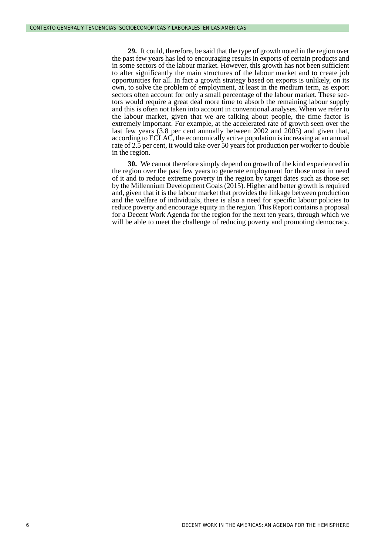**29.** It could, therefore, be said that the type of growth noted in the region over the past few years has led to encouraging results in exports of certain products and in some sectors of the labour market. However, this growth has not been sufficient to alter significantly the main structures of the labour market and to create job opportunities for all. In fact a growth strategy based on exports is unlikely, on its own, to solve the problem of employment, at least in the medium term, as export sectors often account for only a small percentage of the labour market. These sectors would require a great deal more time to absorb the remaining labour supply and this is often not taken into account in conventional analyses. When we refer to the labour market, given that we are talking about people, the time factor is extremely important. For example, at the accelerated rate of growth seen over the last few years (3.8 per cent annually between 2002 and 2005) and given that, according to ECLAC, the economically active population is increasing at an annual rate of 2.5 per cent, it would take over 50 years for production per worker to double in the region.

**30.** We cannot therefore simply depend on growth of the kind experienced in the region over the past few years to generate employment for those most in need of it and to reduce extreme poverty in the region by target dates such as those set by the Millennium Development Goals (2015). Higher and better growth is required and, given that it is the labour market that provides the linkage between production and the welfare of individuals, there is also a need for specific labour policies to reduce poverty and encourage equity in the region. This Report contains a proposal for a Decent Work Agenda for the region for the next ten years, through which we will be able to meet the challenge of reducing poverty and promoting democracy.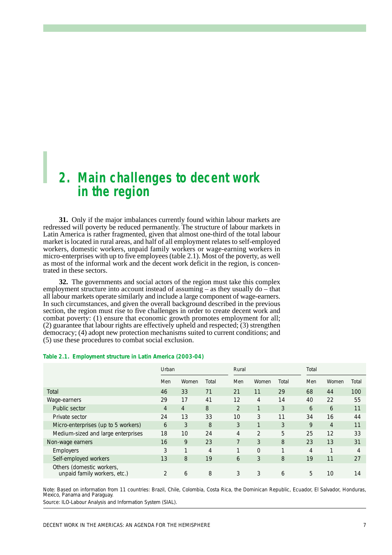## *2. Main challenges to decent work in the region*

**31.** Only if the major imbalances currently found within labour markets are redressed will poverty be reduced permanently. The structure of labour markets in Latin America is rather fragmented, given that almost one-third of the total labour market is located in rural areas, and half of all employment relates to self-employed workers, domestic workers, unpaid family workers or wage-earning workers in micro-enterprises with up to five employees (table 2.1). Most of the poverty, as well as most of the informal work and the decent work deficit in the region, is concentrated in these sectors.

**32.** The governments and social actors of the region must take this complex employment structure into account instead of assuming – as they usually do – that all labour markets operate similarly and include a large component of wage-earners. In such circumstances, and given the overall background described in the previous section, the region must rise to five challenges in order to create decent work and combat poverty: (1) ensure that economic growth promotes employment for all; (2) guarantee that labour rights are effectively upheld and respected; (3) strengthen democracy; (4) adopt new protection mechanisms suited to current conditions; and (5) use these procedures to combat social exclusion.

#### **Table 2.1. Employment structure in Latin America (2003-04)**

|                                                           | Urban |                | Rural |                |                | Total |     |                |       |
|-----------------------------------------------------------|-------|----------------|-------|----------------|----------------|-------|-----|----------------|-------|
|                                                           | Men   | Women          | Total | Men            | Women          | Total | Men | Women          | Total |
| Total                                                     | 46    | 33             | 71    | 21             | 11             | 29    | 68  | 44             | 100   |
| Wage-earners                                              | 29    | 17             | 41    | 12             | 4              | 14    | 40  | 22             | 55    |
| Public sector                                             | 4     | $\overline{4}$ | 8     | $\overline{2}$ |                | 3     | 6   | 6              | 11    |
| Private sector                                            | 24    | 13             | 33    | 10             | 3              | 11    | 34  | 16             | 44    |
| Micro-enterprises (up to 5 workers)                       | 6     | 3              | 8     | 3              | 1              | 3     | 9   | $\overline{4}$ | 11    |
| Medium-sized and large enterprises                        | 18    | 10             | 24    | 4              | $\overline{2}$ | 5     | 25  | 12             | 33    |
| Non-wage earners                                          | 16    | 9              | 23    | $\overline{7}$ | 3              | 8     | 23  | 13             | 31    |
| <b>Employers</b>                                          | 3     | ⊣              | 4     | $\mathbf{1}$   | $\Omega$       | ┑     | 4   |                | 4     |
| Self-employed workers                                     | 13    | 8              | 19    | 6              | 3              | 8     | 19  | 11             | 27    |
| Others (domestic workers,<br>unpaid family workers, etc.) |       | 6              | 8     | 3              | 3              | 6     | 5   | 10             | 14    |

Note: Based on information from 11 countries: Brazil, Chile, Colombia, Costa Rica, the Dominican Republic, Ecuador, El Salvador, Honduras, Mexico, Panama and Paraguay. Source: ILO-Labour Analysis and Information System (SIAL).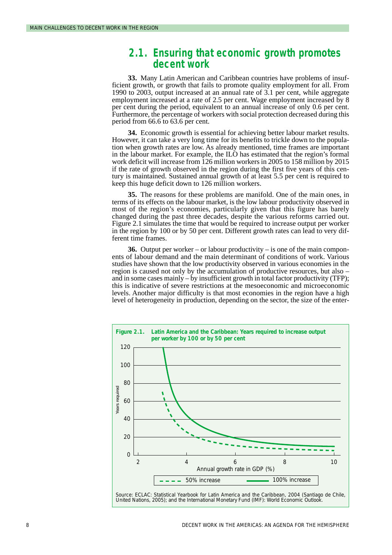## *2.1. Ensuring that economic growth promotes decent work*

**33.** Many Latin American and Caribbean countries have problems of insufficient growth, or growth that fails to promote quality employment for all. From 1990 to 2003, output increased at an annual rate of 3.1 per cent, while aggregate employment increased at a rate of 2.5 per cent. Wage employment increased by 8 per cent during the period, equivalent to an annual increase of only 0.6 per cent. Furthermore, the percentage of workers with social protection decreased during this period from 66.6 to 63.6 per cent.

**34.** Economic growth is essential for achieving better labour market results. However, it can take a very long time for its benefits to trickle down to the population when growth rates are low. As already mentioned, time frames are important in the labour market. For example, the ILO has estimated that the region's formal work deficit will increase from 126 million workers in 2005 to 158 million by 2015 if the rate of growth observed in the region during the first five years of this century is maintained. Sustained annual growth of at least 5.5 per cent is required to keep this huge deficit down to 126 million workers.

**35.** The reasons for these problems are manifold. One of the main ones, in terms of its effects on the labour market, is the low labour productivity observed in most of the region's economies, particularly given that this figure has barely changed during the past three decades, despite the various reforms carried out. Figure 2.1 simulates the time that would be required to increase output per worker in the region by 100 or by 50 per cent. Different growth rates can lead to very different time frames.

**36.** Output per worker – or labour productivity – is one of the main components of labour demand and the main determinant of conditions of work. Various studies have shown that the low productivity observed in various economies in the region is caused not only by the accumulation of productive resources, but also – and in some cases mainly – by insufficient growth in total factor productivity (TFP); this is indicative of severe restrictions at the mesoeconomic and microeconomic levels. Another major difficulty is that most economies in the region have a high level of heterogeneity in production, depending on the sector, the size of the enter-

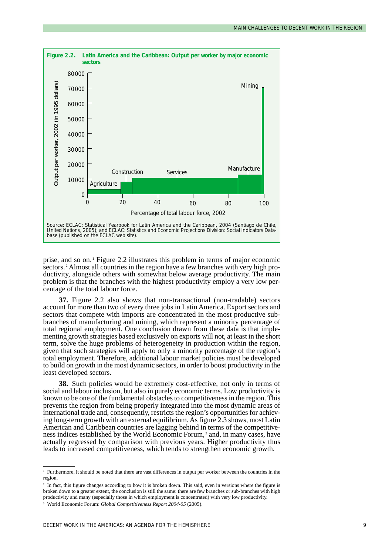

prise, and so on. <sup>1</sup> Figure 2.2 illustrates this problem in terms of major economic sectors.<sup>2</sup> Almost all countries in the region have a few branches with very high productivity, alongside others with somewhat below average productivity. The main problem is that the branches with the highest productivity employ a very low percentage of the total labour force.

**37.** Figure 2.2 also shows that non-transactional (non-tradable) sectors account for more than two of every three jobs in Latin America. Export sectors and sectors that compete with imports are concentrated in the most productive subbranches of manufacturing and mining, which represent a minority percentage of total regional employment. One conclusion drawn from these data is that implementing growth strategies based exclusively on exports will not, at least in the short term, solve the huge problems of heterogeneity in production within the region, given that such strategies will apply to only a minority percentage of the region's total employment. Therefore, additional labour market policies must be developed to build on growth in the most dynamic sectors, in order to boost productivity in the least developed sectors.

**38.** Such policies would be extremely cost-effective, not only in terms of social and labour inclusion, but also in purely economic terms. Low productivity is known to be one of the fundamental obstacles to competitiveness in the region. This prevents the region from being properly integrated into the most dynamic areas of international trade and, consequently, restricts the region's opportunities for achieving long-term growth with an external equilibrium. As figure 2.3 shows, most Latin American and Caribbean countries are lagging behind in terms of the competitiveness indices established by the World Economic Forum, <sup>3</sup> and, in many cases, have actually regressed by comparison with previous years. Higher productivity thus leads to increased competitiveness, which tends to strengthen economic growth.

<sup>&</sup>lt;sup>1</sup> Furthermore, it should be noted that there are vast differences in output per worker between the countries in the region.

<sup>&</sup>lt;sup>2</sup> In fact, this figure changes according to how it is broken down. This said, even in versions where the figure is broken down to a greater extent, the conclusion is still the same: there are few branches or sub-branches with high productivity and many (especially those in which employment is concentrated) with very low productivity.

<sup>3</sup> World Economic Forum: *Global Competitiveness Report 2004-05* (2005).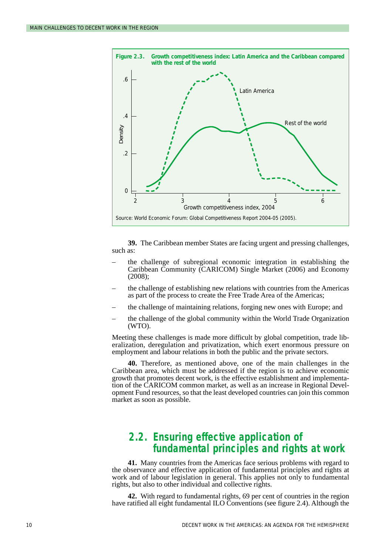

**39.** The Caribbean member States are facing urgent and pressing challenges, such as:

- the challenge of subregional economic integration in establishing the Caribbean Community (CARICOM) Single Market (2006) and Economy (2008);
- the challenge of establishing new relations with countries from the Americas as part of the process to create the Free Trade Area of the Americas;
- the challenge of maintaining relations, forging new ones with Europe; and
- the challenge of the global community within the World Trade Organization (WTO).

Meeting these challenges is made more difficult by global competition, trade liberalization, deregulation and privatization, which exert enormous pressure on employment and labour relations in both the public and the private sectors.

**40.** Therefore, as mentioned above, one of the main challenges in the Caribbean area, which must be addressed if the region is to achieve economic growth that promotes decent work, is the effective establishment and implementation of the CARICOM common market, as well as an increase in Regional Development Fund resources, so that the least developed countries can join this common market as soon as possible.

## *2.2. Ensuring effective application of fundamental principles and rights at work*

**41.** Many countries from the Americas face serious problems with regard to the observance and effective application of fundamental principles and rights at work and of labour legislation in general. This applies not only to fundamental rights, but also to other individual and collective rights.

**42.** With regard to fundamental rights, 69 per cent of countries in the region have ratified all eight fundamental ILO Conventions (see figure 2.4). Although the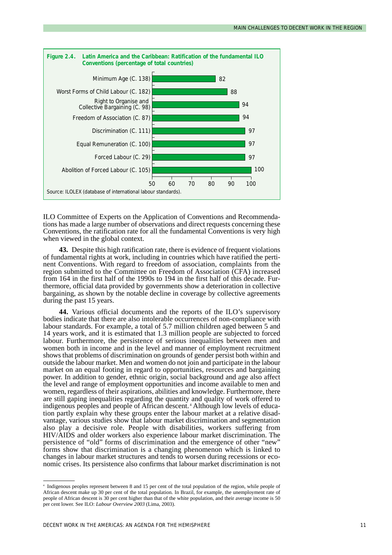

ILO Committee of Experts on the Application of Conventions and Recommendations has made a large number of observations and direct requests concerning these Conventions, the ratification rate for all the fundamental Conventions is very high when viewed in the global context.

**43.** Despite this high ratification rate, there is evidence of frequent violations of fundamental rights at work, including in countries which have ratified the pertinent Conventions. With regard to freedom of association, complaints from the region submitted to the Committee on Freedom of Association (CFA) increased from 164 in the first half of the 1990s to 194 in the first half of this decade. Furthermore, official data provided by governments show a deterioration in collective bargaining, as shown by the notable decline in coverage by collective agreements during the past 15 years.

**44.** Various official documents and the reports of the ILO's supervisory bodies indicate that there are also intolerable occurrences of non-compliance with labour standards. For example, a total of 5.7 million children aged between 5 and 14 years work, and it is estimated that 1.3 million people are subjected to forced labour. Furthermore, the persistence of serious inequalities between men and women both in income and in the level and manner of employment recruitment shows that problems of discrimination on grounds of gender persist both within and outside the labour market. Men and women do not join and participate in the labour market on an equal footing in regard to opportunities, resources and bargaining power. In addition to gender, ethnic origin, social background and age also affect the level and range of employment opportunities and income available to men and women, regardless of their aspirations, abilities and knowledge. Furthermore, there are still gaping inequalities regarding the quantity and quality of work offered to indigenous peoples and people of African descent. <sup>4</sup> Although low levels of education partly explain why these groups enter the labour market at a relative disadvantage, various studies show that labour market discrimination and segmentation also play a decisive role. People with disabilities, workers suffering from HIV/AIDS and older workers also experience labour market discrimination. The persistence of "old" forms of discrimination and the emergence of other "new" forms show that discrimination is a changing phenomenon which is linked to changes in labour market structures and tends to worsen during recessions or economic crises. Its persistence also confirms that labour market discrimination is not

<sup>4</sup> Indigenous peoples represent between 8 and 15 per cent of the total population of the region, while people of African descent make up 30 per cent of the total population. In Brazil, for example, the unemployment rate of people of African descent is 30 per cent higher than that of the white population, and their average income is 50 per cent lower. See ILO: *Labour Overview 2003* (Lima, 2003).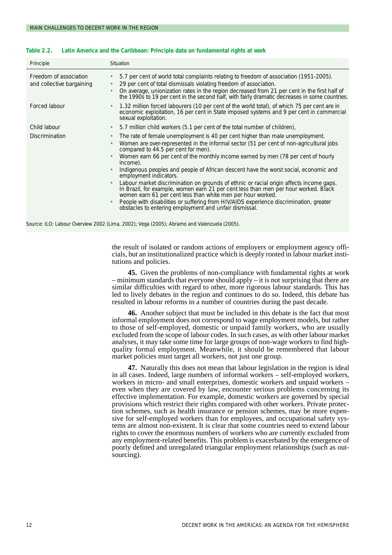| Principle                                           | Situation                                                                                                                                                                                                                                                                                                                                                                                                                                                                                                                                                                                                                                                                                                                                                                                                                                                                                             |  |  |  |  |
|-----------------------------------------------------|-------------------------------------------------------------------------------------------------------------------------------------------------------------------------------------------------------------------------------------------------------------------------------------------------------------------------------------------------------------------------------------------------------------------------------------------------------------------------------------------------------------------------------------------------------------------------------------------------------------------------------------------------------------------------------------------------------------------------------------------------------------------------------------------------------------------------------------------------------------------------------------------------------|--|--|--|--|
| Freedom of association<br>and collective bargaining | 5.7 per cent of world total complaints relating to freedom of association (1951-2005).<br>٠<br>29 per cent of total dismissals violating freedom of association.<br>٠<br>On average, unionization rates in the region decreased from 21 per cent in the first half of<br>$\bullet$<br>the 1990s to 19 per cent in the second half, with fairly dramatic decreases in some countries.                                                                                                                                                                                                                                                                                                                                                                                                                                                                                                                  |  |  |  |  |
| Forced labour                                       | 1.32 million forced labourers (10 per cent of the world total), of which 75 per cent are in<br>٠<br>economic exploitation, 16 per cent in State imposed systems and 9 per cent in commercial<br>sexual exploitation.                                                                                                                                                                                                                                                                                                                                                                                                                                                                                                                                                                                                                                                                                  |  |  |  |  |
| Child labour                                        | 5.7 million child workers (5.1 per cent of the total number of children),<br>٠                                                                                                                                                                                                                                                                                                                                                                                                                                                                                                                                                                                                                                                                                                                                                                                                                        |  |  |  |  |
| <b>Discrimination</b>                               | The rate of female unemployment is 40 per cent higher than male unemployment.<br>٠<br>Women are over-represented in the informal sector (51 per cent of non-agricultural jobs<br>$\bullet$<br>compared to 44.5 per cent for men).<br>Women earn 66 per cent of the monthly income earned by men (78 per cent of hourly<br>$\bullet$<br>income).<br>Indigenous peoples and people of African descent have the worst social, economic and<br>$\bullet$<br>employment indicators.<br>Labour market discrimination on grounds of ethnic or racial origin affects income gaps.<br>$\bullet$<br>In Brazil, for example, women earn 21 per cent less than men per hour worked. Black<br>women earn 61 per cent less than white men per hour worked.<br>People with disabilities or suffering from HIV/AIDS experience discrimination, greater<br>٠<br>obstacles to entering employment and unfair dismissal. |  |  |  |  |

#### **Table 2.2. Latin America and the Caribbean: Principle data on fundamental rights at work**

Source: ILO: Labour Overview 2002 (Lima, 2002); Vega (2005); Abramo and Valenzuela (2005).

the result of isolated or random actions of employers or employment agency officials, but an institutionalized practice which is deeply rooted in labour market institutions and policies.

**45.** Given the problems of non-compliance with fundamental rights at work  $-$  minimum standards that everyone should apply  $-$  it is not surprising that there are similar difficulties with regard to other, more rigorous labour standards. This has led to lively debates in the region and continues to do so. Indeed, this debate has resulted in labour reforms in a number of countries during the past decade.

**46.** Another subject that must be included in this debate is the fact that most informal employment does not correspond to wage employment models, but rather to those of self-employed, domestic or unpaid family workers, who are usually excluded from the scope of labour codes. In such cases, as with other labour market analyses, it may take some time for large groups of non-wage workers to find highquality formal employment. Meanwhile, it should be remembered that labour market policies must target all workers, not just one group.

**47.** Naturally this does not mean that labour legislation in the region is ideal in all cases. Indeed, large numbers of informal workers – self-employed workers, workers in micro- and small enterprises, domestic workers and unpaid workers – even when they are covered by law, encounter serious problems concerning its effective implementation. For example, domestic workers are governed by special provisions which restrict their rights compared with other workers. Private protection schemes, such as health insurance or pension schemes, may be more expensive for self-employed workers than for employees, and occupational safety systems are almost non-existent. It is clear that some countries need to extend labour rights to cover the enormous numbers of workers who are currently excluded from any employment-related benefits. This problem is exacerbated by the emergence of poorly defined and unregulated triangular employment relationships (such as outsourcing).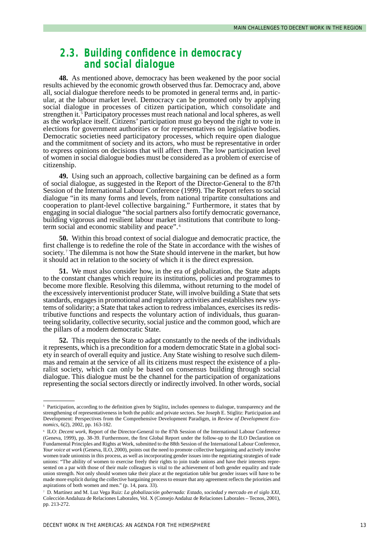## *2.3. Building confidence in democracy and social dialogue*

**48.** As mentioned above, democracy has been weakened by the poor social results achieved by the economic growth observed thus far. Democracy and, above all, social dialogue therefore needs to be promoted in general terms and, in particular, at the labour market level. Democracy can be promoted only by applying social dialogue in processes of citizen participation, which consolidate and strengthen it.<sup>5</sup> Participatory processes must reach national and local spheres, as well as the workplace itself. Citizens' participation must go beyond the right to vote in elections for government authorities or for representatives on legislative bodies. Democratic societies need participatory processes, which require open dialogue and the commitment of society and its actors, who must be representative in order to express opinions on decisions that will affect them. The low participation level of women in social dialogue bodies must be considered as a problem of exercise of citizenship.

**49.** Using such an approach, collective bargaining can be defined as a form of social dialogue, as suggested in the Report of the Director-General to the 87th Session of the International Labour Conference (1999). The Report refers to social dialogue "in its many forms and levels, from national tripartite consultations and cooperation to plant-level collective bargaining." Furthermore, it states that by engaging in social dialogue "the social partners also fortify democratic governance, building vigorous and resilient labour market institutions that contribute to longterm social and economic stability and peace". <sup>6</sup>

**50.** Within this broad context of social dialogue and democratic practice, the first challenge is to redefine the role of the State in accordance with the wishes of society.<sup>7</sup> The dilemma is not how the State should intervene in the market, but how it should act in relation to the society of which it is the direct expression.

**51.** We must also consider how, in the era of globalization, the State adapts to the constant changes which require its institutions, policies and programmes to become more flexible. Resolving this dilemma, without returning to the model of the excessively interventionist producer State, will involve building a State that sets standards, engages in promotional and regulatory activities and establishes new systems of solidarity; a State that takes action to redress imbalances, exercises its redistributive functions and respects the voluntary action of individuals, thus guaranteeing solidarity, collective security, social justice and the common good, which are the pillars of a modern democratic State.

**52.** This requires the State to adapt constantly to the needs of the individuals it represents, which is a precondition for a modern democratic State in a global society in search of overall equity and justice. Any State wishing to resolve such dilemmas and remain at the service of all its citizens must respect the existence of a pluralist society, which can only be based on consensus building through social dialogue. This dialogue must be the channel for the participation of organizations representing the social sectors directly or indirectly involved. In other words, social

<sup>&</sup>lt;sup>5</sup> Participation, according to the definition given by Stiglitz, includes openness to dialogue, transparency and the strengthening of representativeness in both the public and private sectors. See Joseph E. Stiglitz: Participation and Development: Perspectives from the Comprehensive Development Paradigm, in *Review of Development Economics*, 6(2), 2002, pp. 163-182.

<sup>6</sup> ILO: *Decent work*, Report of the Director-General to the 87th Session of the International Labour Conference (Geneva, 1999), pp. 38-39. Furthermore, the first Global Report under the follow-up to the ILO Declaration on Fundamental Principles and Rights at Work, submitted to the 88th Session of the International Labour Conference, *Your voice at work* (Geneva, ILO, 2000), points out the need to promote collective bargaining and actively involve women trade unionists in this process, as well as incorporating gender issues into the negotiating strategies of trade unions: "The ability of women to exercise freely their rights to join trade unions and have their interests represented on a par with those of their male colleagues is vital to the achievement of both gender equality and trade union strength. Not only should women take their place at the negotiation table but gender issues will have to be made more explicit during the collective bargaining process to ensure that any agreement reflects the priorities and aspirations of both women and men." (p. 14, para. 33).

<sup>7</sup> D. Martínez and M. Luz Vega Ruiz: *La globalización gobernada: Estado, sociedad y mercado en el siglo XXI*, Colección Andaluza de Relaciones Laborales, Vol. X (Consejo Andaluz de Relaciones Laborales – Tecnos, 2001), pp. 213-272.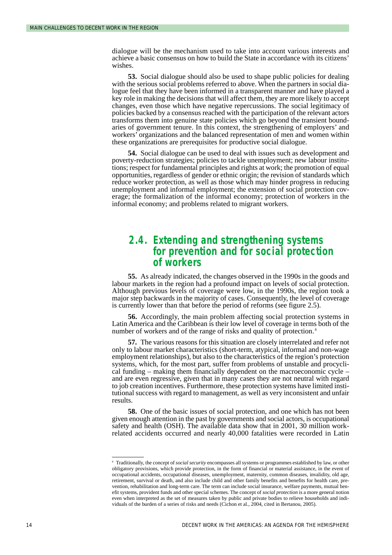dialogue will be the mechanism used to take into account various interests and achieve a basic consensus on how to build the State in accordance with its citizens' wishes.

**53.** Social dialogue should also be used to shape public policies for dealing with the serious social problems referred to above. When the partners in social dialogue feel that they have been informed in a transparent manner and have played a key role in making the decisions that will affect them, they are more likely to accept changes, even those which have negative repercussions. The social legitimacy of policies backed by a consensus reached with the participation of the relevant actors transforms them into genuine state policies which go beyond the transient boundaries of government tenure. In this context, the strengthening of employers' and workers' organizations and the balanced representation of men and women within these organizations are prerequisites for productive social dialogue.

**54.** Social dialogue can be used to deal with issues such as development and poverty-reduction strategies; policies to tackle unemployment; new labour institutions; respect for fundamental principles and rights at work; the promotion of equal opportunities, regardless of gender or ethnic origin; the revision of standards which reduce worker protection, as well as those which may hinder progress in reducing unemployment and informal employment; the extension of social protection coverage; the formalization of the informal economy; protection of workers in the informal economy; and problems related to migrant workers.

### *2.4. Extending and strengthening systems for prevention and for social protection of workers*

**55.** As already indicated, the changes observed in the 1990s in the goods and labour markets in the region had a profound impact on levels of social protection. Although previous levels of coverage were low, in the 1990s, the region took a major step backwards in the majority of cases. Consequently, the level of coverage is currently lower than that before the period of reforms (see figure 2.5).

**56.** Accordingly, the main problem affecting social protection systems in Latin America and the Caribbean is their low level of coverage in terms both of the number of workers and of the range of risks and quality of protection.<sup>8</sup>

**57.** The various reasons for this situation are closely interrelated and refer not only to labour market characteristics (short-term, atypical, informal and non-wage employment relationships), but also to the characteristics of the region's protection systems, which, for the most part, suffer from problems of unstable and procyclical funding – making them financially dependent on the macroeconomic cycle – and are even regressive, given that in many cases they are not neutral with regard to job creation incentives. Furthermore, these protection systems have limited institutional success with regard to management, as well as very inconsistent and unfair results.

**58.** One of the basic issues of social protection, and one which has not been given enough attention in the past by governments and social actors, is occupational safety and health (OSH). The available data show that in 2001, 30 million workrelated accidents occurred and nearly 40,000 fatalities were recorded in Latin

<sup>8</sup> Traditionally, the concept of *social security* encompasses all systems or programmes established by law, or other obligatory provisions, which provide protection, in the form of financial or material assistance, in the event of occupational accidents, occupational diseases, unemployment, maternity, common diseases, invalidity, old age, retirement, survival or death, and also include child and other family benefits and benefits for health care, prevention, rehabilitation and long-term care. The term can include social insurance, welfare payments, mutual benefit systems, provident funds and other special schemes. The concept of *social protection* is a more general notion even when interpreted as the set of measures taken by public and private bodies to relieve households and individuals of the burden of a series of risks and needs (Cichon et al., 2004, cited in Bertanou, 2005).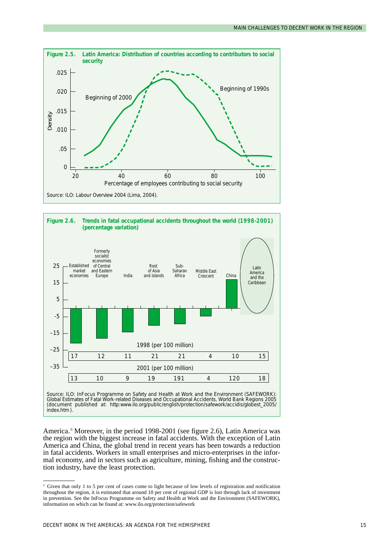



*Global Estimates of Fatal Work-related Diseases and Occupational Accidents, World Bank Regions 2005* (document published at: http:www.ilo.org/public/english/protection/safework/accidis/globest\_2005/ index.htm ).

America. <sup>9</sup> Moreover, in the period 1998-2001 (see figure 2.6), Latin America was the region with the biggest increase in fatal accidents. With the exception of Latin America and China, the global trend in recent years has been towards a reduction in fatal accidents. Workers in small enterprises and micro-enterprises in the informal economy, and in sectors such as agriculture, mining, fishing and the construction industry, have the least protection.

<sup>9</sup> Given that only 1 to 5 per cent of cases come to light because of low levels of registration and notification throughout the region, it is estimated that around 10 per cent of regional GDP is lost through lack of investment in prevention. See the InFocus Programme on Safety and Health at Work and the Environment (SAFEWORK), information on which can be found at: www.ilo.org/protection/safework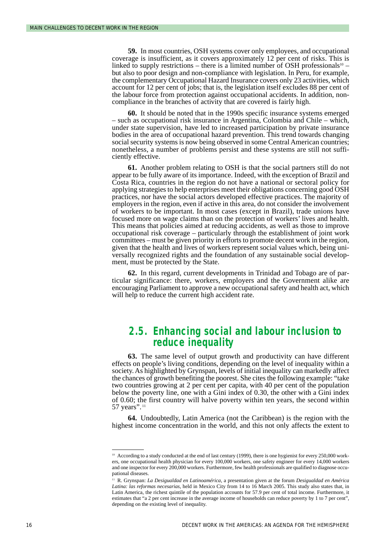**59.** In most countries, OSH systems cover only employees, and occupational coverage is insufficient, as it covers approximately 12 per cent of risks. This is linked to supply restrictions – there is a limited number of OSH professionals<sup>10</sup> – but also to poor design and non-compliance with legislation. In Peru, for example, the complementary Occupational Hazard Insurance covers only 23 activities, which account for 12 per cent of jobs; that is, the legislation itself excludes 88 per cent of the labour force from protection against occupational accidents. In addition, noncompliance in the branches of activity that are covered is fairly high.

**60.** It should be noted that in the 1990s specific insurance systems emerged – such as occupational risk insurance in Argentina, Colombia and Chile – which, under state supervision, have led to increased participation by private insurance bodies in the area of occupational hazard prevention. This trend towards changing social security systems is now being observed in some Central American countries; nonetheless, a number of problems persist and these systems are still not sufficiently effective.

**61.** Another problem relating to OSH is that the social partners still do not appear to be fully aware of its importance. Indeed, with the exception of Brazil and Costa Rica, countries in the region do not have a national or sectoral policy for applying strategies to help enterprises meet their obligations concerning good OSH practices, nor have the social actors developed effective practices. The majority of employers in the region, even if active in this area, do not consider the involvement of workers to be important. In most cases (except in Brazil), trade unions have focused more on wage claims than on the protection of workers' lives and health. This means that policies aimed at reducing accidents, as well as those to improve occupational risk coverage – particularly through the establishment of joint work committees – must be given priority in efforts to promote decent work in the region, given that the health and lives of workers represent social values which, being universally recognized rights and the foundation of any sustainable social development, must be protected by the State.

**62.** In this regard, current developments in Trinidad and Tobago are of particular significance: there, workers, employers and the Government alike are encouraging Parliament to approve a new occupational safety and health act, which will help to reduce the current high accident rate.

## *2.5. Enhancing social and labour inclusion to reduce inequality*

**63.** The same level of output growth and productivity can have different effects on people's living conditions, depending on the level of inequality within a society. As highlighted by Grynspan, levels of initial inequality can markedly affect the chances of growth benefiting the poorest. She cites the following example: "take two countries growing at 2 per cent per capita, with 40 per cent of the population below the poverty line, one with a Gini index of 0.30, the other with a Gini index of 0.60; the first country will halve poverty within ten years, the second within 57 years". <sup>11</sup>

**64.** Undoubtedly, Latin America (not the Caribbean) is the region with the highest income concentration in the world, and this not only affects the extent to

<sup>&</sup>lt;sup>10</sup> According to a study conducted at the end of last century (1999), there is one hygienist for every 250,000 workers, one occupational health physician for every 100,000 workers, one safety engineer for every 14,000 workers and one inspector for every 200,000 workers. Furthermore, few health professionals are qualified to diagnose occupational diseases.

<sup>11</sup> R. Grynspan: *La Desigualdad en Latinoamérica*, a presentation given at the forum *Desigualdad en América Latina: las reformas necesarias*, held in Mexico City from 14 to 16 March 2005. This study also states that, in Latin America, the richest quintile of the population accounts for 57.9 per cent of total income. Furthermore, it estimates that "a 2 per cent increase in the average income of households can reduce poverty by 1 to 7 per cent", depending on the existing level of inequality.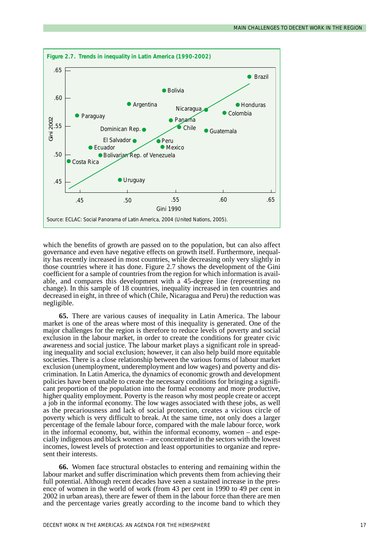

which the benefits of growth are passed on to the population, but can also affect governance and even have negative effects on growth itself. Furthermore, inequality has recently increased in most countries, while decreasing only very slightly in those countries where it has done. Figure 2.7 shows the development of the Gini coefficient for a sample of countries from the region for which information is available, and compares this development with a 45-degree line (representing no change). In this sample of 18 countries, inequality increased in ten countries and decreased in eight, in three of which (Chile, Nicaragua and Peru) the reduction was negligible.

**65.** There are various causes of inequality in Latin America. The labour market is one of the areas where most of this inequality is generated. One of the major challenges for the region is therefore to reduce levels of poverty and social exclusion in the labour market, in order to create the conditions for greater civic awareness and social justice. The labour market plays a significant role in spreading inequality and social exclusion; however, it can also help build more equitable societies. There is a close relationship between the various forms of labour market exclusion (unemployment, underemployment and low wages) and poverty and discrimination. In Latin America, the dynamics of economic growth and development policies have been unable to create the necessary conditions for bringing a significant proportion of the population into the formal economy and more productive, higher quality employment. Poverty is the reason why most people create or accept a job in the informal economy. The low wages associated with these jobs, as well as the precariousness and lack of social protection, creates a vicious circle of poverty which is very difficult to break. At the same time, not only does a larger percentage of the female labour force, compared with the male labour force, work in the informal economy, but, within the informal economy, women – and especially indigenous and black women – are concentrated in the sectors with the lowest incomes, lowest levels of protection and least opportunities to organize and represent their interests.

**66.** Women face structural obstacles to entering and remaining within the labour market and suffer discrimination which prevents them from achieving their full potential. Although recent decades have seen a sustained increase in the presence of women in the world of work (from 43 per cent in 1990 to 49 per cent in 2002 in urban areas), there are fewer of them in the labour force than there are men and the percentage varies greatly according to the income band to which they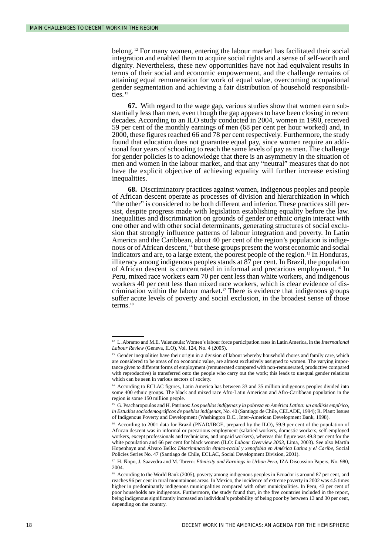belong.<sup>12</sup> For many women, entering the labour market has facilitated their social integration and enabled them to acquire social rights and a sense of self-worth and dignity. Nevertheless, these new opportunities have not had equivalent results in terms of their social and economic empowerment, and the challenge remains of attaining equal remuneration for work of equal value, overcoming occupational gender segmentation and achieving a fair distribution of household responsibilities.<sup>13</sup>

**67.** With regard to the wage gap, various studies show that women earn substantially less than men, even though the gap appears to have been closing in recent decades. According to an ILO study conducted in 2004, women in 1990, received 59 per cent of the monthly earnings of men (68 per cent per hour worked) and, in 2000, these figures reached 66 and 78 per cent respectively. Furthermore, the study found that education does not guarantee equal pay, since women require an additional four years of schooling to reach the same levels of pay as men. The challenge for gender policies is to acknowledge that there is an asymmetry in the situation of men and women in the labour market, and that any "neutral" measures that do not have the explicit objective of achieving equality will further increase existing inequalities.

**68.** Discriminatory practices against women, indigenous peoples and people of African descent operate as processes of division and hierarchization in which "the other" is considered to be both different and inferior. These practices still persist, despite progress made with legislation establishing equality before the law. Inequalities and discrimination on grounds of gender or ethnic origin interact with one other and with other social determinants, generating structures of social exclusion that strongly influence patterns of labour integration and poverty. In Latin America and the Caribbean, about 40 per cent of the region's population is indigenous or of African descent, <sup>14</sup> but these groups present the worst economic and social indicators and are, to a large extent, the poorest people of the region. <sup>15</sup> In Honduras, illiteracy among indigenous peoples stands at 87 per cent. In Brazil, the population of African descent is concentrated in informal and precarious employment. <sup>16</sup> In Peru, mixed race workers earn 70 per cent less than white workers, and indigenous workers 40 per cent less than mixed race workers, which is clear evidence of discrimination within the labour market.17 There is evidence that indigenous groups suffer acute levels of poverty and social exclusion, in the broadest sense of those terms. $18$ 

<sup>12</sup> L. Abramo and M.E. Valenzeula: Women's labour force participation rates in Latin America, in the *International Labour Review* (Geneva, ILO), Vol. 124, No. 4 (2005).

<sup>&</sup>lt;sup>13</sup> Gender inequalities have their origin in a division of labour whereby household chores and family care, which are considered to be areas of no economic value, are almost exclusively assigned to women. The varying importance given to different forms of employment (remunerated compared with non-remunerated, productive compared with reproductive) is transferred onto the people who carry out the work; this leads to unequal gender relations which can be seen in various sectors of society.

<sup>14</sup> According to ECLAC figures, Latin America has between 33 and 35 million indigenous peoples divided into some 400 ethnic groups. The black and mixed race Afro-Latin American and Afro-Caribbean population in the region is some 150 million people.

<sup>15</sup> G. Psacharopoulos and H. Patrinos: *Los pueblos indígenas y la pobreza en América Latina: un análisis empírico, in Estudios sociodemográficos de pueblos indígenas*, No. 40 (Santiago de Chile, CELADE, 1994); R. Plant: Issues of Indigenous Poverty and Development (Washington D.C., Inter-American Development Bank, 1998).

<sup>&</sup>lt;sup>16</sup> According to 2001 data for Brazil (PNAD/IBGE, prepared by the ILO), 59.9 per cent of the population of African descent was in informal or precarious employment (salaried workers, domestic workers, self-employed workers, except professionals and technicians, and unpaid workers), whereas this figure was 49.8 per cent for the white population and 66 per cent for black women (ILO: *Labour Overview 2003*, Lima, 2003). See also Martín Hopenhayn and Álvaro Bello: *Discriminación étnico-racial y xenofobia en América Latina y el Caribe*, Social Policies Series No. 47 (Santiago de Chile, ECLAC, Social Development Division, 2001).

<sup>&</sup>lt;sup>17</sup> H. Ñopo, J. Saavedra and M. Torero: *Ethnicity and Earnings in Urban Peru*, IZA Discussion Papers, No. 980, 2004.

<sup>&</sup>lt;sup>18</sup> According to the World Bank (2005), poverty among indigenous peoples in Ecuador is around 87 per cent, and reaches 96 per cent in rural mountainous areas. In Mexico, the incidence of extreme poverty in 2002 was 4.5 times higher in predominantly indigenous municipalities compared with other municipalities. In Peru, 43 per cent of poor households are indigenous. Furthermore, the study found that, in the five countries included in the report, being indigenous significantly increased an individual's probability of being poor by between 13 and 30 per cent, depending on the country.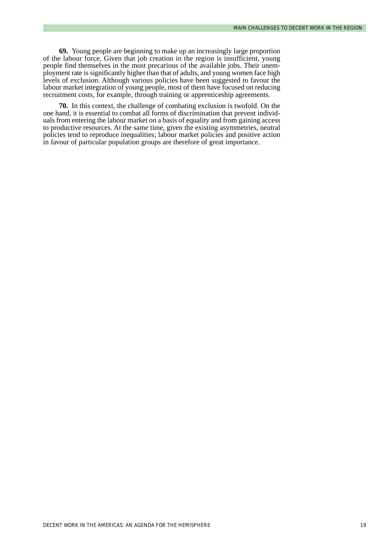**69.** Young people are beginning to make up an increasingly large proportion of the labour force. Given that job creation in the region is insufficient, young people find themselves in the most precarious of the available jobs. Their unemployment rate is significantly higher than that of adults, and young women face high levels of exclusion. Although various policies have been suggested to favour the labour market integration of young people, most of them have focused on reducing recruitment costs, for example, through training or apprenticeship agreements.

**70.** In this context, the challenge of combating exclusion is twofold. On the one hand, it is essential to combat all forms of discrimination that prevent individuals from entering the labour market on a basis of equality and from gaining access to productive resources. At the same time, given the existing asymmetries, neutral policies tend to reproduce inequalities; labour market policies and positive action in favour of particular population groups are therefore of great importance.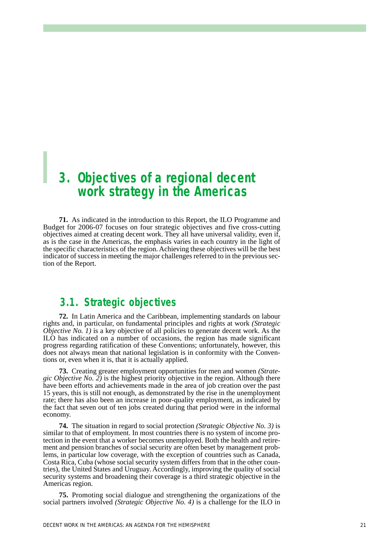## *3. Objectives of a regional decent work strategy in the Americas*

**71.** As indicated in the introduction to this Report, the ILO Programme and Budget for 2006-07 focuses on four strategic objectives and five cross-cutting objectives aimed at creating decent work. They all have universal validity, even if, as is the case in the Americas, the emphasis varies in each country in the light of the specific characteristics of the region. Achieving these objectives will be the best indicator of success in meeting the major challenges referred to in the previous section of the Report.

## *3.1. Strategic objectives*

**72.** In Latin America and the Caribbean, implementing standards on labour rights and, in particular, on fundamental principles and rights at work *(Strategic Objective No. 1*) is a key objective of all policies to generate decent work. As the ILO has indicated on a number of occasions, the region has made significant progress regarding ratification of these Conventions; unfortunately, however, this does not always mean that national legislation is in conformity with the Conventions or, even when it is, that it is actually applied.

**73.** Creating greater employment opportunities for men and women *(Strategic Objective No. 2)* is the highest priority objective in the region. Although there have been efforts and achievements made in the area of job creation over the past 15 years, this is still not enough, as demonstrated by the rise in the unemployment rate; there has also been an increase in poor-quality employment, as indicated by the fact that seven out of ten jobs created during that period were in the informal economy.

**74.** The situation in regard to social protection *(Strategic Objective No. 3)* is similar to that of employment. In most countries there is no system of income protection in the event that a worker becomes unemployed. Both the health and retirement and pension branches of social security are often beset by management problems, in particular low coverage, with the exception of countries such as Canada, Costa Rica, Cuba (whose social security system differs from that in the other countries), the United States and Uruguay. Accordingly, improving the quality of social security systems and broadening their coverage is a third strategic objective in the Americas region.

**75.** Promoting social dialogue and strengthening the organizations of the social partners involved *(Strategic Objective No. 4)* is a challenge for the ILO in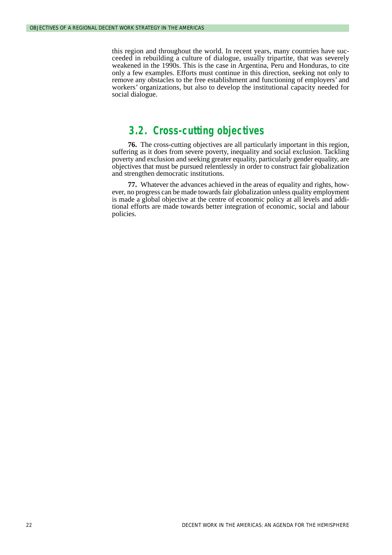this region and throughout the world. In recent years, many countries have succeeded in rebuilding a culture of dialogue, usually tripartite, that was severely weakened in the 1990s. This is the case in Argentina, Peru and Honduras, to cite only a few examples. Efforts must continue in this direction, seeking not only to remove any obstacles to the free establishment and functioning of employers' and workers' organizations, but also to develop the institutional capacity needed for social dialogue.

## *3.2. Cross-cutting objectives*

**76.** The cross-cutting objectives are all particularly important in this region, suffering as it does from severe poverty, inequality and social exclusion. Tackling poverty and exclusion and seeking greater equality, particularly gender equality, are objectives that must be pursued relentlessly in order to construct fair globalization and strengthen democratic institutions.

**77.** Whatever the advances achieved in the areas of equality and rights, however, no progress can be made towards fair globalization unless quality employment is made a global objective at the centre of economic policy at all levels and additional efforts are made towards better integration of economic, social and labour policies.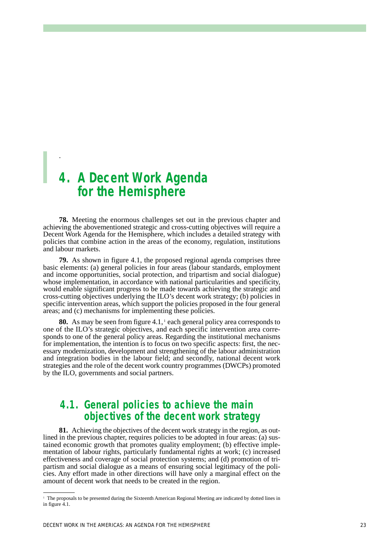## *4. A Decent Work Agenda for the Hemisphere*

.

**78.** Meeting the enormous challenges set out in the previous chapter and achieving the abovementioned strategic and cross-cutting objectives will require a Decent Work Agenda for the Hemisphere, which includes a detailed strategy with policies that combine action in the areas of the economy, regulation, institutions and labour markets.

**79.** As shown in figure 4.1, the proposed regional agenda comprises three basic elements: (a) general policies in four areas (labour standards, employment and income opportunities, social protection, and tripartism and social dialogue) whose implementation, in accordance with national particularities and specificity, would enable significant progress to be made towards achieving the strategic and cross-cutting objectives underlying the ILO's decent work strategy; (b) policies in specific intervention areas, which support the policies proposed in the four general areas; and (c) mechanisms for implementing these policies.

**80.** As may be seen from figure 4.1,<sup>1</sup> each general policy area corresponds to one of the ILO's strategic objectives, and each specific intervention area corresponds to one of the general policy areas. Regarding the institutional mechanisms for implementation, the intention is to focus on two specific aspects: first, the necessary modernization, development and strengthening of the labour administration and integration bodies in the labour field; and secondly, national decent work strategies and the role of the decent work country programmes (DWCPs) promoted by the ILO, governments and social partners.

## *4.1. General policies to achieve the main objectives of the decent work strategy*

**81.** Achieving the objectives of the decent work strategy in the region, as outlined in the previous chapter, requires policies to be adopted in four areas: (a) sustained economic growth that promotes quality employment; (b) effective implementation of labour rights, particularly fundamental rights at work; (c) increased effectiveness and coverage of social protection systems; and (d) promotion of tripartism and social dialogue as a means of ensuring social legitimacy of the policies. Any effort made in other directions will have only a marginal effect on the amount of decent work that needs to be created in the region.

<sup>&</sup>lt;sup>1</sup> The proposals to be presented during the Sixteenth American Regional Meeting are indicated by dotted lines in in figure 4.1.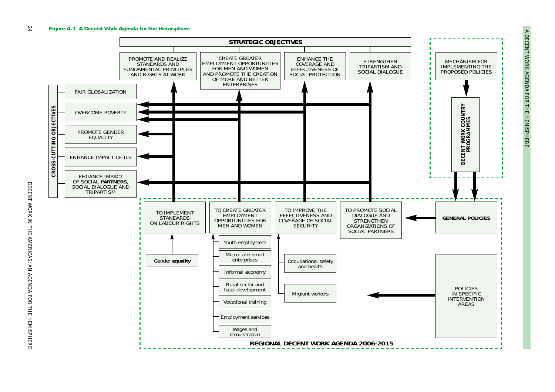

A DECENT WORK AGENDA FOR THE HEMISPHERE *A DECENT WORK AGENDA FOR THE HEMISPHERE*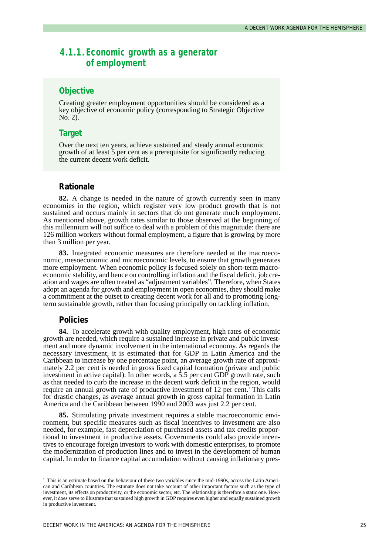### *4.1.1. Economic growth as a generator of employment*

### **Objective**

Creating greater employment opportunities should be considered as a key objective of economic policy (corresponding to Strategic Objective No. 2).

### **Target**

Over the next ten years, achieve sustained and steady annual economic growth of at least 5 per cent as a prerequisite for significantly reducing the current decent work deficit.

#### **Rationale**

**82.** A change is needed in the nature of growth currently seen in many economies in the region, which register very low product growth that is not sustained and occurs mainly in sectors that do not generate much employment. As mentioned above, growth rates similar to those observed at the beginning of this millennium will not suffice to deal with a problem of this magnitude: there are 126 million workers without formal employment, a figure that is growing by more than 3 million per year.

**83.** Integrated economic measures are therefore needed at the macroeconomic, mesoeconomic and microeconomic levels, to ensure that growth generates more employment. When economic policy is focused solely on short-term macroeconomic stability, and hence on controlling inflation and the fiscal deficit, job creation and wages are often treated as "adjustment variables". Therefore, when States adopt an agenda for growth and employment in open economies, they should make a commitment at the outset to creating decent work for all and to promoting longterm sustainable growth, rather than focusing principally on tackling inflation.

### **Policies**

**84.** To accelerate growth with quality employment, high rates of economic growth are needed, which require a sustained increase in private and public investment and more dynamic involvement in the international economy. As regards the necessary investment, it is estimated that for GDP in Latin America and the Caribbean to increase by one percentage point, an average growth rate of approximately 2.2 per cent is needed in gross fixed capital formation (private and public investment in active capital). In other words, a  $\bar{5}$  per cent GDP growth rate, such as that needed to curb the increase in the decent work deficit in the region, would require an annual growth rate of productive investment of 12 per cent.<sup>2</sup> This calls for drastic changes, as average annual growth in gross capital formation in Latin America and the Caribbean between 1990 and 2003 was just 2.2 per cent.

**85.** Stimulating private investment requires a stable macroeconomic environment, but specific measures such as fiscal incentives to investment are also needed, for example, fast depreciation of purchased assets and tax credits proportional to investment in productive assets. Governments could also provide incentives to encourage foreign investors to work with domestic enterprises, to promote the modernization of production lines and to invest in the development of human capital. In order to finance capital accumulation without causing inflationary pres-

<sup>&</sup>lt;sup>2</sup> This is an estimate based on the behaviour of these two variables since the mid-1990s, across the Latin American and Caribbean countries. The estimate does not take account of other important factors such as the type of investment, its effects on productivity, or the economic sector, etc. The relationship is therefore a static one. However, it does serve to illustrate that sustained high growth in GDP requires even higher and equally sustained growth in productive investment.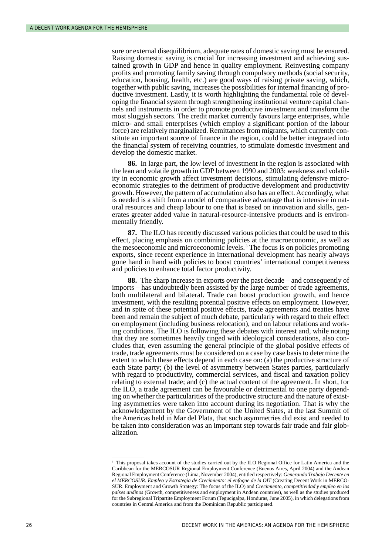sure or external disequilibrium, adequate rates of domestic saving must be ensured. Raising domestic saving is crucial for increasing investment and achieving sustained growth in GDP and hence in quality employment. Reinvesting company profits and promoting family saving through compulsory methods (social security, education, housing, health, etc.) are good ways of raising private saving, which, together with public saving, increases the possibilities for internal financing of productive investment. Lastly, it is worth highlighting the fundamental role of developing the financial system through strengthening institutional venture capital channels and instruments in order to promote productive investment and transform the most sluggish sectors. The credit market currently favours large enterprises, while micro- and small enterprises (which employ a significant portion of the labour force) are relatively marginalized. Remittances from migrants, which currently constitute an important source of finance in the region, could be better integrated into the financial system of receiving countries, to stimulate domestic investment and develop the domestic market.

**86.** In large part, the low level of investment in the region is associated with the lean and volatile growth in GDP between 1990 and 2003: weakness and volatility in economic growth affect investment decisions, stimulating defensive microeconomic strategies to the detriment of productive development and productivity growth. However, the pattern of accumulation also has an effect. Accordingly, what is needed is a shift from a model of comparative advantage that is intensive in natural resources and cheap labour to one that is based on innovation and skills, generates greater added value in natural-resource-intensive products and is environmentally friendly.

**87.** The ILO has recently discussed various policies that could be used to this effect, placing emphasis on combining policies at the macroeconomic, as well as the mesoeconomic and microeconomic levels. <sup>3</sup> The focus is on policies promoting exports, since recent experience in international development has nearly always gone hand in hand with policies to boost countries' international competitiveness and policies to enhance total factor productivity.

**88.** The sharp increase in exports over the past decade – and consequently of imports – has undoubtedly been assisted by the large number of trade agreements, both multilateral and bilateral. Trade can boost production growth, and hence investment, with the resulting potential positive effects on employment. However, and in spite of these potential positive effects, trade agreements and treaties have been and remain the subject of much debate, particularly with regard to their effect on employment (including business relocation), and on labour relations and working conditions. The ILO is following these debates with interest and, while noting that they are sometimes heavily tinged with ideological considerations, also concludes that, even assuming the general principle of the global positive effects of trade, trade agreements must be considered on a case by case basis to determine the extent to which these effects depend in each case on: (a) the productive structure of each State party; (b) the level of asymmetry between States parties, particularly with regard to productivity, commercial services, and fiscal and taxation policy relating to external trade; and (c) the actual content of the agreement. In short, for the ILO, a trade agreement can be favourable or detrimental to one party depending on whether the particularities of the productive structure and the nature of existing asymmetries were taken into account during its negotiation. That is why the acknowledgement by the Government of the United States, at the last Summit of the Americas held in Mar del Plata, that such asymmetries did exist and needed to be taken into consideration was an important step towards fair trade and fair globalization.

<sup>&</sup>lt;sup>3</sup> This proposal takes account of the studies carried out by the ILO Regional Office for Latin America and the Caribbean for the MERCOSUR Regional Employment Conference (Buenos Aires, April 2004) and the Andean Regional Employment Conference (Lima, November 2004), entitled respectively: *Generando Trabajo Decente en el MERCOSUR. Empleo y Estrategia de Crecimiento: el enfoque de la OIT* (Creating Decent Work in MERCO-SUR. Employment and Growth Strategy: The focus of the ILO) and *Crecimiento, competitividad y empleo en los países andinos* (Growth, competitiveness and employment in Andean countries), as well as the studies produced for the Subregional Tripartite Employment Forum (Tegucigalpa, Honduras, June 2005), in which delegations from countries in Central America and from the Dominican Republic participated.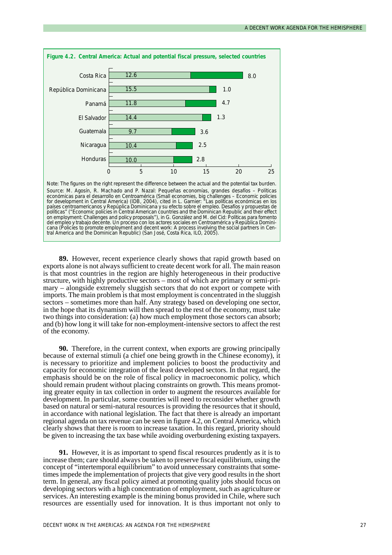

Source: M. Agosín, R. Machado and P. Nazal: *Pequeñas economías, grandes desafíos – Políticas económicas para el desarrollo en Centroamérica* (Small economies, big challenges – Economic policies for development in Central America) (IDB, 2004), cited in L. Garnier: *"Las políticas económicas en los países centroamericanos y Repúplica Dominicana y su efecto sobre el empleo. Desafíos y propuestas de políticas"* ("Economic policies in Central American countries and the Dominican Republic and their effect on employment: Challenges and policy proposals"), in G. González and M. del Cid: *Políticas para fomento del empleo y trabajo decente. Un proceso con los actores sociales en Centroamérica y República Dominicana* (Policies to promote employment and decent work: A process involving the social partners in Central America and the Dominican Republic) (San José, Costa Rica, ILO, 2005).

**89.** However, recent experience clearly shows that rapid growth based on exports alone is not always sufficient to create decent work for all. The main reason is that most countries in the region are highly heterogeneous in their productive structure, with highly productive sectors – most of which are primary or semi-primary – alongside extremely sluggish sectors that do not export or compete with imports. The main problem is that most employment is concentrated in the sluggish sectors – sometimes more than half. Any strategy based on developing one sector, in the hope that its dynamism will then spread to the rest of the economy, must take two things into consideration: (a) how much employment those sectors can absorb; and (b) how long it will take for non-employment-intensive sectors to affect the rest of the economy.

**90.** Therefore, in the current context, when exports are growing principally because of external stimuli (a chief one being growth in the Chinese economy), it is necessary to prioritize and implement policies to boost the productivity and capacity for economic integration of the least developed sectors. In that regard, the emphasis should be on the role of fiscal policy in macroeconomic policy, which should remain prudent without placing constraints on growth. This means promoting greater equity in tax collection in order to augment the resources available for development. In particular, some countries will need to reconsider whether growth based on natural or semi-natural resources is providing the resources that it should, in accordance with national legislation. The fact that there is already an important regional agenda on tax revenue can be seen in figure 4.2, on Central America, which clearly shows that there is room to increase taxation. In this regard, priority should be given to increasing the tax base while avoiding overburdening existing taxpayers.

**91.** However, it is as important to spend fiscal resources prudently as it is to increase them; care should always be taken to preserve fiscal equilibrium, using the concept of "intertemporal equilibrium" to avoid unnecessary constraints that sometimes impede the implementation of projects that give very good results in the short term. In general, any fiscal policy aimed at promoting quality jobs should focus on developing sectors with a high concentration of employment, such as agriculture or services. An interesting example is the mining bonus provided in Chile, where such resources are essentially used for innovation. It is thus important not only to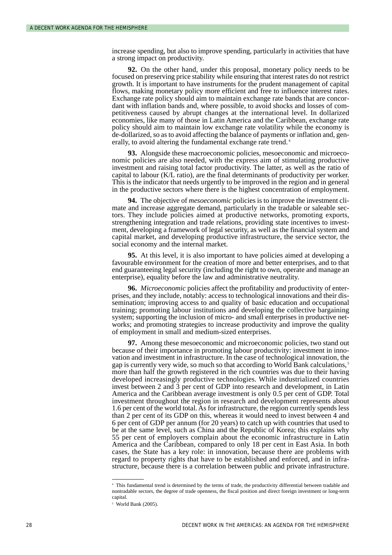increase spending, but also to improve spending, particularly in activities that have a strong impact on productivity.

**92.** On the other hand, under this proposal, monetary policy needs to be focused on preserving price stability while ensuring that interest rates do not restrict growth. It is important to have instruments for the prudent management of capital flows, making monetary policy more efficient and free to influence interest rates. Exchange rate policy should aim to maintain exchange rate bands that are concordant with inflation bands and, where possible, to avoid shocks and losses of competitiveness caused by abrupt changes at the international level. In dollarized economies, like many of those in Latin America and the Caribbean, exchange rate policy should aim to maintain low exchange rate volatility while the economy is de-dollarized, so as to avoid affecting the balance of payments or inflation and, generally, to avoid altering the fundamental exchange rate trend.<sup>4</sup>

**93.** Alongside these macroeconomic policies, mesoeconomic and microeconomic policies are also needed, with the express aim of stimulating productive investment and raising total factor productivity. The latter, as well as the ratio of capital to labour (K/L ratio), are the final determinants of productivity per worker. This is the indicator that needs urgently to be improved in the region and in general in the productive sectors where there is the highest concentration of employment.

**94.** The objective of *mesoeconomic* policies is to improve the investment climate and increase aggregate demand, particularly in the tradable or saleable sectors. They include policies aimed at productive networks, promoting exports, strengthening integration and trade relations, providing state incentives to investment, developing a framework of legal security, as well as the financial system and capital market, and developing productive infrastructure, the service sector, the social economy and the internal market.

**95.** At this level, it is also important to have policies aimed at developing a favourable environment for the creation of more and better enterprises, and to that end guaranteeing legal security (including the right to own, operate and manage an enterprise), equality before the law and administrative neutrality.

**96.** *Microeconomic* policies affect the profitability and productivity of enterprises, and they include, notably: access to technological innovations and their dissemination; improving access to and quality of basic education and occupational training; promoting labour institutions and developing the collective bargaining system; supporting the inclusion of micro- and small enterprises in productive networks; and promoting strategies to increase productivity and improve the quality of employment in small and medium-sized enterprises.

**97.** Among these mesoeconomic and microeconomic policies, two stand out because of their importance in promoting labour productivity: investment in innovation and investment in infrastructure. In the case of technological innovation, the gap is currently very wide, so much so that according to World Bank calculations, <sup>5</sup> more than half the growth registered in the rich countries was due to their having developed increasingly productive technologies. While industrialized countries invest between 2 and 3 per cent of GDP into research and development, in Latin America and the Caribbean average investment is only 0.5 per cent of GDP. Total investment throughout the region in research and development represents about 1.6 per cent of the world total. As for infrastructure, the region currently spends less than 2 per cent of its GDP on this, whereas it would need to invest between 4 and 6 per cent of GDP per annum (for 20 years) to catch up with countries that used to be at the same level, such as China and the Republic of Korea; this explains why 55 per cent of employers complain about the economic infrastructure in Latin America and the Caribbean, compared to only 18 per cent in East Asia. In both cases, the State has a key role: in innovation, because there are problems with regard to property rights that have to be established and enforced, and in infrastructure, because there is a correlation between public and private infrastructure.

<sup>4</sup> This fundamental trend is determined by the terms of trade, the productivity differential between tradable and nontradable sectors, the degree of trade openness, the fiscal position and direct foreign investment or long-term capital.

<sup>5</sup> World Bank (2005).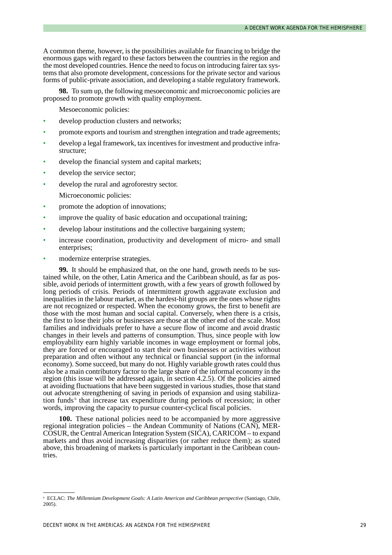A common theme, however, is the possibilities available for financing to bridge the enormous gaps with regard to these factors between the countries in the region and the most developed countries. Hence the need to focus on introducing fairer tax systems that also promote development, concessions for the private sector and various forms of public-private association, and developing a stable regulatory framework.

**98.** To sum up, the following mesoeconomic and microeconomic policies are proposed to promote growth with quality employment.

Mesoeconomic policies:

- develop production clusters and networks:
- promote exports and tourism and strengthen integration and trade agreements;
- develop a legal framework, tax incentives for investment and productive infrastructure;
- develop the financial system and capital markets;
- develop the service sector;
- develop the rural and agroforestry sector.

Microeconomic policies:

- promote the adoption of innovations;
- improve the quality of basic education and occupational training;
- develop labour institutions and the collective bargaining system;
- increase coordination, productivity and development of micro- and small enterprises;
- modernize enterprise strategies.

**99.** It should be emphasized that, on the one hand, growth needs to be sustained while, on the other, Latin America and the Caribbean should, as far as possible, avoid periods of intermittent growth, with a few years of growth followed by long periods of crisis. Periods of intermittent growth aggravate exclusion and inequalities in the labour market, as the hardest-hit groups are the ones whose rights are not recognized or respected. When the economy grows, the first to benefit are those with the most human and social capital. Conversely, when there is a crisis, the first to lose their jobs or businesses are those at the other end of the scale. Most families and individuals prefer to have a secure flow of income and avoid drastic changes in their levels and patterns of consumption. Thus, since people with low employability earn highly variable incomes in wage employment or formal jobs, they are forced or encouraged to start their own businesses or activities without preparation and often without any technical or financial support (in the informal economy). Some succeed, but many do not. Highly variable growth rates could thus also be a main contributory factor to the large share of the informal economy in the region (this issue will be addressed again, in section 4.2.5). Of the policies aimed at avoiding fluctuations that have been suggested in various studies, those that stand out advocate strengthening of saving in periods of expansion and using stabilization funds<sup>6</sup> that increase tax expenditure during periods of recession; in other words, improving the capacity to pursue counter-cyclical fiscal policies.

**100.** These national policies need to be accompanied by more aggressive regional integration policies – the Andean Community of Nations (CAN), MER-COSUR, the Central American Integration System (SICA), CARICOM – to expand markets and thus avoid increasing disparities (or rather reduce them); as stated above, this broadening of markets is particularly important in the Caribbean countries.

<sup>6</sup> ECLAC: *The Millennium Development Goals: A Latin American and Caribbean perspective* (Santiago, Chile, 2005).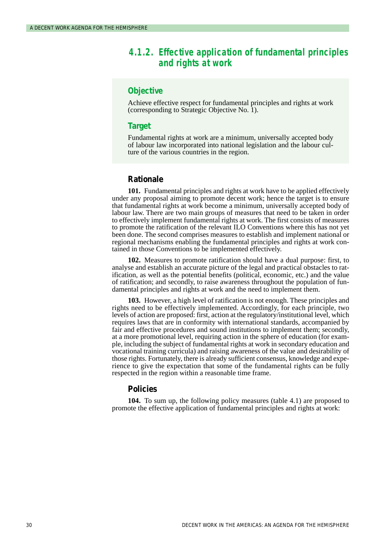### *4.1.2. Effective application of fundamental principles and rights at work*

### **Objective**

Achieve effective respect for fundamental principles and rights at work (corresponding to Strategic Objective No. 1).

### **Target**

Fundamental rights at work are a minimum, universally accepted body of labour law incorporated into national legislation and the labour culture of the various countries in the region.

### **Rationale**

**101.** Fundamental principles and rights at work have to be applied effectively under any proposal aiming to promote decent work; hence the target is to ensure that fundamental rights at work become a minimum, universally accepted body of labour law. There are two main groups of measures that need to be taken in order to effectively implement fundamental rights at work. The first consists of measures to promote the ratification of the relevant ILO Conventions where this has not yet been done. The second comprises measures to establish and implement national or regional mechanisms enabling the fundamental principles and rights at work contained in those Conventions to be implemented effectively.

**102.** Measures to promote ratification should have a dual purpose: first, to analyse and establish an accurate picture of the legal and practical obstacles to ratification, as well as the potential benefits (political, economic, etc.) and the value of ratification; and secondly, to raise awareness throughout the population of fundamental principles and rights at work and the need to implement them.

**103.** However, a high level of ratification is not enough. These principles and rights need to be effectively implemented. Accordingly, for each principle, two levels of action are proposed: first, action at the regulatory/institutional level, which requires laws that are in conformity with international standards, accompanied by fair and effective procedures and sound institutions to implement them; secondly, at a more promotional level, requiring action in the sphere of education (for example, including the subject of fundamental rights at work in secondary education and vocational training curricula) and raising awareness of the value and desirability of those rights. Fortunately, there is already sufficient consensus, knowledge and experience to give the expectation that some of the fundamental rights can be fully respected in the region within a reasonable time frame.

### **Policies**

**104.** To sum up, the following policy measures (table 4.1) are proposed to promote the effective application of fundamental principles and rights at work: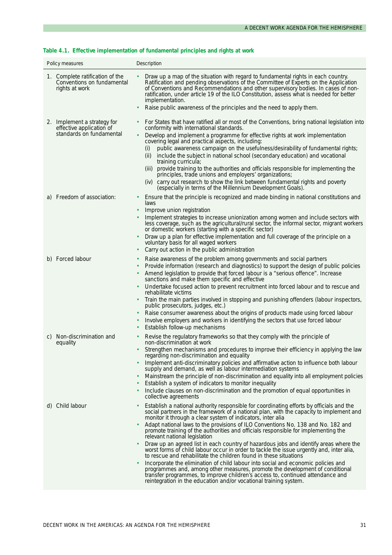### **Table 4.1. Effective implementation of fundamental principles and rights at work**

| Policy measures                                                                     | Description                                                                                                                                                                                                                                                                                                                                                                                                                                                                                                                                                                                                                                                                                                                                                                                                                                                                                                                                                                                                                                                           |
|-------------------------------------------------------------------------------------|-----------------------------------------------------------------------------------------------------------------------------------------------------------------------------------------------------------------------------------------------------------------------------------------------------------------------------------------------------------------------------------------------------------------------------------------------------------------------------------------------------------------------------------------------------------------------------------------------------------------------------------------------------------------------------------------------------------------------------------------------------------------------------------------------------------------------------------------------------------------------------------------------------------------------------------------------------------------------------------------------------------------------------------------------------------------------|
| 1. Complete ratification of the<br>Conventions on fundamental<br>rights at work     | Draw up a map of the situation with regard to fundamental rights in each country.<br>Ratification and pending observations of the Committee of Experts on the Application<br>of Conventions and Recommendations and other supervisory bodies. In cases of non-<br>ratification, under article 19 of the ILO Constitution, assess what is needed for better<br>implementation.<br>Raise public awareness of the principles and the need to apply them.                                                                                                                                                                                                                                                                                                                                                                                                                                                                                                                                                                                                                 |
| 2. Implement a strategy for<br>effective application of<br>standards on fundamental | For States that have ratified all or most of the Conventions, bring national legislation into<br>conformity with international standards.<br>Develop and implement a programme for effective rights at work implementation<br>covering legal and practical aspects, including:<br>public awareness campaign on the usefulness/desirability of fundamental rights;<br>(i)<br>include the subject in national school (secondary education) and vocational<br>(ii)<br>training curricula;<br>provide training to the authorities and officials responsible for implementing the<br>(iii)<br>principles, trade unions and employers' organizations;                                                                                                                                                                                                                                                                                                                                                                                                                       |
| a) Freedom of association:                                                          | (iv) carry out research to show the link between fundamental rights and poverty<br>(especially in terms of the Millennium Development Goals).<br>Ensure that the principle is recognized and made binding in national constitutions and<br>laws<br>Improve union registration<br>Implement strategies to increase unionization among women and include sectors with<br>less coverage, such as the agricultural/rural sector, the informal sector, migrant workers<br>or domestic workers (starting with a specific sector)<br>Draw up a plan for effective implementation and full coverage of the principle on a<br>voluntary basis for all waged workers<br>Carry out action in the public administration<br>$\bullet$                                                                                                                                                                                                                                                                                                                                              |
| b) Forced labour                                                                    | Raise awareness of the problem among governments and social partners<br>Provide information (research and diagnostics) to support the design of public policies<br>Amend legislation to provide that forced labour is a "serious offence". Increase<br>sanctions and make them specific and effective<br>Undertake focused action to prevent recruitment into forced labour and to rescue and<br>rehabilitate victims<br>Train the main parties involved in stopping and punishing offenders (labour inspectors,<br>public prosecutors, judges, etc.)<br>Raise consumer awareness about the origins of products made using forced labour<br>$\bullet$<br>Involve employers and workers in identifying the sectors that use forced labour<br>Establish follow-up mechanisms                                                                                                                                                                                                                                                                                            |
| Non-discrimination and<br>C<br>equality                                             | Revise the regulatory frameworks so that they comply with the principle of<br>non-discrimination at work<br>Strengthen mechanisms and procedures to improve their efficiency in applying the law<br>regarding non-discrimination and equality<br>Implement anti-discriminatory policies and affirmative action to influence both labour<br>supply and demand, as well as labour intermediation systems<br>Mainstream the principle of non-discrimination and equality into all employment policies<br>Establish a system of indicators to monitor inequality<br>Include clauses on non-discrimination and the promotion of equal opportunities in<br>collective agreements                                                                                                                                                                                                                                                                                                                                                                                            |
| d) Child labour                                                                     | Establish a national authority responsible for coordinating efforts by officials and the<br>$\bullet$<br>social partners in the framework of a national plan, with the capacity to implement and<br>monitor it through a clear system of indicators, inter alia<br>Adapt national laws to the provisions of ILO Conventions No. 138 and No. 182 and<br>promote training of the authorities and officials responsible for implementing the<br>relevant national legislation<br>Draw up an agreed list in each country of hazardous jobs and identify areas where the<br>٠<br>worst forms of child labour occur in order to tackle the issue urgently and, inter alia,<br>to rescue and rehabilitate the children found in these situations<br>Incorporate the elimination of child labour into social and economic policies and<br>programmes and, among other measures, promote the development of conditional<br>transfer programmes, to improve children's access to, continued attendance and<br>reintegration in the education and/or vocational training system. |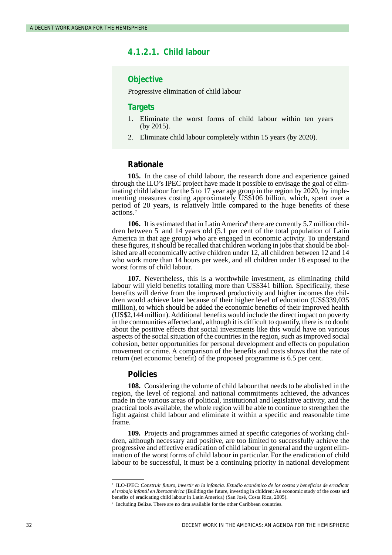## **4.1.2.1. Child labour**

### **Objective**

Progressive elimination of child labour

#### **Targets**

- 1. Eliminate the worst forms of child labour within ten years (by 2015).
- 2. Eliminate child labour completely within 15 years (by 2020).

### **Rationale**

**105.** In the case of child labour, the research done and experience gained through the ILO's IPEC project have made it possible to envisage the goal of eliminating child labour for the  $\frac{5}{9}$  to 17 year age group in the region by 2020, by implementing measures costing approximately US\$106 billion, which, spent over a period of 20 years, is relatively little compared to the huge benefits of these actions.<sup>7</sup>

**106.** It is estimated that in Latin America<sup>8</sup> there are currently 5.7 million children between 5 and 14 years old (5.1 per cent of the total population of Latin America in that age group) who are engaged in economic activity. To understand these figures, it should be recalled that children working in jobs that should be abolished are all economically active children under 12, all children between 12 and 14 who work more than 14 hours per week, and all children under 18 exposed to the worst forms of child labour.

**107.** Nevertheless, this is a worthwhile investment, as eliminating child labour will yield benefits totalling more than US\$341 billion. Specifically, these benefits will derive from the improved productivity and higher incomes the children would achieve later because of their higher level of education (US\$339,035 million), to which should be added the economic benefits of their improved health (US\$2,144 million). Additional benefits would include the direct impact on poverty in the communities affected and, although it is difficult to quantify, there is no doubt about the positive effects that social investments like this would have on various aspects of the social situation of the countries in the region, such as improved social cohesion, better opportunities for personal development and effects on population movement or crime. A comparison of the benefits and costs shows that the rate of return (net economic benefit) of the proposed programme is 6.5 per cent.

#### **Policies**

**108.** Considering the volume of child labour that needs to be abolished in the region, the level of regional and national commitments achieved, the advances made in the various areas of political, institutional and legislative activity, and the practical tools available, the whole region will be able to continue to strengthen the fight against child labour and eliminate it within a specific and reasonable time frame.

**109.** Projects and programmes aimed at specific categories of working children, although necessary and positive, are too limited to successfully achieve the progressive and effective eradication of child labour in general and the urgent elimination of the worst forms of child labour in particular. For the eradication of child labour to be successful, it must be a continuing priority in national development

<sup>7</sup> ILO-IPEC: *Construir futuro, invertir en la infancia. Estudio económico de los costos y beneficios de erradicar el trabajo infantil en Iberoamérica* (Building the future, investing in children: An economic study of the costs and benefits of eradicating child labour in Latin America) (San José, Costa Rica, 2005).

<sup>8</sup> Including Belize. There are no data available for the other Caribbean countries.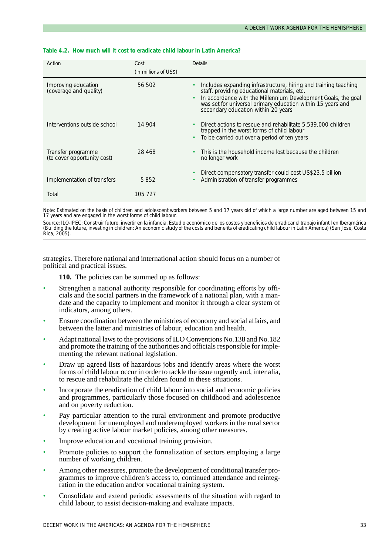| Action                                            | Cost<br>(in millions of US\$) | <b>Details</b>                                                                                                                                                                                                                                                                         |
|---------------------------------------------------|-------------------------------|----------------------------------------------------------------------------------------------------------------------------------------------------------------------------------------------------------------------------------------------------------------------------------------|
| Improving education<br>(coverage and quality)     | 56 502                        | Includes expanding infrastructure, hiring and training teaching<br>staff, providing educational materials, etc.<br>In accordance with the Millennium Development Goals, the goal<br>was set for universal primary education within 15 years and<br>secondary education within 20 years |
| Interventions outside school                      | 14 904                        | Direct actions to rescue and rehabilitate 5,539,000 children<br>trapped in the worst forms of child labour<br>To be carried out over a period of ten years                                                                                                                             |
| Transfer programme<br>(to cover opportunity cost) | 28 4 6 8                      | This is the household income lost because the children<br>no longer work                                                                                                                                                                                                               |
| Implementation of transfers                       | 5852                          | Direct compensatory transfer could cost US\$23.5 billion<br>Administration of transfer programmes                                                                                                                                                                                      |
| Total                                             | 105 727                       |                                                                                                                                                                                                                                                                                        |

#### **Table 4.2. How much will it cost to eradicate child labour in Latin America?**

Note: Estimated on the basis of children and adolescent workers between 5 and 17 years old of which a large number are aged between 15 and 17 years and are engaged in the worst forms of child labour.

Source: ILO-IPEC: *Construir futuro, invertir en la infancia. Estudio económico de los costos y beneficios de erradicar el trabajo infantil en Iberamérica* (Building the future, investing in children: An economic study of the costs and benefits of eradicating child labour in Latin America) (San José, Costa Rica, 2005).

strategies. Therefore national and international action should focus on a number of political and practical issues.

- **110.** The policies can be summed up as follows:
- Strengthen a national authority responsible for coordinating efforts by officials and the social partners in the framework of a national plan, with a mandate and the capacity to implement and monitor it through a clear system of indicators, among others.
- Ensure coordination between the ministries of economy and social affairs, and between the latter and ministries of labour, education and health.
- Adapt national laws to the provisions of ILO Conventions No.138 and No.182 and promote the training of the authorities and officials responsible for implementing the relevant national legislation.
- Draw up agreed lists of hazardous jobs and identify areas where the worst forms of child labour occur in order to tackle the issue urgently and, inter alia, to rescue and rehabilitate the children found in these situations.
- Incorporate the eradication of child labour into social and economic policies and programmes, particularly those focused on childhood and adolescence and on poverty reduction.
- Pay particular attention to the rural environment and promote productive development for unemployed and underemployed workers in the rural sector by creating active labour market policies, among other measures.
- Improve education and vocational training provision.
- Promote policies to support the formalization of sectors employing a large number of working children.
- Among other measures, promote the development of conditional transfer programmes to improve children's access to, continued attendance and reintegration in the education and/or vocational training system.
- Consolidate and extend periodic assessments of the situation with regard to child labour, to assist decision-making and evaluate impacts.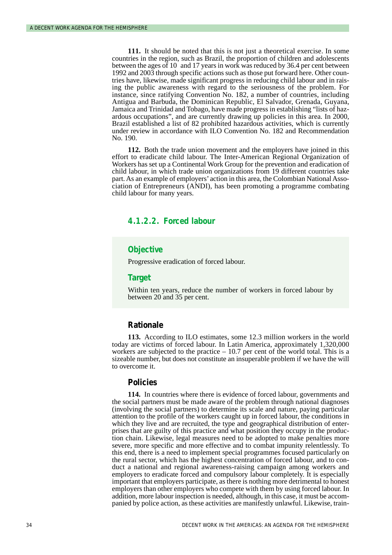**111.** It should be noted that this is not just a theoretical exercise. In some countries in the region, such as Brazil, the proportion of children and adolescents between the ages of 10 and 17 years in work was reduced by 36.4 per cent between 1992 and 2003 through specific actions such as those put forward here. Other countries have, likewise, made significant progress in reducing child labour and in raising the public awareness with regard to the seriousness of the problem. For instance, since ratifying Convention No. 182, a number of countries, including Antigua and Barbuda, the Dominican Republic, El Salvador, Grenada, Guyana, Jamaica and Trinidad and Tobago, have made progress in establishing "lists of hazardous occupations", and are currently drawing up policies in this area. In 2000, Brazil established a list of 82 prohibited hazardous activities, which is currently under review in accordance with ILO Convention No. 182 and Recommendation No. 190.

**112.** Both the trade union movement and the employers have joined in this effort to eradicate child labour. The Inter-American Regional Organization of Workers has set up a Continental Work Group for the prevention and eradication of child labour, in which trade union organizations from 19 different countries take part. As an example of employers'action in this area, the Colombian National Association of Entrepreneurs (ANDI), has been promoting a programme combating child labour for many years.

# **4.1.2.2. Forced labour**

#### **Objective**

Progressive eradication of forced labour.

#### **Target**

Within ten years, reduce the number of workers in forced labour by between 20 and 35 per cent.

#### **Rationale**

**113.** According to ILO estimates, some 12.3 million workers in the world today are victims of forced labour. In Latin America, approximately 1,320,000 workers are subjected to the practice  $-10.7$  per cent of the world total. This is a sizeable number, but does not constitute an insuperable problem if we have the will to overcome it.

#### **Policies**

**114.** In countries where there is evidence of forced labour, governments and the social partners must be made aware of the problem through national diagnoses (involving the social partners) to determine its scale and nature, paying particular attention to the profile of the workers caught up in forced labour, the conditions in which they live and are recruited, the type and geographical distribution of enterprises that are guilty of this practice and what position they occupy in the production chain. Likewise, legal measures need to be adopted to make penalties more severe, more specific and more effective and to combat impunity relentlessly. To this end, there is a need to implement special programmes focused particularly on the rural sector, which has the highest concentration of forced labour, and to conduct a national and regional awareness-raising campaign among workers and employers to eradicate forced and compulsory labour completely. It is especially important that employers participate, as there is nothing more detrimental to honest employers than other employers who compete with them by using forced labour. In addition, more labour inspection is needed, although, in this case, it must be accompanied by police action, as these activities are manifestly unlawful. Likewise, train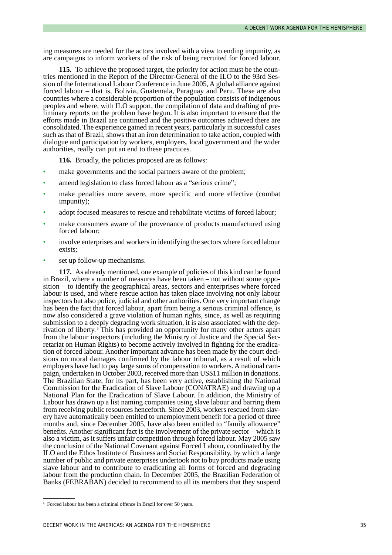ing measures are needed for the actors involved with a view to ending impunity, as are campaigns to inform workers of the risk of being recruited for forced labour.

**115.** To achieve the proposed target, the priority for action must be the countries mentioned in the Report of the Director-General of the ILO to the 93rd Session of the International Labour Conference in June 2005, A global alliance against forced labour – that is, Bolivia, Guatemala, Paraguay and Peru. These are also countries where a considerable proportion of the population consists of indigenous peoples and where, with ILO support, the compilation of data and drafting of preliminary reports on the problem have begun. It is also important to ensure that the efforts made in Brazil are continued and the positive outcomes achieved there are consolidated. The experience gained in recent years, particularly in successful cases such as that of Brazil, shows that an iron determination to take action, coupled with dialogue and participation by workers, employers, local government and the wider authorities, really can put an end to these practices.

**116.** Broadly, the policies proposed are as follows:

- make governments and the social partners aware of the problem;
- amend legislation to class forced labour as a "serious crime";
- make penalties more severe, more specific and more effective (combat impunity);
- adopt focused measures to rescue and rehabilitate victims of forced labour;
- make consumers aware of the provenance of products manufactured using forced labour;
- involve enterprises and workers in identifying the sectors where forced labour exists;
- set up follow-up mechanisms.

**117.** As already mentioned, one example of policies of this kind can be found in Brazil, where a number of measures have been taken – not without some opposition – to identify the geographical areas, sectors and enterprises where forced labour is used, and where rescue action has taken place involving not only labour inspectors but also police, judicial and other authorities. One very important change has been the fact that forced labour, apart from being a serious criminal offence, is now also considered a grave violation of human rights, since, as well as requiring submission to a deeply degrading work situation, it is also associated with the deprivation of liberty.<sup>9</sup> This has provided an opportunity for many other actors apart from the labour inspectors (including the Ministry of Justice and the Special Secretariat on Human Rights) to become actively involved in fighting for the eradication of forced labour. Another important advance has been made by the court decisions on moral damages confirmed by the labour tribunal, as a result of which employers have had to pay large sums of compensation to workers. A national campaign, undertaken in October 2003, received more than US\$11 million in donations. The Brazilian State, for its part, has been very active, establishing the National Commission for the Eradication of Slave Labour (CONATRAE) and drawing up a National Plan for the Eradication of Slave Labour. In addition, the Ministry of Labour has drawn up a list naming companies using slave labour and barring them from receiving public resources henceforth. Since 2003, workers rescued from slavery have automatically been entitled to unemployment benefit for a period of three months and, since December 2005, have also been entitled to "family allowance" benefits. Another significant fact is the involvement of the private sector – which is also a victim, as it suffers unfair competition through forced labour. May 2005 saw the conclusion of the National Covenant against Forced Labour, coordinated by the ILO and the Ethos Institute of Business and Social Responsibility, by which a large number of public and private enterprises undertook not to buy products made using slave labour and to contribute to eradicating all forms of forced and degrading labour from the production chain. In December 2005, the Brazilian Federation of Banks (FEBRABAN) decided to recommend to all its members that they suspend

<sup>9</sup> Forced labour has been a criminal offence in Brazil for over 50 years.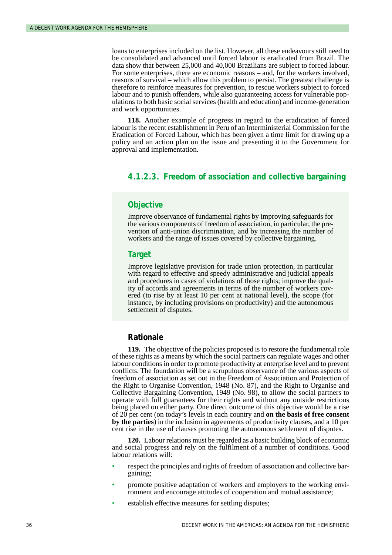loans to enterprises included on the list. However, all these endeavours still need to be consolidated and advanced until forced labour is eradicated from Brazil. The data show that between 25,000 and 40,000 Brazilians are subject to forced labour. For some enterprises, there are economic reasons – and, for the workers involved, reasons of survival – which allow this problem to persist. The greatest challenge is therefore to reinforce measures for prevention, to rescue workers subject to forced labour and to punish offenders, while also guaranteeing access for vulnerable populations to both basic social services (health and education) and income-generation and work opportunities.

**118.** Another example of progress in regard to the eradication of forced labour is the recent establishment in Peru of an Interministerial Commission for the Eradication of Forced Labour, which has been given a time limit for drawing up a policy and an action plan on the issue and presenting it to the Government for approval and implementation.

## **4.1.2.3. Freedom of association and collective bargaining**

#### **Objective**

Improve observance of fundamental rights by improving safeguards for the various components of freedom of association, in particular, the prevention of anti-union discrimination, and by increasing the number of workers and the range of issues covered by collective bargaining.

#### **Target**

Improve legislative provision for trade union protection, in particular with regard to effective and speedy administrative and judicial appeals and procedures in cases of violations of those rights; improve the quality of accords and agreements in terms of the number of workers covered (to rise by at least 10 per cent at national level), the scope (for instance, by including provisions on productivity) and the autonomous settlement of disputes.

### **Rationale**

**119.** The objective of the policies proposed is to restore the fundamental role of these rights as a means by which the social partners can regulate wages and other labour conditions in order to promote productivity at enterprise level and to prevent conflicts. The foundation will be a scrupulous observance of the various aspects of freedom of association as set out in the Freedom of Association and Protection of the Right to Organise Convention, 1948 (No. 87), and the Right to Organise and Collective Bargaining Convention, 1949 (No. 98), to allow the social partners to operate with full guarantees for their rights and without any outside restrictions being placed on either party. One direct outcome of this objective would be a rise of 20 per cent (on today's levels in each country and **on the basis of free consent by the parties**) in the inclusion in agreements of productivity clauses, and a 10 per cent rise in the use of clauses promoting the autonomous settlement of disputes.

**120.** Labour relations must be regarded as a basic building block of economic and social progress and rely on the fulfilment of a number of conditions. Good labour relations will:

- respect the principles and rights of freedom of association and collective bargaining;
- promote positive adaptation of workers and employers to the working environment and encourage attitudes of cooperation and mutual assistance;
- establish effective measures for settling disputes: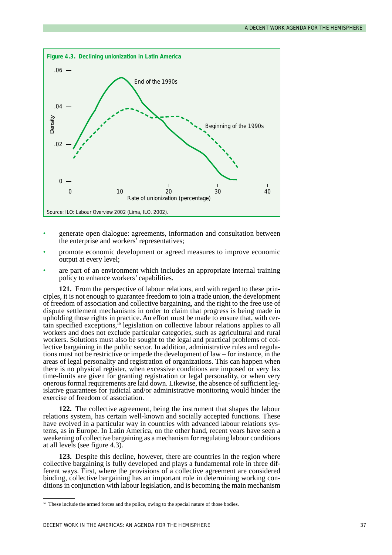

- generate open dialogue: agreements, information and consultation between the enterprise and workers' representatives;
- promote economic development or agreed measures to improve economic output at every level;
- are part of an environment which includes an appropriate internal training policy to enhance workers' capabilities.

**121.** From the perspective of labour relations, and with regard to these principles, it is not enough to guarantee freedom to join a trade union, the development of freedom of association and collective bargaining, and the right to the free use of dispute settlement mechanisms in order to claim that progress is being made in upholding those rights in practice. An effort must be made to ensure that, with certain specified exceptions,<sup>10</sup> legislation on collective labour relations applies to all workers and does not exclude particular categories, such as agricultural and rural workers. Solutions must also be sought to the legal and practical problems of collective bargaining in the public sector. In addition, administrative rules and regulations must not be restrictive or impede the development of law – for instance, in the areas of legal personality and registration of organizations. This can happen when there is no physical register, when excessive conditions are imposed or very lax time-limits are given for granting registration or legal personality, or when very onerous formal requirements are laid down. Likewise, the absence of sufficient legislative guarantees for judicial and/or administrative monitoring would hinder the exercise of freedom of association.

**122.** The collective agreement, being the instrument that shapes the labour relations system, has certain well-known and socially accepted functions. These have evolved in a particular way in countries with advanced labour relations systems, as in Europe. In Latin America, on the other hand, recent years have seen a weakening of collective bargaining as a mechanism for regulating labour conditions at all levels (see figure 4.3).

**123.** Despite this decline, however, there are countries in the region where collective bargaining is fully developed and plays a fundamental role in three different ways. First, where the provisions of a collective agreement are considered binding, collective bargaining has an important role in determining working conditions in conjunction with labour legislation, and is becoming the main mechanism

<sup>&</sup>lt;sup>10</sup> These include the armed forces and the police, owing to the special nature of those bodies.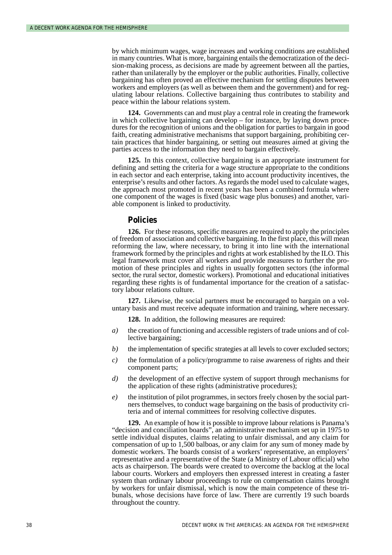by which minimum wages, wage increases and working conditions are established in many countries. What is more, bargaining entails the democratization of the decision-making process, as decisions are made by agreement between all the parties, rather than unilaterally by the employer or the public authorities. Finally, collective bargaining has often proved an effective mechanism for settling disputes between workers and employers (as well as between them and the government) and for regulating labour relations. Collective bargaining thus contributes to stability and peace within the labour relations system.

**124.** Governments can and must play a central role in creating the framework in which collective bargaining can develop – for instance, by laying down procedures for the recognition of unions and the obligation for parties to bargain in good faith, creating administrative mechanisms that support bargaining, prohibiting certain practices that hinder bargaining, or setting out measures aimed at giving the parties access to the information they need to bargain effectively.

**125.** In this context, collective bargaining is an appropriate instrument for defining and setting the criteria for a wage structure appropriate to the conditions in each sector and each enterprise, taking into account productivity incentives, the enterprise's results and other factors. As regards the model used to calculate wages, the approach most promoted in recent years has been a combined formula where one component of the wages is fixed (basic wage plus bonuses) and another, variable component is linked to productivity.

#### **Policies**

**126.** For these reasons, specific measures are required to apply the principles of freedom of association and collective bargaining. In the first place, this will mean reforming the law, where necessary, to bring it into line with the international framework formed by the principles and rights at work established by the ILO. This legal framework must cover all workers and provide measures to further the promotion of these principles and rights in usually forgotten sectors (the informal sector, the rural sector, domestic workers). Promotional and educational initiatives regarding these rights is of fundamental importance for the creation of a satisfactory labour relations culture.

**127.** Likewise, the social partners must be encouraged to bargain on a voluntary basis and must receive adequate information and training, where necessary.

**128.** In addition, the following measures are required:

- *a)* the creation of functioning and accessible registers of trade unions and of collective bargaining;
- *b*) the implementation of specific strategies at all levels to cover excluded sectors;
- *c)* the formulation of a policy/programme to raise awareness of rights and their component parts;
- *d)* the development of an effective system of support through mechanisms for the application of these rights (administrative procedures);
- *e)* the institution of pilot programmes, in sectors freely chosen by the social partners themselves, to conduct wage bargaining on the basis of productivity criteria and of internal committees for resolving collective disputes.

**129.** An example of how it is possible to improve labour relations is Panama's "decision and conciliation boards", an administrative mechanism set up in 1975 to settle individual disputes, claims relating to unfair dismissal, and any claim for compensation of up to 1,500 balboas, or any claim for any sum of money made by domestic workers. The boards consist of a workers' representative, an employers' representative and a representative of the State (a Ministry of Labour official) who acts as chairperson. The boards were created to overcome the backlog at the local labour courts. Workers and employers then expressed interest in creating a faster system than ordinary labour proceedings to rule on compensation claims brought by workers for unfair dismissal, which is now the main competence of these tribunals, whose decisions have force of law. There are currently 19 such boards throughout the country.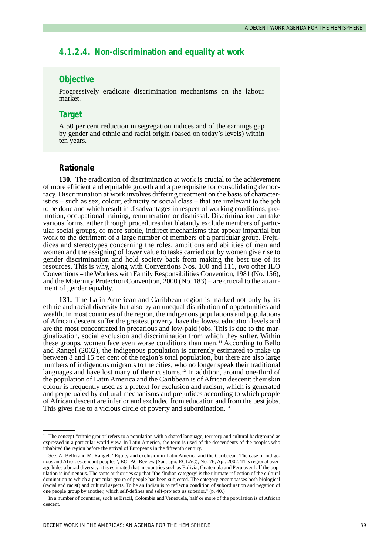# **4.1.2.4. Non-discrimination and equality at work**

# **Objective**

Progressively eradicate discrimination mechanisms on the labour market.

### **Target**

A 50 per cent reduction in segregation indices and of the earnings gap by gender and ethnic and racial origin (based on today's levels) within ten years.

### **Rationale**

**130.** The eradication of discrimination at work is crucial to the achievement of more efficient and equitable growth and a prerequisite for consolidating democracy. Discrimination at work involves differing treatment on the basis of characteristics – such as sex, colour, ethnicity or social class – that are irrelevant to the job to be done and which result in disadvantages in respect of working conditions, promotion, occupational training, remuneration or dismissal. Discrimination can take various forms, either through procedures that blatantly exclude members of particular social groups, or more subtle, indirect mechanisms that appear impartial but work to the detriment of a large number of members of a particular group. Prejudices and stereotypes concerning the roles, ambitions and abilities of men and women and the assigning of lower value to tasks carried out by women give rise to gender discrimination and hold society back from making the best use of its resources. This is why, along with Conventions Nos. 100 and 111, two other ILO Conventions – the Workers with Family Responsibilities Convention, 1981 (No. 156), and the Maternity Protection Convention, 2000 (No. 183) – are crucial to the attainment of gender equality.

**131.** The Latin American and Caribbean region is marked not only by its ethnic and racial diversity but also by an unequal distribution of opportunities and wealth. In most countries of the region, the indigenous populations and populations of African descent suffer the greatest poverty, have the lowest education levels and are the most concentrated in precarious and low-paid jobs. This is due to the marginalization, social exclusion and discrimination from which they suffer. Within these groups, women face even worse conditions than men. <sup>11</sup> According to Bello and Rangel (2002), the indigenous population is currently estimated to make up between 8 and 15 per cent of the region's total population, but there are also large numbers of indigenous migrants to the cities, who no longer speak their traditional languages and have lost many of their customs.<sup>12</sup> In addition, around one-third of the population of Latin America and the Caribbean is of African descent: their skin colour is frequently used as a pretext for exclusion and racism, which is generated and perpetuated by cultural mechanisms and prejudices according to which people of African descent are inferior and excluded from education and from the best jobs. This gives rise to a vicious circle of poverty and subordination.<sup>13</sup>

<sup>&</sup>lt;sup>11</sup> The concept "ethnic group" refers to a population with a shared language, territory and cultural background as expressed in a particular world view. In Latin America, the term is used of the descendents of the peoples who inhabited the region before the arrival of Europeans in the fifteenth century.

<sup>&</sup>lt;sup>12</sup> See: A. Bello and M. Rangel: "Equity and exclusion in Latin America and the Caribbean: The case of indigenous and Afro-descendant peoples", ECLAC Review (Santiago, ECLAC), No. 76, Apr. 2002. This regional average hides a broad diversity: it is estimated that in countries such as Bolivia, Guatemala and Peru over half the population is indigenous. The same authorities say that "the 'Indian category' is the ultimate reflection of the cultural domination to which a particular group of people has been subjected. The category encompasses both biological (racial and racist) and cultural aspects. To be an Indian is to reflect a condition of subordination and negation of one people group by another, which self-defines and self-projects as superior." (p. 40.)

<sup>&</sup>lt;sup>13</sup> In a number of countries, such as Brazil, Colombia and Venezuela, half or more of the population is of African descent.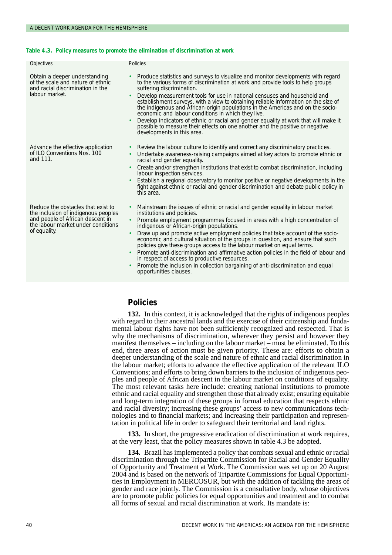#### **Table 4.3. Policy measures to promote the elimination of discrimination at work**

| Objectives                                                                                                                                                          | Policies                                                                                                                                                                                                                                                                                                                                                                                                                                                                                                                                                                                                                                                                                                                                        |
|---------------------------------------------------------------------------------------------------------------------------------------------------------------------|-------------------------------------------------------------------------------------------------------------------------------------------------------------------------------------------------------------------------------------------------------------------------------------------------------------------------------------------------------------------------------------------------------------------------------------------------------------------------------------------------------------------------------------------------------------------------------------------------------------------------------------------------------------------------------------------------------------------------------------------------|
| Obtain a deeper understanding<br>of the scale and nature of ethnic<br>and racial discrimination in the<br>labour market.                                            | Produce statistics and surveys to visualize and monitor developments with regard<br>$\bullet$<br>to the various forms of discrimination at work and provide tools to help groups<br>suffering discrimination.<br>Develop measurement tools for use in national censuses and household and<br>establishment surveys, with a view to obtaining reliable information on the size of<br>the indigenous and African-origin populations in the Americas and on the socio-<br>economic and labour conditions in which they live.<br>Develop indicators of ethnic or racial and gender equality at work that will make it<br>possible to measure their effects on one another and the positive or negative<br>developments in this area.                |
| Advance the effective application<br>of ILO Conventions Nos. 100<br>and 111.                                                                                        | Review the labour culture to identify and correct any discriminatory practices.<br>Undertake awareness-raising campaigns aimed at key actors to promote ethnic or<br>racial and gender equality.<br>Create and/or strengthen institutions that exist to combat discrimination, including<br>labour inspection services.<br>Establish a regional observatory to monitor positive or negative developments in the<br>fight against ethnic or racial and gender discrimination and debate public policy in<br>this area.                                                                                                                                                                                                                           |
| Reduce the obstacles that exist to<br>the inclusion of indigenous peoples<br>and people of African descent in<br>the labour market under conditions<br>of equality. | Mainstream the issues of ethnic or racial and gender equality in labour market<br>institutions and policies.<br>Promote employment programmes focused in areas with a high concentration of<br>indigenous or African-origin populations.<br>Draw up and promote active employment policies that take account of the socio-<br>economic and cultural situation of the groups in question, and ensure that such<br>policies give these groups access to the labour market on equal terms.<br>Promote anti-discrimination and affirmative action policies in the field of labour and<br>in respect of access to productive resources.<br>Promote the inclusion in collection bargaining of anti-discrimination and equal<br>opportunities clauses. |

# **Policies**

**132.** In this context, it is acknowledged that the rights of indigenous peoples with regard to their ancestral lands and the exercise of their citizenship and fundamental labour rights have not been sufficiently recognized and respected. That is why the mechanisms of discrimination, wherever they persist and however they manifest themselves – including on the labour market – must be eliminated. To this end, three areas of action must be given priority. These are: efforts to obtain a deeper understanding of the scale and nature of ethnic and racial discrimination in the labour market; efforts to advance the effective application of the relevant ILO Conventions; and efforts to bring down barriers to the inclusion of indigenous peoples and people of African descent in the labour market on conditions of equality. The most relevant tasks here include: creating national institutions to promote ethnic and racial equality and strengthen those that already exist; ensuring equitable and long-term integration of these groups in formal education that respects ethnic and racial diversity; increasing these groups' access to new communications technologies and to financial markets; and increasing their participation and representation in political life in order to safeguard their territorial and land rights.

**133.** In short, the progressive eradication of discrimination at work requires, at the very least, that the policy measures shown in table 4.3 be adopted.

**134.** Brazil has implemented a policy that combats sexual and ethnic or racial discrimination through the Tripartite Commission for Racial and Gender Equality of Opportunity and Treatment at Work. The Commission was set up on 20 August 2004 and is based on the network of Tripartite Commissions for Equal Opportunities in Employment in MERCOSUR, but with the addition of tackling the areas of gender and race jointly. The Commission is a consultative body, whose objectives are to promote public policies for equal opportunities and treatment and to combat all forms of sexual and racial discrimination at work. Its mandate is: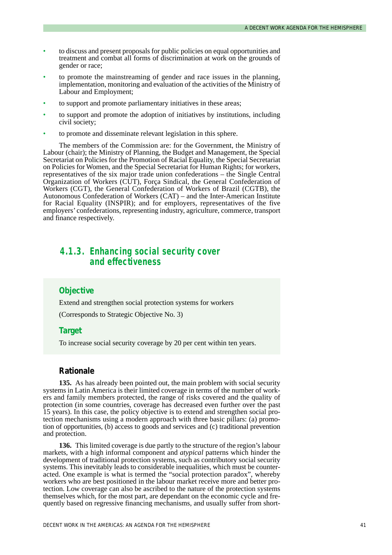- to discuss and present proposals for public policies on equal opportunities and treatment and combat all forms of discrimination at work on the grounds of gender or race;
- to promote the mainstreaming of gender and race issues in the planning, implementation, monitoring and evaluation of the activities of the Ministry of Labour and Employment;
- to support and promote parliamentary initiatives in these areas;
- to support and promote the adoption of initiatives by institutions, including civil society;
- to promote and disseminate relevant legislation in this sphere.

The members of the Commission are: for the Government, the Ministry of Labour (chair); the Ministry of Planning, the Budget and Management, the Special Secretariat on Policies for the Promotion of Racial Equality, the Special Secretariat on Policies for Women, and the Special Secretariat for Human Rights; for workers, representatives of the six major trade union confederations – the Single Central Organization of Workers (CUT), Força Sindical, the General Confederation of Workers (CGT), the General Confederation of Workers of Brazil (CGTB), the Autonomous Confederation of Workers (CAT) – and the Inter-American Institute for Racial Equality (INSPIR); and for employers, representatives of the five employers' confederations, representing industry, agriculture, commerce, transport and finance respectively.

# *4.1.3. Enhancing social security cover and effectiveness*

### **Objective**

Extend and strengthen social protection systems for workers

(Corresponds to Strategic Objective No. 3)

## **Target**

To increase social security coverage by 20 per cent within ten years.

#### **Rationale**

**135.** As has already been pointed out, the main problem with social security systems in Latin America is their limited coverage in terms of the number of workers and family members protected, the range of risks covered and the quality of protection (in some countries, coverage has decreased even further over the past 15 years). In this case, the policy objective is to extend and strengthen social protection mechanisms using a modern approach with three basic pillars: (a) promotion of opportunities, (b) access to goods and services and (c) traditional prevention and protection.

**136.** This limited coverage is due partly to the structure of the region's labour markets, with a high informal component and *atypical* patterns which hinder the development of traditional protection systems, such as contributory social security systems. This inevitably leads to considerable inequalities, which must be counteracted. One example is what is termed the "social protection paradox", whereby workers who are best positioned in the labour market receive more and better protection. Low coverage can also be ascribed to the nature of the protection systems themselves which, for the most part, are dependant on the economic cycle and frequently based on regressive financing mechanisms, and usually suffer from short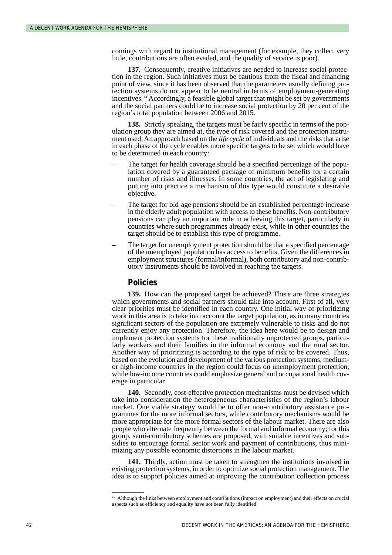comings with regard to institutional management (for example, they collect very little, contributions are often evaded, and the quality of service is poor).

**137.** Consequently, creative initiatives are needed to increase social protection in the region. Such initiatives must be cautious from the fiscal and financing point of view, since it has been observed that the parameters usually defining protection systems do not appear to be neutral in terms of employment-generating incentives. <sup>14</sup> Accordingly, a feasible global target that might be set by governments and the social partners could be to increase social protection by 20 per cent of the region's total population between 2006 and 2015.

**138.** Strictly speaking, the targets must be fairly specific in terms of the population group they are aimed at, the type of risk covered and the protection instrument used. An approach based on the *life cycle* of individuals and the risks that arise in each phase of the cycle enables more specific targets to be set which would have to be determined in each country:

- The target for health coverage should be a specified percentage of the population covered by a guaranteed package of minimum benefits for a certain number of risks and illnesses. In some countries, the act of legislating and putting into practice a mechanism of this type would constitute a desirable objective.
- The target for old-age pensions should be an established percentage increase in the elderly adult population with access to these benefits. Non-contributory pensions can play an important role in achieving this target, particularly in countries where such programmes already exist, while in other countries the target should be to establish this type of programme.
- The target for unemployment protection should be that a specified percentage of the unemployed population has access to benefits. Given the differences in employment structures (formal/informal), both contributory and non-contributory instruments should be involved in reaching the targets.

#### **Policies**

**139.** How can the proposed target be achieved? There are three strategies which governments and social partners should take into account. First of all, very clear priorities must be identified in each country. One initial way of prioritizing work in this area is to take into account the target population, as in many countries significant sectors of the population are extremely vulnerable to risks and do not currently enjoy any protection. Therefore, the idea here would be to design and implement protection systems for these traditionally unprotected groups, particularly workers and their families in the informal economy and the rural sector. Another way of prioritizing is according to the type of risk to be covered. Thus, based on the evolution and development of the various protection systems, mediumor high-income countries in the region could focus on unemployment protection, while low-income countries could emphasize general and occupational health coverage in particular.

**140.** Secondly, cost-effective protection mechanisms must be devised which take into consideration the heterogeneous characteristics of the region's labour market. One viable strategy would be to offer non-contributory assistance programmes for the more informal sectors, while contributory mechanisms would be more appropriate for the more formal sectors of the labour market. There are also people who alternate frequently between the formal and informal economy; for this group, semi-contributory schemes are proposed, with suitable incentives and subsidies to encourage formal sector work and payment of contributions, thus minimizing any possible economic distortions in the labour market.

**141.** Thirdly, action must be taken to strengthen the institutions involved in existing protection systems, in order to optimize social protection management. The idea is to support policies aimed at improving the contribution collection process

<sup>&</sup>lt;sup>14</sup> Although the links between employment and contributions (impact on employment) and their effects on crucial aspects such as efficiency and equality have not been fully identified.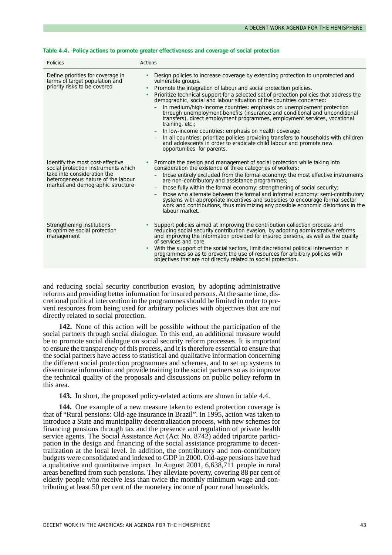| Policies                                                                                                                                                                         | Actions                                                                                                                                                                                                                                                                                                                                                                                                                                                                                                                                                                                                                                                                                                                                                                                                                                                                                                             |
|----------------------------------------------------------------------------------------------------------------------------------------------------------------------------------|---------------------------------------------------------------------------------------------------------------------------------------------------------------------------------------------------------------------------------------------------------------------------------------------------------------------------------------------------------------------------------------------------------------------------------------------------------------------------------------------------------------------------------------------------------------------------------------------------------------------------------------------------------------------------------------------------------------------------------------------------------------------------------------------------------------------------------------------------------------------------------------------------------------------|
| Define priorities for coverage in<br>terms of target population and<br>priority risks to be covered                                                                              | Design policies to increase coverage by extending protection to unprotected and<br>vulnerable groups.<br>Promote the integration of labour and social protection policies.<br>$\bullet$<br>Prioritize technical support for a selected set of protection policies that address the<br>demographic, social and labour situation of the countries concerned:<br>In medium/high-income countries: emphasis on unemployment protection<br>through unemployment benefits (insurance and conditional and unconditional<br>transfers), direct employment programmes, employment services, vocational<br>training, $etc.$ ;<br>In low-income countries: emphasis on health coverage;<br>$\qquad \qquad -$<br>In all countries: prioritize policies providing transfers to households with children<br>$\qquad \qquad -$<br>and adolescents in order to eradicate child labour and promote new<br>opportunities for parents. |
| Identify the most cost-effective<br>social protection instruments which<br>take into consideration the<br>heterogeneous nature of the labour<br>market and demographic structure | Promote the design and management of social protection while taking into<br>consideration the existence of three categories of workers:<br>those entirely excluded from the formal economy: the most effective instruments<br>$\overline{\phantom{0}}$<br>are non-contributory and assistance programmes;<br>those fully within the formal economy: strengthening of social security;<br>$\overline{\phantom{0}}$<br>those who alternate between the formal and informal economy: semi-contributory<br>$\qquad \qquad -$<br>systems with appropriate incentives and subsidies to encourage formal sector<br>work and contributions, thus minimizing any possible economic distortions in the<br>labour market.                                                                                                                                                                                                      |
| Strengthening institutions<br>to optimize social protection<br>management                                                                                                        | Support policies aimed at improving the contribution collection process and<br>reducing social security contribution evasion, by adopting administrative reforms<br>and improving the information provided for insured persons, as well as the quality<br>of services and care.<br>With the support of the social sectors, limit discretional political intervention in<br>$\bullet$<br>programmes so as to prevent the use of resources for arbitrary policies with<br>objectives that are not directly related to social protection.                                                                                                                                                                                                                                                                                                                                                                              |

#### **Table 4.4. Policy actions to promote greater effectiveness and coverage of social protection**

and reducing social security contribution evasion, by adopting administrative reforms and providing better information for insured persons. At the same time, discretional political intervention in the programmes should be limited in order to prevent resources from being used for arbitrary policies with objectives that are not directly related to social protection.

**142.** None of this action will be possible without the participation of the social partners through social dialogue. To this end, an additional measure would be to promote social dialogue on social security reform processes. It is important to ensure the transparency of this process, and it is therefore essential to ensure that the social partners have access to statistical and qualitative information concerning the different social protection programmes and schemes, and to set up systems to disseminate information and provide training to the social partners so as to improve the technical quality of the proposals and discussions on public policy reform in this area.

**143.** In short, the proposed policy-related actions are shown in table 4.4.

**144.** One example of a new measure taken to extend protection coverage is that of "Rural pensions: Old-age insurance in Brazil". In 1995, action was taken to introduce a State and municipality decentralization process, with new schemes for financing pensions through tax and the presence and regulation of private health service agents. The Social Assistance Act (Act No. 8742) added tripartite participation in the design and financing of the social assistance programme to decentralization at the local level. In addition, the contributory and non-contributory budgets were consolidated and indexed to GDP in 2000. Old-age pensions have had a qualitative and quantitative impact. In August 2001, 6,638,711 people in rural areas benefited from such pensions. They alleviate poverty, covering 88 per cent of elderly people who receive less than twice the monthly minimum wage and contributing at least 50 per cent of the monetary income of poor rural households.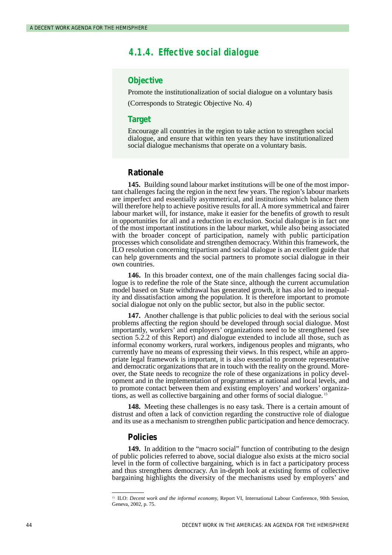# *4.1.4. Effective social dialogue*

#### **Objective**

Promote the institutionalization of social dialogue on a voluntary basis

(Corresponds to Strategic Objective No. 4)

#### **Target**

Encourage all countries in the region to take action to strengthen social dialogue, and ensure that within ten years they have institutionalized social dialogue mechanisms that operate on a voluntary basis.

### **Rationale**

**145.** Building sound labour market institutions will be one of the most important challenges facing the region in the next few years. The region's labour markets are imperfect and essentially asymmetrical, and institutions which balance them will therefore help to achieve positive results for all. A more symmetrical and fairer labour market will, for instance, make it easier for the benefits of growth to result in opportunities for all and a reduction in exclusion. Social dialogue is in fact one of the most important institutions in the labour market, while also being associated with the broader concept of participation, namely with public participation processes which consolidate and strengthen democracy. Within this framework, the ILO resolution concerning tripartism and social dialogue is an excellent guide that can help governments and the social partners to promote social dialogue in their own countries.

**146.** In this broader context, one of the main challenges facing social dialogue is to redefine the role of the State since, although the current accumulation model based on State withdrawal has generated growth, it has also led to inequality and dissatisfaction among the population. It is therefore important to promote social dialogue not only on the public sector, but also in the public sector.

**147.** Another challenge is that public policies to deal with the serious social problems affecting the region should be developed through social dialogue. Most importantly, workers' and employers' organizations need to be strengthened (see section 5.2.2 of this Report) and dialogue extended to include all those, such as informal economy workers, rural workers, indigenous peoples and migrants, who currently have no means of expressing their views. In this respect, while an appropriate legal framework is important, it is also essential to promote representative and democratic organizations that are in touch with the reality on the ground. Moreover, the State needs to recognize the role of these organizations in policy development and in the implementation of programmes at national and local levels, and to promote contact between them and existing employers' and workers' organizations, as well as collective bargaining and other forms of social dialogue. <sup>15</sup>

**148.** Meeting these challenges is no easy task. There is a certain amount of distrust and often a lack of conviction regarding the constructive role of dialogue and its use as a mechanism to strengthen public participation and hence democracy.

#### **Policies**

**149.** In addition to the "macro social" function of contributing to the design of public policies referred to above, social dialogue also exists at the micro social level in the form of collective bargaining, which is in fact a participatory process and thus strengthens democracy. An in-depth look at existing forms of collective bargaining highlights the diversity of the mechanisms used by employers' and

<sup>&</sup>lt;sup>15</sup> ILO: *Decent work and the informal economy*, Report VI, International Labour Conference, 90th Session, Geneva, 2002, p. 75.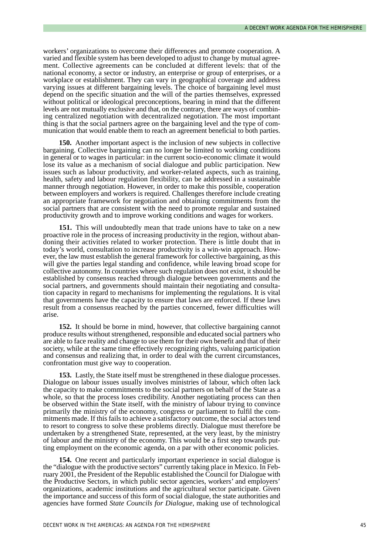workers' organizations to overcome their differences and promote cooperation. A varied and flexible system has been developed to adjust to change by mutual agreement. Collective agreements can be concluded at different levels: that of the national economy, a sector or industry, an enterprise or group of enterprises, or a workplace or establishment. They can vary in geographical coverage and address varying issues at different bargaining levels. The choice of bargaining level must depend on the specific situation and the will of the parties themselves, expressed without political or ideological preconceptions, bearing in mind that the different levels are not mutually exclusive and that, on the contrary, there are ways of combining centralized negotiation with decentralized negotiation. The most important thing is that the social partners agree on the bargaining level and the type of communication that would enable them to reach an agreement beneficial to both parties.

**150.** Another important aspect is the inclusion of new subjects in collective bargaining. Collective bargaining can no longer be limited to working conditions in general or to wages in particular: in the current socio-economic climate it would lose its value as a mechanism of social dialogue and public participation. New issues such as labour productivity, and worker-related aspects, such as training, health, safety and labour regulation flexibility, can be addressed in a sustainable manner through negotiation. However, in order to make this possible, cooperation between employers and workers is required. Challenges therefore include creating an appropriate framework for negotiation and obtaining commitments from the social partners that are consistent with the need to promote regular and sustained productivity growth and to improve working conditions and wages for workers.

**151.** This will undoubtedly mean that trade unions have to take on a new proactive role in the process of increasing productivity in the region, without abandoning their activities related to worker protection. There is little doubt that in today's world, consultation to increase productivity is a win-win approach. However, the law must establish the general framework for collective bargaining, as this will give the parties legal standing and confidence, while leaving broad scope for collective autonomy. In countries where such regulation does not exist, it should be established by consensus reached through dialogue between governments and the social partners, and governments should maintain their negotiating and consultation capacity in regard to mechanisms for implementing the regulations. It is vital that governments have the capacity to ensure that laws are enforced. If these laws result from a consensus reached by the parties concerned, fewer difficulties will arise.

**152.** It should be borne in mind, however, that collective bargaining cannot produce results without strengthened, responsible and educated social partners who are able to face reality and change to use them for their own benefit and that of their society, while at the same time effectively recognizing rights, valuing participation and consensus and realizing that, in order to deal with the current circumstances, confrontation must give way to cooperation.

**153.** Lastly, the State itself must be strengthened in these dialogue processes. Dialogue on labour issues usually involves ministries of labour, which often lack the capacity to make commitments to the social partners on behalf of the State as a whole, so that the process loses credibility. Another negotiating process can then be observed within the State itself, with the ministry of labour trying to convince primarily the ministry of the economy, congress or parliament to fulfil the commitments made. If this fails to achieve a satisfactory outcome, the social actors tend to resort to congress to solve these problems directly. Dialogue must therefore be undertaken by a strengthened State, represented, at the very least, by the ministry of labour and the ministry of the economy. This would be a first step towards putting employment on the economic agenda, on a par with other economic policies.

**154.** One recent and particularly important experience in social dialogue is the "dialogue with the productive sectors" currently taking place in Mexico. In February 2001, the President of the Republic established the Council for Dialogue with the Productive Sectors, in which public sector agencies, workers' and employers' organizations, academic institutions and the agricultural sector participate. Given the importance and success of this form of social dialogue, the state authorities and agencies have formed *State Councils for Dialogue*, making use of technological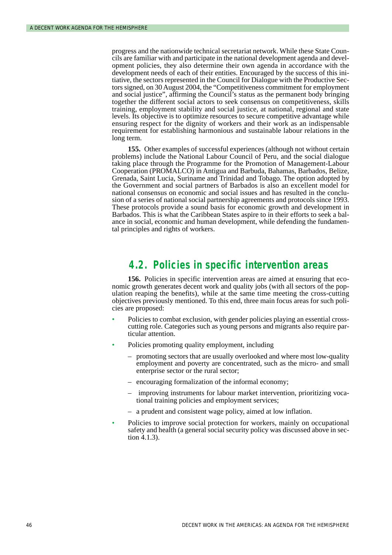progress and the nationwide technical secretariat network. While these State Councils are familiar with and participate in the national development agenda and development policies, they also determine their own agenda in accordance with the development needs of each of their entities. Encouraged by the success of this initiative, the sectors represented in the Council for Dialogue with the Productive Sectors signed, on 30 August 2004, the "Competitiveness commitment for employment and social justice", affirming the Council's status as the permanent body bringing together the different social actors to seek consensus on competitiveness, skills training, employment stability and social justice, at national, regional and state levels. Its objective is to optimize resources to secure competitive advantage while ensuring respect for the dignity of workers and their work as an indispensable requirement for establishing harmonious and sustainable labour relations in the long term.

**155.** Other examples of successful experiences (although not without certain problems) include the National Labour Council of Peru, and the social dialogue taking place through the Programme for the Promotion of Management-Labour Cooperation (PROMALCO) in Antigua and Barbuda, Bahamas, Barbados, Belize, Grenada, Saint Lucia, Suriname and Trinidad and Tobago. The option adopted by the Government and social partners of Barbados is also an excellent model for national consensus on economic and social issues and has resulted in the conclusion of a series of national social partnership agreements and protocols since 1993. These protocols provide a sound basis for economic growth and development in Barbados. This is what the Caribbean States aspire to in their efforts to seek a balance in social, economic and human development, while defending the fundamental principles and rights of workers.

# *4.2. Policies in specific intervention areas*

**156.** Policies in specific intervention areas are aimed at ensuring that economic growth generates decent work and quality jobs (with all sectors of the population reaping the benefits), while at the same time meeting the cross-cutting objectives previously mentioned. To this end, three main focus areas for such policies are proposed:

- Policies to combat exclusion, with gender policies playing an essential crosscutting role. Categories such as young persons and migrants also require particular attention.
- Policies promoting quality employment, including
	- promoting sectors that are usually overlooked and where most low-quality employment and poverty are concentrated, such as the micro- and small enterprise sector or the rural sector;
	- encouraging formalization of the informal economy;
	- improving instruments for labour market intervention, prioritizing vocational training policies and employment services;
	- a prudent and consistent wage policy, aimed at low inflation.
- Policies to improve social protection for workers, mainly on occupational safety and health (a general social security policy was discussed above in section 4.1.3).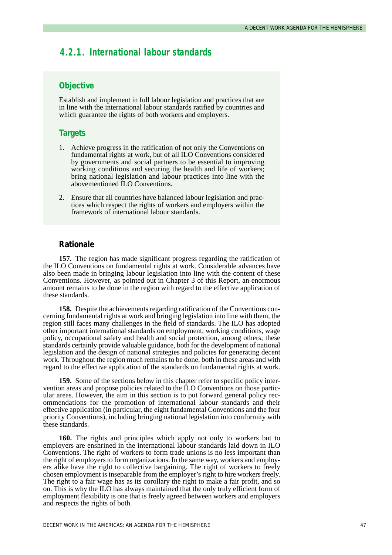# *4.2.1. International labour standards*

# **Objective**

Establish and implement in full labour legislation and practices that are in line with the international labour standards ratified by countries and which guarantee the rights of both workers and employers.

### **Targets**

- 1. Achieve progress in the ratification of not only the Conventions on fundamental rights at work, but of all ILO Conventions considered by governments and social partners to be essential to improving working conditions and securing the health and life of workers; bring national legislation and labour practices into line with the abovementioned ILO Conventions.
- 2. Ensure that all countries have balanced labour legislation and practices which respect the rights of workers and employers within the framework of international labour standards.

### **Rationale**

**157.** The region has made significant progress regarding the ratification of the ILO Conventions on fundamental rights at work. Considerable advances have also been made in bringing labour legislation into line with the content of these Conventions. However, as pointed out in Chapter 3 of this Report, an enormous amount remains to be done in the region with regard to the effective application of these standards.

**158.** Despite the achievements regarding ratification of the Conventions concerning fundamental rights at work and bringing legislation into line with them, the region still faces many challenges in the field of standards. The ILO has adopted other important international standards on employment, working conditions, wage policy, occupational safety and health and social protection, among others; these standards certainly provide valuable guidance, both for the development of national legislation and the design of national strategies and policies for generating decent work. Throughout the region much remains to be done, both in these areas and with regard to the effective application of the standards on fundamental rights at work.

**159.** Some of the sections below in this chapter refer to specific policy intervention areas and propose policies related to the ILO Conventions on those particular areas. However, the aim in this section is to put forward general policy recommendations for the promotion of international labour standards and their effective application (in particular, the eight fundamental Conventions and the four priority Conventions), including bringing national legislation into conformity with these standards.

**160.** The rights and principles which apply not only to workers but to employers are enshrined in the international labour standards laid down in ILO Conventions. The right of workers to form trade unions is no less important than the right of employers to form organizations. In the same way, workers and employers alike have the right to collective bargaining. The right of workers to freely chosen employment is inseparable from the employer's right to hire workers freely. The right to a fair wage has as its corollary the right to make a fair profit, and so on. This is why the ILO has always maintained that the only truly efficient form of employment flexibility is one that is freely agreed between workers and employers and respects the rights of both.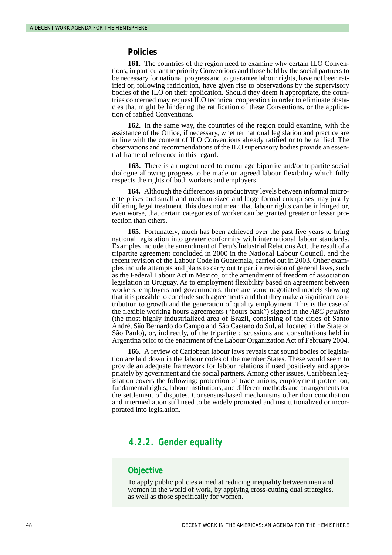#### **Policies**

**161.** The countries of the region need to examine why certain ILO Conventions, in particular the priority Conventions and those held by the social partners to be necessary for national progress and to guarantee labour rights, have not been ratified or, following ratification, have given rise to observations by the supervisory bodies of the ILO on their application. Should they deem it appropriate, the countries concerned may request ILO technical cooperation in order to eliminate obstacles that might be hindering the ratification of these Conventions, or the application of ratified Conventions.

**162.** In the same way, the countries of the region could examine, with the assistance of the Office, if necessary, whether national legislation and practice are in line with the content of ILO Conventions already ratified or to be ratified. The observations and recommendations of the ILO supervisory bodies provide an essential frame of reference in this regard.

**163.** There is an urgent need to encourage bipartite and/or tripartite social dialogue allowing progress to be made on agreed labour flexibility which fully respects the rights of both workers and employers.

**164.** Although the differences in productivity levels between informal microenterprises and small and medium-sized and large formal enterprises may justify differing legal treatment, this does not mean that labour rights can be infringed or, even worse, that certain categories of worker can be granted greater or lesser protection than others.

**165.** Fortunately, much has been achieved over the past five years to bring national legislation into greater conformity with international labour standards. Examples include the amendment of Peru's Industrial Relations Act, the result of a tripartite agreement concluded in 2000 in the National Labour Council, and the recent revision of the Labour Code in Guatemala, carried out in 2003. Other examples include attempts and plans to carry out tripartite revision of general laws, such as the Federal Labour Act in Mexico, or the amendment of freedom of association legislation in Uruguay. As to employment flexibility based on agreement between workers, employers and governments, there are some negotiated models showing that it is possible to conclude such agreements and that they make a significant contribution to growth and the generation of quality employment. This is the case of the flexible working hours agreements ("hours bank") signed in the *ABC paulista* (the most highly industrialized area of Brazil, consisting of the cities of Santo André, São Bernardo do Campo and São Caetano do Sul, all located in the State of São Paulo), or, indirectly, of the tripartite discussions and consultations held in Argentina prior to the enactment of the Labour Organization Act of February 2004.

**166.** A review of Caribbean labour laws reveals that sound bodies of legislation are laid down in the labour codes of the member States. These would seem to provide an adequate framework for labour relations if used positively and appropriately by government and the social partners. Among other issues, Caribbean legislation covers the following: protection of trade unions, employment protection, fundamental rights, labour institutions, and different methods and arrangements for the settlement of disputes. Consensus-based mechanisms other than conciliation and intermediation still need to be widely promoted and institutionalized or incorporated into legislation.

# *4.2.2. Gender equality*

### **Objective**

To apply public policies aimed at reducing inequality between men and women in the world of work, by applying cross-cutting dual strategies, as well as those specifically for women.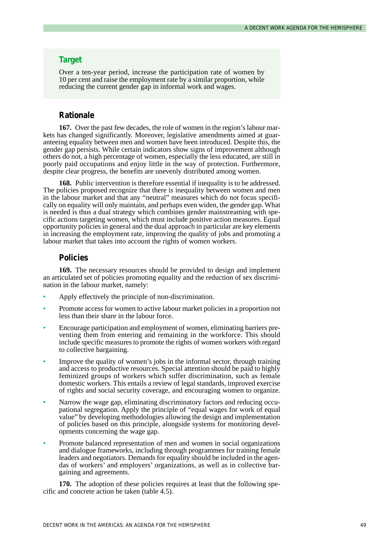#### **Target**

Over a ten-year period, increase the participation rate of women by 10 per cent and raise the employment rate by a similar proportion, while reducing the current gender gap in informal work and wages.

### **Rationale**

**167.** Over the past few decades, the role of women in the region's labour markets has changed significantly. Moreover, legislative amendments aimed at guaranteeing equality between men and women have been introduced. Despite this, the gender gap persists. While certain indicators show signs of improvement although others do not, a high percentage of women, especially the less educated, are still in poorly paid occupations and enjoy little in the way of protection. Furthermore, despite clear progress, the benefits are unevenly distributed among women.

**168.** Public intervention is therefore essential if inequality is to be addressed. The policies proposed recognize that there is inequality between women and men in the labour market and that any "neutral" measures which do not focus specifically on equality will only maintain, and perhaps even widen, the gender gap. What is needed is thus a dual strategy which combines gender mainstreaming with specific actions targeting women, which must include positive action measures. Equal opportunity policies in general and the dual approach in particular are key elements in increasing the employment rate, improving the quality of jobs and promoting a labour market that takes into account the rights of women workers.

### **Policies**

**169.** The necessary resources should be provided to design and implement an articulated set of policies promoting equality and the reduction of sex discrimination in the labour market, namely:

- Apply effectively the principle of non-discrimination.
- Promote access for women to active labour market policies in a proportion not less than their share in the labour force.
- Encourage participation and employment of women, eliminating barriers preventing them from entering and remaining in the workforce. This should include specific measures to promote the rights of women workers with regard to collective bargaining.
- Improve the quality of women's jobs in the informal sector, through training and access to productive resources. Special attention should be paid to highly feminized groups of workers which suffer discrimination, such as female domestic workers. This entails a review of legal standards, improved exercise of rights and social security coverage, and encouraging women to organize.
- Narrow the wage gap, eliminating discriminatory factors and reducing occupational segregation. Apply the principle of "equal wages for work of equal value" by developing methodologies allowing the design and implementation of policies based on this principle, alongside systems for monitoring developments concerning the wage gap.
- Promote balanced representation of men and women in social organizations and dialogue frameworks, including through programmes for training female leaders and negotiators. Demands for equality should be included in the agendas of workers' and employers' organizations, as well as in collective bargaining and agreements.

**170.** The adoption of these policies requires at least that the following specific and concrete action be taken (table 4.5).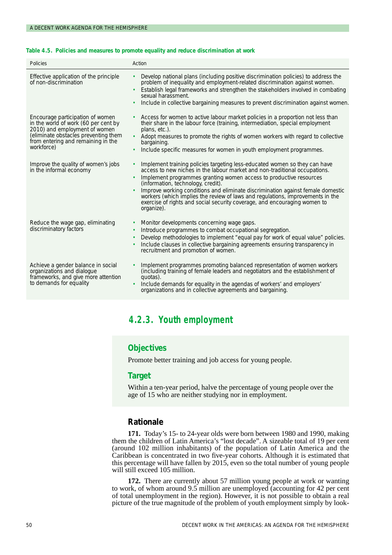#### **Table 4.5. Policies and measures to promote equality and reduce discrimination at work**

| Policies                                                                                                                                                                                              | Action                                                                                                                                                                                                                                                                                                                                                                                                                                                                                                                                                              |
|-------------------------------------------------------------------------------------------------------------------------------------------------------------------------------------------------------|---------------------------------------------------------------------------------------------------------------------------------------------------------------------------------------------------------------------------------------------------------------------------------------------------------------------------------------------------------------------------------------------------------------------------------------------------------------------------------------------------------------------------------------------------------------------|
| Effective application of the principle<br>of non-discrimination                                                                                                                                       | Develop national plans (including positive discrimination policies) to address the<br>$\bullet$<br>problem of inequality and employment-related discrimination against women.<br>Establish legal frameworks and strengthen the stakeholders involved in combating<br>٠<br>sexual harassment.<br>Include in collective bargaining measures to prevent discrimination against women.<br>$\bullet$                                                                                                                                                                     |
| Encourage participation of women<br>in the world of work (60 per cent by<br>2010) and employment of women<br>(eliminate obstacles preventing them<br>from entering and remaining in the<br>workforce) | Access for women to active labour market policies in a proportion not less than<br>their share in the labour force (training, intermediation, special employment<br>plans, etc.).<br>Adopt measures to promote the rights of women workers with regard to collective<br>$\bullet$<br>bargaining.<br>Include specific measures for women in youth employment programmes.<br>٠                                                                                                                                                                                        |
| Improve the quality of women's jobs<br>in the informal economy                                                                                                                                        | Implement training policies targeting less-educated women so they can have<br>٠<br>access to new niches in the labour market and non-traditional occupations.<br>Implement programmes granting women access to productive resources<br>$\bullet$<br>(information, technology, credit).<br>Improve working conditions and eliminate discrimination against female domestic<br>$\bullet$<br>workers (which implies the review of laws and regulations, improvements in the<br>exercise of rights and social security coverage, and encouraging women to<br>organize). |
| Reduce the wage gap, eliminating<br>discriminatory factors                                                                                                                                            | Monitor developments concerning wage gaps.<br>٠<br>Introduce programmes to combat occupational segregation.<br>$\bullet$<br>Develop methodologies to implement "equal pay for work of equal value" policies.<br>$\bullet$<br>Include clauses in collective bargaining agreements ensuring transparency in<br>٠<br>recruitment and promotion of women.                                                                                                                                                                                                               |
| Achieve a gender balance in social<br>organizations and dialogue<br>frameworks, and give more attention<br>to demands for equality                                                                    | Implement programmes promoting balanced representation of women workers<br>$\bullet$<br>(including training of female leaders and negotiators and the establishment of<br>quotas).<br>Include demands for equality in the agendas of workers' and employers'<br>$\bullet$<br>organizations and in collective agreements and bargaining.                                                                                                                                                                                                                             |

# *4.2.3. Youth employment*

# **Objectives**

Promote better training and job access for young people.

## **Target**

Within a ten-year period, halve the percentage of young people over the age of 15 who are neither studying nor in employment.

# **Rationale**

**171.** Today's 15- to 24-year olds were born between 1980 and 1990, making them the children of Latin America's "lost decade". A sizeable total of 19 per cent (around 102 million inhabitants) of the population of Latin America and the Caribbean is concentrated in two five-year cohorts. Although it is estimated that this percentage will have fallen by 2015, even so the total number of young people will still exceed 105 million.

**172.** There are currently about 57 million young people at work or wanting to work, of whom around 9.5 million are unemployed (accounting for 42 per cent of total unemployment in the region). However, it is not possible to obtain a real picture of the true magnitude of the problem of youth employment simply by look-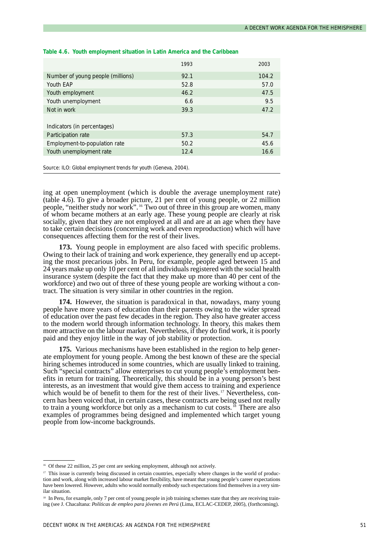|                                   | 1993 | 2003  |
|-----------------------------------|------|-------|
| Number of young people (millions) | 92.1 | 104.2 |
| Youth EAP                         | 52.8 | 57.0  |
| Youth employment                  | 46.2 | 47.5  |
| Youth unemployment                | 6.6  | 9.5   |
| Not in work                       | 39.3 | 47.2  |
|                                   |      |       |
| Indicators (in percentages)       |      |       |
| Participation rate                | 57.3 | 54.7  |
| Employment-to-population rate     | 50.2 | 45.6  |
| Youth unemployment rate           | 12.4 | 16.6  |
|                                   |      |       |

#### **Table 4.6. Youth employment situation in Latin America and the Caribbean**

Source: ILO: *Global employment trends for youth* (Geneva, 2004).

ing at open unemployment (which is double the average unemployment rate) (table 4.6). To give a broader picture, 21 per cent of young people, or 22 million people, "neither study nor work".<sup>16</sup> Two out of three in this group are women, many people, "neither study nor work".<sup>16</sup> Two out of three in this group are women, many of whom became mothers at an early age. These young people are clearly at risk socially, given that they are not employed at all and are at an age when they have to take certain decisions (concerning work and even reproduction) which will have consequences affecting them for the rest of their lives.

**173.** Young people in employment are also faced with specific problems. Owing to their lack of training and work experience, they generally end up accepting the most precarious jobs. In Peru, for example, people aged between 15 and 24 years make up only 10 per cent of all individuals registered with the social health insurance system (despite the fact that they make up more than 40 per cent of the workforce) and two out of three of these young people are working without a contract. The situation is very similar in other countries in the region.

**174.** However, the situation is paradoxical in that, nowadays, many young people have more years of education than their parents owing to the wider spread of education over the past few decades in the region. They also have greater access to the modern world through information technology. In theory, this makes them more attractive on the labour market. Nevertheless, if they do find work, it is poorly paid and they enjoy little in the way of job stability or protection.

**175.** Various mechanisms have been established in the region to help generate employment for young people. Among the best known of these are the special hiring schemes introduced in some countries, which are usually linked to training. Such "special contracts" allow enterprises to cut young people's employment benefits in return for training. Theoretically, this should be in a young person's best interests, as an investment that would give them access to training and experience which would be of benefit to them for the rest of their lives.<sup>17</sup> Nevertheless, concern has been voiced that, in certain cases, these contracts are being used not really to train a young workforce but only as a mechanism to cut costs.<sup>18</sup> There are also examples of programmes being designed and implemented which target young people from low-income backgrounds.

<sup>&</sup>lt;sup>16</sup> Of these 22 million, 25 per cent are seeking employment, although not actively.

<sup>&</sup>lt;sup>17</sup> This issue is currently being discussed in certain countries, especially where changes in the world of production and work, along with increased labour market flexibility, have meant that young people's career expectations have been lowered. However, adults who would normally embody such expectations find themselves in a very similar situation.

<sup>&</sup>lt;sup>18</sup> In Peru, for example, only 7 per cent of young people in job training schemes state that they are receiving training (see J. Chacaltana: *Políticas de empleo para jóvenes en Perú* (Lima, ECLAC-CEDEP, 2005), (forthcoming).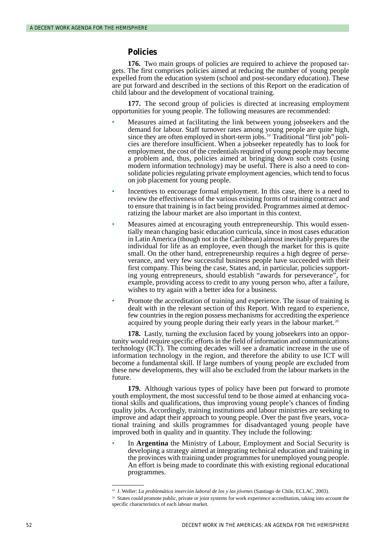### **Policies**

**176.** Two main groups of policies are required to achieve the proposed targets. The first comprises policies aimed at reducing the number of young people expelled from the education system (school and post-secondary education). These are put forward and described in the sections of this Report on the eradication of child labour and the development of vocational training.

**177.** The second group of policies is directed at increasing employment opportunities for young people. The following measures are recommended:

- Measures aimed at facilitating the link between young jobseekers and the demand for labour. Staff turnover rates among young people are quite high, since they are often employed in short-term jobs.<sup>19</sup> Traditional "first job" policies are therefore insufficient. When a jobseeker repeatedly has to look for employment, the cost of the credentials required of young people may become a problem and, thus, policies aimed at bringing down such costs (using modern information technology) may be useful. There is also a need to consolidate policies regulating private employment agencies, which tend to focus on job placement for young people.
- Incentives to encourage formal employment. In this case, there is a need to review the effectiveness of the various existing forms of training contract and to ensure that training is in fact being provided. Programmes aimed at democratizing the labour market are also important in this context.
- Measures aimed at encouraging youth entrepreneurship. This would essentially mean changing basic education curricula, since in most cases education in Latin America (though not in the Caribbean) almost inevitably prepares the individual for life as an employee, even though the market for this is quite small. On the other hand, entrepreneurship requires a high degree of perseverance, and very few successful business people have succeeded with their first company. This being the case, States and, in particular, policies supporting young entrepreneurs, should establish "awards for perseverance", for example, providing access to credit to any young person who, after a failure, wishes to try again with a better idea for a business.
- Promote the accreditation of training and experience. The issue of training is dealt with in the relevant section of this Report. With regard to experience, few countries in the region possess mechanisms for accrediting the experience acquired by young people during their early years in the labour market. <sup>20</sup>

**178.** Lastly, turning the exclusion faced by young jobseekers into an opportunity would require specific efforts in the field of information and communications technology (ICT). The coming decades will see a dramatic increase in the use of information technology in the region, and therefore the ability to use ICT will become a fundamental skill. If large numbers of young people are excluded from these new developments, they will also be excluded from the labour markets in the future.

**179.** Although various types of policy have been put forward to promote youth employment, the most successful tend to be those aimed at enhancing vocational skills and qualifications, thus improving young people's chances of finding quality jobs. Accordingly, training institutions and labour ministries are seeking to improve and adapt their approach to young people. Over the past five years, vocational training and skills programmes for disadvantaged young people have improved both in quality and in quantity. They include the following:

• In **Argentina** the Ministry of Labour, Employment and Social Security is developing a strategy aimed at integrating technical education and training in the provinces with training under programmes for unemployed young people. An effort is being made to coordinate this with existing regional educational programmes.

<sup>19</sup> J. Weller: *La problemática inserción laboral de los y las jóvenes* (Santiago de Chile, ECLAC, 2003).

<sup>&</sup>lt;sup>20</sup> States could promote public, private or joint systems for work experience accreditation, taking into account the specific characteristics of each labour market.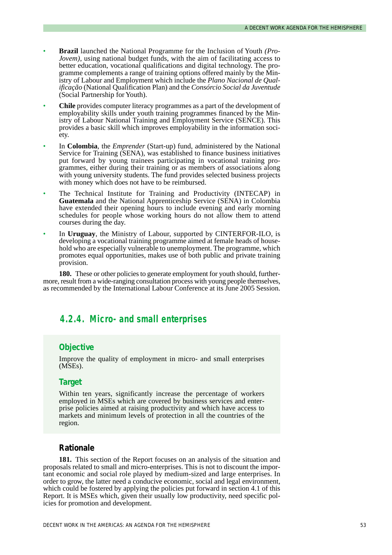- **Brazil** launched the National Programme for the Inclusion of Youth *(Pro-Jovem*), using national budget funds, with the aim of facilitating access to better education, vocational qualifications and digital technology. The programme complements a range of training options offered mainly by the Ministry of Labour and Employment which include the *Plano Nacional de Qualificação* (National Qualification Plan) and the *Consórcio Social da Juventude* (Social Partnership for Youth).
- **Chile** provides computer literacy programmes as a part of the development of employability skills under youth training programmes financed by the Ministry of Labour National Training and Employment Service (SENCE). This provides a basic skill which improves employability in the information society.
- In **Colombia**, the *Emprender* (Start-up) fund, administered by the National Service for Training (SENA), was established to finance business initiatives put forward by young trainees participating in vocational training programmes, either during their training or as members of associations along with young university students. The fund provides selected business projects with money which does not have to be reimbursed.
- The Technical Institute for Training and Productivity (INTECAP) in **Guatemala** and the National Apprenticeship Service (SENA) in Colombia have extended their opening hours to include evening and early morning schedules for people whose working hours do not allow them to attend courses during the day.
- In **Uruguay**, the Ministry of Labour, supported by CINTERFOR-ILO, is developing a vocational training programme aimed at female heads of household who are especially vulnerable to unemployment. The programme, which promotes equal opportunities, makes use of both public and private training provision.

**180.** These or other policies to generate employment for youth should, furthermore, result from a wide-ranging consultation process with young people themselves, as recommended by the International Labour Conference at its June 2005 Session.

# *4.2.4. Micro- and small enterprises*

## **Objective**

Improve the quality of employment in micro- and small enterprises (MSEs).

## **Target**

Within ten years, significantly increase the percentage of workers employed in MSEs which are covered by business services and enterprise policies aimed at raising productivity and which have access to markets and minimum levels of protection in all the countries of the region.

#### **Rationale**

**181.** This section of the Report focuses on an analysis of the situation and proposals related to small and micro-enterprises. This is not to discount the important economic and social role played by medium-sized and large enterprises. In order to grow, the latter need a conducive economic, social and legal environment, which could be fostered by applying the policies put forward in section 4.1 of this Report. It is MSEs which, given their usually low productivity, need specific policies for promotion and development.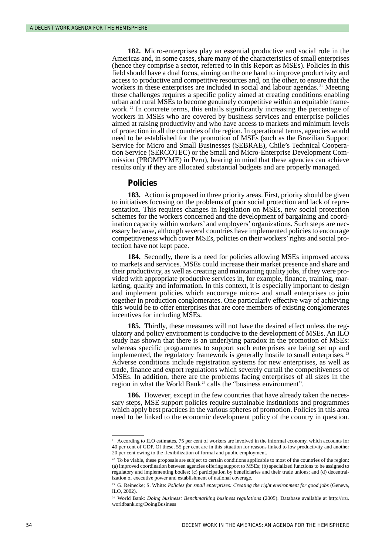**182.** Micro-enterprises play an essential productive and social role in the Americas and, in some cases, share many of the characteristics of small enterprises (hence they comprise a sector, referred to in this Report as MSEs). Policies in this field should have a dual focus, aiming on the one hand to improve productivity and access to productive and competitive resources and, on the other, to ensure that the workers in these enterprises are included in social and labour agendas.<sup>21</sup> Meeting these challenges requires a specific policy aimed at creating conditions enabling urban and rural MSEs to become genuinely competitive within an equitable framework. <sup>22</sup> In concrete terms, this entails significantly increasing the percentage of workers in MSEs who are covered by business services and enterprise policies aimed at raising productivity and who have access to markets and minimum levels of protection in all the countries of the region. In operational terms, agencies would need to be established for the promotion of MSEs (such as the Brazilian Support Service for Micro and Small Businesses (SEBRAE), Chile's Technical Cooperation Service (SERCOTEC) or the Small and Micro-Enterprise Development Commission (PROMPYME) in Peru), bearing in mind that these agencies can achieve results only if they are allocated substantial budgets and are properly managed.

#### **Policies**

**183.** Action is proposed in three priority areas. First, priority should be given to initiatives focusing on the problems of poor social protection and lack of representation. This requires changes in legislation on MSEs, new social protection schemes for the workers concerned and the development of bargaining and coordination capacity within workers' and employers' organizations. Such steps are necessary because, although several countries have implemented policies to encourage competitiveness which cover MSEs, policies on their workers'rights and social protection have not kept pace.

**184.** Secondly, there is a need for policies allowing MSEs improved access to markets and services. MSEs could increase their market presence and share and their productivity, as well as creating and maintaining quality jobs, if they were provided with appropriate productive services in, for example, finance, training, marketing, quality and information. In this context, it is especially important to design and implement policies which encourage micro- and small enterprises to join together in production conglomerates. One particularly effective way of achieving this would be to offer enterprises that are core members of existing conglomerates incentives for including MSEs.

**185.** Thirdly, these measures will not have the desired effect unless the regulatory and policy environment is conducive to the development of MSEs. An ILO study has shown that there is an underlying paradox in the promotion of MSEs: whereas specific programmes to support such enterprises are being set up and implemented, the regulatory framework is generally hostile to small enterprises. <sup>23</sup> Adverse conditions include registration systems for new enterprises, as well as trade, finance and export regulations which severely curtail the competitiveness of MSEs. In addition, there are the problems facing enterprises of all sizes in the region in what the World Bank<sup>24</sup> calls the "business environment".

**186.** However, except in the few countries that have already taken the necessary steps, MSE support policies require sustainable institutions and programmes which apply best practices in the various spheres of promotion. Policies in this area need to be linked to the economic development policy of the country in question.

<sup>&</sup>lt;sup>21</sup> According to ILO estimates, 75 per cent of workers are involved in the informal economy, which accounts for 40 per cent of GDP. Of these, 55 per cent are in this situation for reasons linked to low productivity and another 20 per cent owing to the flexibilization of formal and public employment.

<sup>&</sup>lt;sup>22</sup> To be viable, these proposals are subject to certain conditions applicable to most of the countries of the region: (a) improved coordination between agencies offering support to MSEs; (b) specialized functions to be assigned to regulatory and implementing bodies; (c) participation by beneficiaries and their trade unions; and (d) decentralization of executive power and establishment of national coverage.

<sup>&</sup>lt;sup>23</sup> G. Reinecke; S. White: *Policies for small enterprises: Creating the right environment for good jobs* (Geneva, ILO, 2002).

<sup>24</sup> World Bank: *Doing business: Benchmarking business regulations* (2005). Database available at http://rru. worldbank.org/DoingBusiness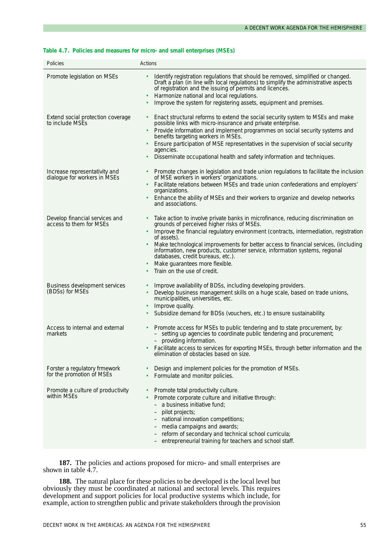#### **Table 4.7. Policies and measures for micro- and small enterprises (MSEs)**

| Policies                                                      | Actions                                                                                                                                                                                                                                                                                                                                                                                                                                                                                                           |
|---------------------------------------------------------------|-------------------------------------------------------------------------------------------------------------------------------------------------------------------------------------------------------------------------------------------------------------------------------------------------------------------------------------------------------------------------------------------------------------------------------------------------------------------------------------------------------------------|
| Promote legislation on MSEs                                   | Identify registration regulations that should be removed, simplified or changed.<br>Draft a plan (in line with local regulations) to simplify the administrative aspects<br>of registration and the issuing of permits and licences.<br>Harmonize national and local regulations.<br>Improve the system for registering assets, equipment and premises.                                                                                                                                                           |
| Extend social protection coverage<br>to include MSEs          | Enact structural reforms to extend the social security system to MSEs and make<br>possible links with micro-insurance and private enterprise.<br>Provide information and implement programmes on social security systems and<br>benefits targeting workers in MSEs.<br>Ensure participation of MSE representatives in the supervision of social security<br>agencies.<br>Disseminate occupational health and safety information and techniques.                                                                   |
| Increase representativity and<br>dialogue for workers in MSEs | Promote changes in legislation and trade union regulations to facilitate the inclusion<br>of MSE workers in workers' organizations.<br>Facilitate relations between MSEs and trade union confederations and employers'<br>organizations.<br>Enhance the ability of MSEs and their workers to organize and develop networks<br>and associations.                                                                                                                                                                   |
| Develop financial services and<br>access to them for MSEs     | Take action to involve private banks in microfinance, reducing discrimination on<br>grounds of perceived higher risks of MSEs.<br>Improve the financial regulatory environment (contracts, intermediation, registration<br>of assets).<br>Make technological improvements for better access to financial services, (including<br>information, new products, customer service, information systems, regional<br>databases, credit bureaus, etc.).<br>Make guarantees more flexible.<br>Train on the use of credit. |
| Business development services<br>(BDSs) for MSEs              | Improve availability of BDSs, including developing providers.<br>Develop business management skills on a huge scale, based on trade unions,<br>municipalities, universities, etc.<br>Improve quality.<br>Subsidize demand for BDSs (vouchers, etc.) to ensure sustainability.                                                                                                                                                                                                                                     |
| Access to internal and external<br>markets                    | Promote access for MSEs to public tendering and to state procurement, by:<br>setting up agencies to coordinate public tendering and procurement;<br>- providing information.<br>Facilitate access to services for exporting MSEs, through better information and the<br>elimination of obstacles based on size.                                                                                                                                                                                                   |
| Forster a regulatory frmework<br>for the promotion of MSEs    | Design and implement policies for the promotion of MSEs.<br>Formulate and monitor policies.                                                                                                                                                                                                                                                                                                                                                                                                                       |
| Promote a culture of productivity<br>within MSEs              | Promote total productivity culture.<br>Promote corporate culture and initiative through:<br>- a business initiative fund;<br>pilot projects;<br>$\overline{\phantom{m}}$<br>- national innovation competitions;<br>media campaigns and awards;<br>reform of secondary and technical school curricula;<br>entrepreneurial training for teachers and school staff.                                                                                                                                                  |

**187.** The policies and actions proposed for micro- and small enterprises are shown in table  $\overline{4.7}$ .

**188.** The natural place for these policies to be developed is the local level but obviously they must be coordinated at national and sectoral levels. This requires development and support policies for local productive systems which include, for example, action to strengthen public and private stakeholders through the provision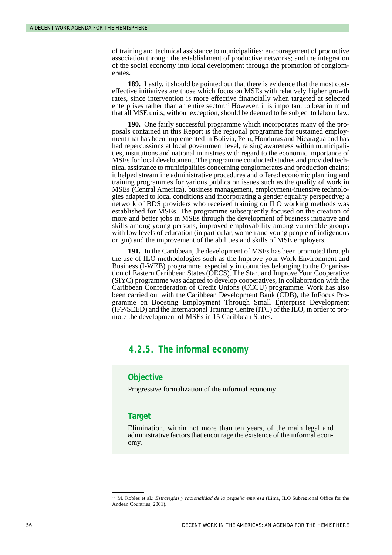of training and technical assistance to municipalities; encouragement of productive association through the establishment of productive networks; and the integration of the social economy into local development through the promotion of conglomerates.

**189.** Lastly, it should be pointed out that there is evidence that the most costeffective initiatives are those which focus on MSEs with relatively higher growth rates, since intervention is more effective financially when targeted at selected enterprises rather than an entire sector.<sup>25</sup> However, it is important to bear in mind that all MSE units, without exception, should be deemed to be subject to labour law.

**190.** One fairly successful programme which incorporates many of the proposals contained in this Report is the regional programme for sustained employment that has been implemented in Bolivia, Peru, Honduras and Nicaragua and has had repercussions at local government level, raising awareness within municipalities, institutions and national ministries with regard to the economic importance of MSEs for local development. The programme conducted studies and provided technical assistance to municipalities concerning conglomerates and production chains; it helped streamline administrative procedures and offered economic planning and training programmes for various publics on issues such as the quality of work in MSEs (Central America), business management, employment-intensive technologies adapted to local conditions and incorporating a gender equality perspective; a network of BDS providers who received training on ILO working methods was established for MSEs. The programme subsequently focused on the creation of more and better jobs in MSEs through the development of business initiative and skills among young persons, improved employability among vulnerable groups with low levels of education (in particular, women and young people of indigenous origin) and the improvement of the abilities and skills of MSE employers.

**191.** In the Caribbean, the development of MSEs has been promoted through the use of ILO methodologies such as the Improve your Work Environment and Business (I-WEB) programme, especially in countries belonging to the Organisation of Eastern Caribbean States (OECS). The Start and Improve Your Cooperative (SIYC) programme was adapted to develop cooperatives, in collaboration with the Caribbean Confederation of Credit Unions (CCCU) programme. Work has also been carried out with the Caribbean Development Bank (CDB), the InFocus Programme on Boosting Employment Through Small Enterprise Development (IFP/SEED) and the International Training Centre (ITC) of the ILO, in order to promote the development of MSEs in 15 Caribbean States.

# *4.2.5. The informal economy*

### **Objective**

Progressive formalization of the informal economy

# **Target**

Elimination, within not more than ten years, of the main legal and administrative factors that encourage the existence of the informal economy.

<sup>25</sup> M. Robles et al.: *Estrategias y racionalidad de la pequeña empresa* (Lima, ILO Subregional Office for the Andean Countries, 2001).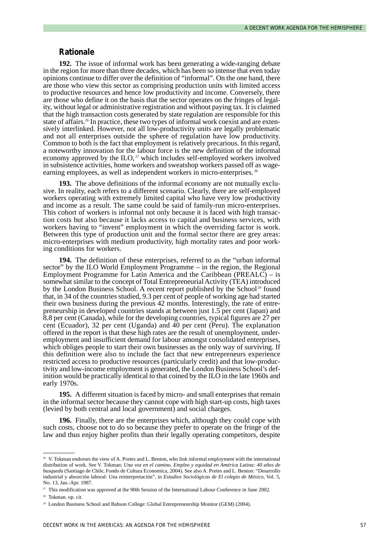#### **Rationale**

**192.** The issue of informal work has been generating a wide-ranging debate in the region for more than three decades, which has been so intense that even today opinions continue to differ over the definition of "informal". On the one hand, there are those who view this sector as comprising production units with limited access to productive resources and hence low productivity and income. Conversely, there are those who define it on the basis that the sector operates on the fringes of legality, without legal or administrative registration and without paying tax. It is claimed that the high transaction costs generated by state regulation are responsible for this state of affairs.<sup>26</sup> In practice, these two types of informal work coexist and are extensively interlinked. However, not all low-productivity units are legally problematic and not all enterprises outside the sphere of regulation have low productivity. Common to both is the fact that employment is relatively precarious. In this regard, a noteworthy innovation for the labour force is the new definition of the informal economy approved by the  $\text{ILO},^{27}$  which includes self-employed workers involved in subsistence activities, home workers and sweatshop workers passed off as wageearning employees, as well as independent workers in micro-enterprises.<sup>28</sup>

**193.** The above definitions of the informal economy are not mutually exclusive. In reality, each refers to a different scenario. Clearly, there are self-employed workers operating with extremely limited capital who have very low productivity and income as a result. The same could be said of family-run micro-enterprises. This cohort of workers is informal not only because it is faced with high transaction costs but also because it lacks access to capital and business services, with workers having to "invent" employment in which the overriding factor is work. Between this type of production unit and the formal sector there are grey areas: micro-enterprises with medium productivity, high mortality rates and poor working conditions for workers.

**194.** The definition of these enterprises, referred to as the "urban informal sector" by the ILO World Employment Programme – in the region, the Regional Employment Programme for Latin America and the Caribbean (PREALC) – is somewhat similar to the concept of Total Entrepreneurial Activity (TEA) introduced by the London Business School. A recent report published by the School<sup>29</sup> found that, in 34 of the countries studied, 9.3 per cent of people of working age had started their own business during the previous 42 months. Interestingly, the rate of entrepreneurship in developed countries stands at between just 1.5 per cent (Japan) and 8.8 per cent (Canada), while for the developing countries, typical figures are 27 per cent (Ecuador), 32 per cent (Uganda) and 40 per cent (Peru). The explanation offered in the report is that these high rates are the result of unemployment, underemployment and insufficient demand for labour amongst consolidated enterprises, which obliges people to start their own businesses as the only way of surviving. If this definition were also to include the fact that new entrepreneurs experience restricted access to productive resources (particularly credit) and that low-productivity and low-income employment is generated, the London Business School's definition would be practically identical to that coined by the ILO in the late 1960s and early 1970s.

**195.** A different situation is faced by micro- and small enterprises that remain in the informal sector because they cannot cope with high start-up costs, high taxes (levied by both central and local government) and social charges.

**196.** Finally, there are the enterprises which, although they could cope with such costs, choose not to do so because they prefer to operate on the fringe of the law and thus enjoy higher profits than their legally operating competitors, despite

<sup>26</sup> V. Tokman endorses the view of A. Portes and L. Benton, who link informal employment with the international distribution of work. See V. Tokman: *Una voz en el camino. Empleo y equidad en América Latina: 40 años de busqueda* (Santiago de Chile, Fondo de Cultura Economica, 2004). See also A. Portes and L. Benton: "Desarrollo industrial y absorción laboral: Una reinterpretación", in *Estudios Sociológicas de El colegio de México*, Vol. 5, No. 13, Jan.-Apr. 1987.

<sup>&</sup>lt;sup>27</sup> This modification was approved at the 90th Session of the International Labour Conference in June 2002.

<sup>28</sup> Tokman. op. cit.

<sup>29</sup> London Business School and Babson College: Global Entrepreneurship Monitor (GEM) (2004).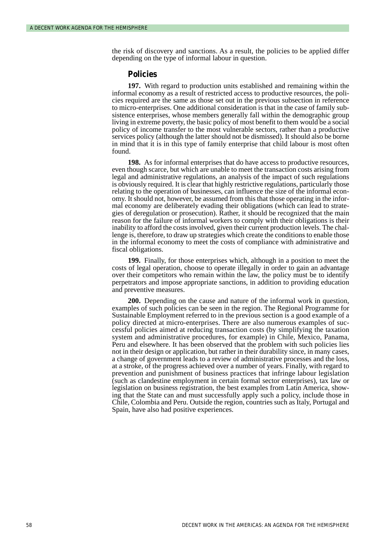the risk of discovery and sanctions. As a result, the policies to be applied differ depending on the type of informal labour in question.

#### **Policies**

**197.** With regard to production units established and remaining within the informal economy as a result of restricted access to productive resources, the policies required are the same as those set out in the previous subsection in reference to micro-enterprises. One additional consideration is that in the case of family subsistence enterprises, whose members generally fall within the demographic group living in extreme poverty, the basic policy of most benefit to them would be a social policy of income transfer to the most vulnerable sectors, rather than a productive services policy (although the latter should not be dismissed). It should also be borne in mind that it is in this type of family enterprise that child labour is most often found.

**198.** As for informal enterprises that do have access to productive resources, even though scarce, but which are unable to meet the transaction costs arising from legal and administrative regulations, an analysis of the impact of such regulations is obviously required. It is clear that highly restrictive regulations, particularly those relating to the operation of businesses, can influence the size of the informal economy. It should not, however, be assumed from this that those operating in the informal economy are deliberately evading their obligations (which can lead to strategies of deregulation or prosecution). Rather, it should be recognized that the main reason for the failure of informal workers to comply with their obligations is their inability to afford the costs involved, given their current production levels. The challenge is, therefore, to draw up strategies which create the conditions to enable those in the informal economy to meet the costs of compliance with administrative and fiscal obligations.

**199.** Finally, for those enterprises which, although in a position to meet the costs of legal operation, choose to operate illegally in order to gain an advantage over their competitors who remain within the law, the policy must be to identify perpetrators and impose appropriate sanctions, in addition to providing education and preventive measures.

**200.** Depending on the cause and nature of the informal work in question, examples of such policies can be seen in the region. The Regional Programme for Sustainable Employment referred to in the previous section is a good example of a policy directed at micro-enterprises. There are also numerous examples of successful policies aimed at reducing transaction costs (by simplifying the taxation system and administrative procedures, for example) in Chile, Mexico, Panama, Peru and elsewhere. It has been observed that the problem with such policies lies not in their design or application, but rather in their durability since, in many cases, a change of government leads to a review of administrative processes and the loss, at a stroke, of the progress achieved over a number of years. Finally, with regard to prevention and punishment of business practices that infringe labour legislation (such as clandestine employment in certain formal sector enterprises), tax law or legislation on business registration, the best examples from Latin America, showing that the State can and must successfully apply such a policy, include those in Chile, Colombia and Peru. Outside the region, countries such as Italy, Portugal and Spain, have also had positive experiences.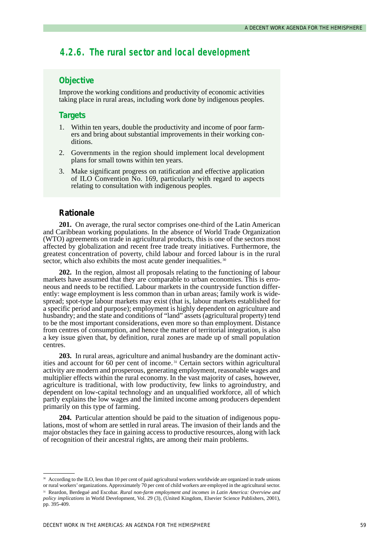# *4.2.6. The rural sector and local development*

# **Objective**

Improve the working conditions and productivity of economic activities taking place in rural areas, including work done by indigenous peoples.

### **Targets**

- 1. Within ten years, double the productivity and income of poor farmers and bring about substantial improvements in their working conditions.
- 2. Governments in the region should implement local development plans for small towns within ten years.
- 3. Make significant progress on ratification and effective application of ILO Convention No. 169, particularly with regard to aspects relating to consultation with indigenous peoples.

# **Rationale**

**201.** On average, the rural sector comprises one-third of the Latin American and Caribbean working populations. In the absence of World Trade Organization (WTO) agreements on trade in agricultural products, this is one of the sectors most affected by globalization and recent free trade treaty initiatives. Furthermore, the greatest concentration of poverty, child labour and forced labour is in the rural sector, which also exhibits the most acute gender inequalities.<sup>30</sup>

**202.** In the region, almost all proposals relating to the functioning of labour markets have assumed that they are comparable to urban economies. This is erroneous and needs to be rectified. Labour markets in the countryside function differently: wage employment is less common than in urban areas; family work is widespread; spot-type labour markets may exist (that is, labour markets established for a specific period and purpose); employment is highly dependent on agriculture and husbandry; and the state and conditions of "land" assets (agricultural property) tend to be the most important considerations, even more so than employment. Distance from centres of consumption, and hence the matter of territorial integration, is also a key issue given that, by definition, rural zones are made up of small population centres.

**203.** In rural areas, agriculture and animal husbandry are the dominant activities and account for 60 per cent of income. <sup>31</sup> Certain sectors within agricultural activity are modern and prosperous, generating employment, reasonable wages and multiplier effects within the rural economy. In the vast majority of cases, however, agriculture is traditional, with low productivity, few links to agroindustry, and dependent on low-capital technology and an unqualified workforce, all of which partly explains the low wages and the limited income among producers dependent primarily on this type of farming.

**204.** Particular attention should be paid to the situation of indigenous populations, most of whom are settled in rural areas. The invasion of their lands and the major obstacles they face in gaining access to productive resources, along with lack of recognition of their ancestral rights, are among their main problems.

<sup>30</sup> According to the ILO, less than 10 per cent of paid agricultural workers worldwide are organized in trade unions or rural workers'organizations. Approximately 70 per cent of child workers are employed in the agricultural sector. <sup>31</sup> Reardon, Berdegué and Escobar. *Rural non-farm employment and incomes in Latin America: Overview and policy implications* in World Development, Vol. 29 (3), (United Kingdom, Elsevier Science Publishers, 2001), pp. 395-409.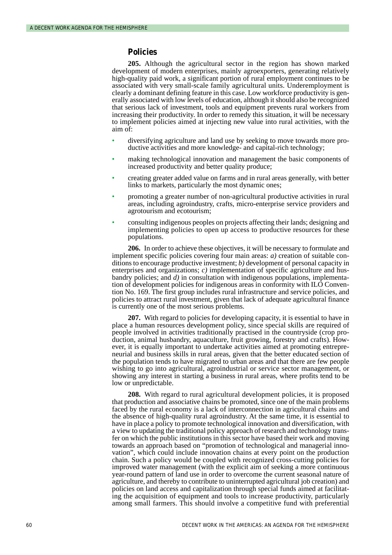#### **Policies**

**205.** Although the agricultural sector in the region has shown marked development of modern enterprises, mainly agroexporters, generating relatively high-quality paid work, a significant portion of rural employment continues to be associated with very small-scale family agricultural units. Underemployment is clearly a dominant defining feature in this case. Low workforce productivity is generally associated with low levels of education, although it should also be recognized that serious lack of investment, tools and equipment prevents rural workers from increasing their productivity. In order to remedy this situation, it will be necessary to implement policies aimed at injecting new value into rural activities, with the aim of:

- diversifying agriculture and land use by seeking to move towards more productive activities and more knowledge- and capital-rich technology;
- making technological innovation and management the basic components of increased productivity and better quality produce;
- creating greater added value on farms and in rural areas generally, with better links to markets, particularly the most dynamic ones;
- promoting a greater number of non-agricultural productive activities in rural areas, including agroindustry, crafts, micro-enterprise service providers and agrotourism and ecotourism;
- consulting indigenous peoples on projects affecting their lands; designing and implementing policies to open up access to productive resources for these populations.

**206.** In order to achieve these objectives, it will be necessary to formulate and implement specific policies covering four main areas: *a)* creation of suitable conditions to encourage productive investment; *b)* development of personal capacity in enterprises and organizations; *c)* implementation of specific agriculture and husbandry policies; and *d)* in consultation with indigenous populations, implementation of development policies for indigenous areas in conformity with ILO Convention No. 169. The first group includes rural infrastructure and service policies, and policies to attract rural investment, given that lack of adequate agricultural finance is currently one of the most serious problems.

**207.** With regard to policies for developing capacity, it is essential to have in place a human resources development policy, since special skills are required of people involved in activities traditionally practised in the countryside (crop production, animal husbandry, aquaculture, fruit growing, forestry and crafts). However, it is equally important to undertake activities aimed at promoting entrepreneurial and business skills in rural areas, given that the better educated section of the population tends to have migrated to urban areas and that there are few people wishing to go into agricultural, agroindustrial or service sector management, or showing any interest in starting a business in rural areas, where profits tend to be low or unpredictable.

**208.** With regard to rural agricultural development policies, it is proposed that production and associative chains be promoted, since one of the main problems faced by the rural economy is a lack of interconnection in agricultural chains and the absence of high-quality rural agroindustry. At the same time, it is essential to have in place a policy to promote technological innovation and diversification, with a view to updating the traditional policy approach of research and technology transfer on which the public institutions in this sector have based their work and moving towards an approach based on "promotion of technological and managerial innovation", which could include innovation chains at every point on the production chain. Such a policy would be coupled with recognized cross-cutting policies for improved water management (with the explicit aim of seeking a more continuous year-round pattern of land use in order to overcome the current seasonal nature of agriculture, and thereby to contribute to uninterrupted agricultural job creation) and policies on land access and capitalization through special funds aimed at facilitating the acquisition of equipment and tools to increase productivity, particularly among small farmers. This should involve a competitive fund with preferential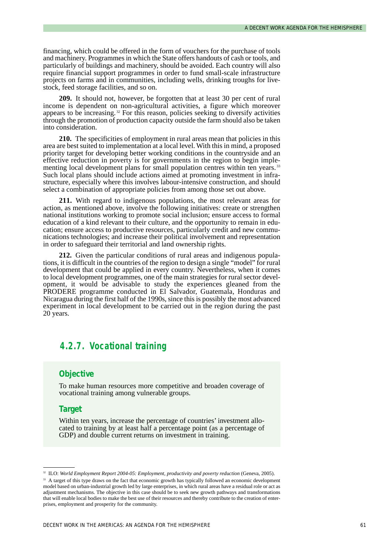financing, which could be offered in the form of vouchers for the purchase of tools and machinery. Programmes in which the State offers handouts of cash or tools, and particularly of buildings and machinery, should be avoided. Each country will also require financial support programmes in order to fund small-scale infrastructure projects on farms and in communities, including wells, drinking troughs for livestock, feed storage facilities, and so on.

**209.** It should not, however, be forgotten that at least 30 per cent of rural income is dependent on non-agricultural activities, a figure which moreover appears to be increasing. <sup>32</sup> For this reason, policies seeking to diversify activities through the promotion of production capacity outside the farm should also be taken into consideration.

**210.** The specificities of employment in rural areas mean that policies in this area are best suited to implementation at a local level. With this in mind, a proposed priority target for developing better working conditions in the countryside and an effective reduction in poverty is for governments in the region to begin implementing local development plans for small population centres within ten years.<sup>33</sup> Such local plans should include actions aimed at promoting investment in infrastructure, especially where this involves labour-intensive construction, and should select a combination of appropriate policies from among those set out above.

**211.** With regard to indigenous populations, the most relevant areas for action, as mentioned above, involve the following initiatives: create or strengthen national institutions working to promote social inclusion; ensure access to formal education of a kind relevant to their culture, and the opportunity to remain in education; ensure access to productive resources, particularly credit and new communications technologies; and increase their political involvement and representation in order to safeguard their territorial and land ownership rights.

**212.** Given the particular conditions of rural areas and indigenous populations, it is difficult in the countries of the region to design a single "model" for rural development that could be applied in every country. Nevertheless, when it comes to local development programmes, one of the main strategies for rural sector development, it would be advisable to study the experiences gleaned from the PRODERE programme conducted in El Salvador, Guatemala, Honduras and Nicaragua during the first half of the 1990s, since this is possibly the most advanced experiment in local development to be carried out in the region during the past 20 years.

# *4.2.7. Vocational training*

# **Objective**

To make human resources more competitive and broaden coverage of vocational training among vulnerable groups.

# **Target**

Within ten years, increase the percentage of countries' investment allocated to training by at least half a percentage point (as a percentage of GDP) and double current returns on investment in training.

<sup>&</sup>lt;sup>32</sup> ILO: *World Employment Report 2004-05: Employment, productivity and poverty reduction* (Geneva, 2005).

<sup>&</sup>lt;sup>33</sup> A target of this type draws on the fact that economic growth has typically followed an economic development model based on urban-industrial growth led by large enterprises, in which rural areas have a residual role or act as adjustment mechanisms. The objective in this case should be to seek new growth pathways and transformations that will enable local bodies to make the best use of their resources and thereby contribute to the creation of enterprises, employment and prosperity for the community.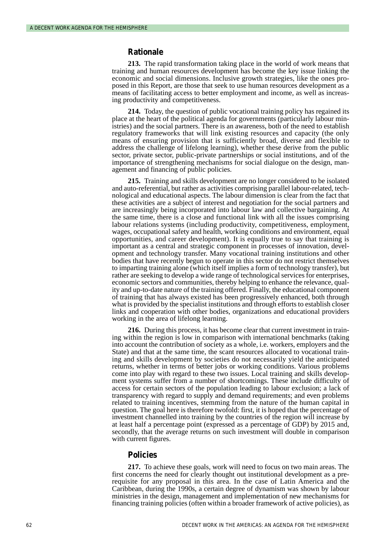#### **Rationale**

**213.** The rapid transformation taking place in the world of work means that training and human resources development has become the key issue linking the economic and social dimensions. Inclusive growth strategies, like the ones proposed in this Report, are those that seek to use human resources development as a means of facilitating access to better employment and income, as well as increasing productivity and competitiveness.

**214.** Today, the question of public vocational training policy has regained its place at the heart of the political agenda for governments (particularly labour ministries) and the social partners. There is an awareness, both of the need to establish regulatory frameworks that will link existing resources and capacity (the only means of ensuring provision that is sufficiently broad, diverse and flexible to address the challenge of lifelong learning), whether these derive from the public sector, private sector, public-private partnerships or social institutions, and of the importance of strengthening mechanisms for social dialogue on the design, management and financing of public policies.

**215.** Training and skills development are no longer considered to be isolated and auto-referential, but rather as activities comprising parallel labour-related, technological and educational aspects. The labour dimension is clear from the fact that these activities are a subject of interest and negotiation for the social partners and are increasingly being incorporated into labour law and collective bargaining. At the same time, there is a close and functional link with all the issues comprising labour relations systems (including productivity, competitiveness, employment, wages, occupational safety and health, working conditions and environment, equal opportunities, and career development). It is equally true to say that training is important as a central and strategic component in processes of innovation, development and technology transfer. Many vocational training institutions and other bodies that have recently begun to operate in this sector do not restrict themselves to imparting training alone (which itself implies a form of technology transfer), but rather are seeking to develop a wide range of technological services for enterprises, economic sectors and communities, thereby helping to enhance the relevance, quality and up-to-date nature of the training offered. Finally, the educational component of training that has always existed has been progressively enhanced, both through what is provided by the specialist institutions and through efforts to establish closer links and cooperation with other bodies, organizations and educational providers working in the area of lifelong learning.

**216.** During this process, it has become clear that current investment in training within the region is low in comparison with international benchmarks (taking into account the contribution of society as a whole, i.e. workers, employers and the State) and that at the same time, the scant resources allocated to vocational training and skills development by societies do not necessarily yield the anticipated returns, whether in terms of better jobs or working conditions. Various problems come into play with regard to these two issues. Local training and skills development systems suffer from a number of shortcomings. These include difficulty of access for certain sectors of the population leading to labour exclusion; a lack of transparency with regard to supply and demand requirements; and even problems related to training incentives, stemming from the nature of the human capital in question. The goal here is therefore twofold: first, it is hoped that the percentage of investment channelled into training by the countries of the region will increase by at least half a percentage point (expressed as a percentage of GDP) by 2015 and, secondly, that the average returns on such investment will double in comparison with current figures.

#### **Policies**

**217.** To achieve these goals, work will need to focus on two main areas. The first concerns the need for clearly thought out institutional development as a prerequisite for any proposal in this area. In the case of Latin America and the Caribbean, during the 1990s, a certain degree of dynamism was shown by labour ministries in the design, management and implementation of new mechanisms for financing training policies (often within a broader framework of active policies), as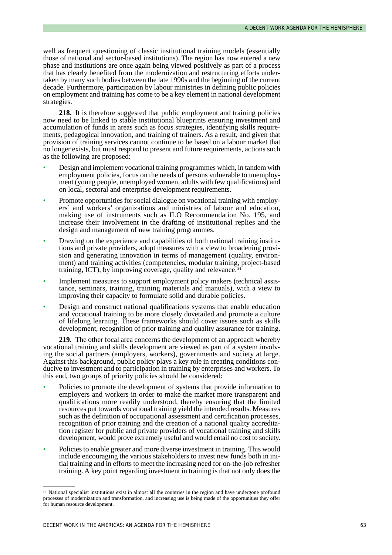well as frequent questioning of classic institutional training models (essentially those of national and sector-based institutions). The region has now entered a new phase and institutions are once again being viewed positively as part of a process that has clearly benefited from the modernization and restructuring efforts undertaken by many such bodies between the late 1990s and the beginning of the current decade. Furthermore, participation by labour ministries in defining public policies on employment and training has come to be a key element in national development strategies.

**218.** It is therefore suggested that public employment and training policies now need to be linked to stable institutional blueprints ensuring investment and accumulation of funds in areas such as focus strategies, identifying skills requirements, pedagogical innovation, and training of trainers. As a result, and given that provision of training services cannot continue to be based on a labour market that no longer exists, but must respond to present and future requirements, actions such as the following are proposed:

- Design and implement vocational training programmes which, in tandem with employment policies, focus on the needs of persons vulnerable to unemployment (young people, unemployed women, adults with few qualifications) and on local, sectoral and enterprise development requirements.
- Promote opportunities for social dialogue on vocational training with employers' and workers' organizations and ministries of labour and education, making use of instruments such as ILO Recommendation No. 195, and increase their involvement in the drafting of institutional replies and the design and management of new training programmes.
- Drawing on the experience and capabilities of both national training institutions and private providers, adopt measures with a view to broadening provision and generating innovation in terms of management (quality, environment) and training activities (competencies, modular training, project-based training, ICT), by improving coverage, quality and relevance.
- Implement measures to support employment policy makers (technical assistance, seminars, training, training materials and manuals), with a view to improving their capacity to formulate solid and durable policies.
- Design and construct national qualifications systems that enable education and vocational training to be more closely dovetailed and promote a culture of lifelong learning. These frameworks should cover issues such as skills development, recognition of prior training and quality assurance for training.

**219.** The other focal area concerns the development of an approach whereby vocational training and skills development are viewed as part of a system involving the social partners (employers, workers), governments and society at large. Against this background, public policy plays a key role in creating conditions conducive to investment and to participation in training by enterprises and workers. To this end, two groups of priority policies should be considered:

- Policies to promote the development of systems that provide information to employers and workers in order to make the market more transparent and qualifications more readily understood, thereby ensuring that the limited resources put towards vocational training yield the intended results. Measures such as the definition of occupational assessment and certification processes, recognition of prior training and the creation of a national quality accreditation register for public and private providers of vocational training and skills development, would prove extremely useful and would entail no cost to society.
- Policies to enable greater and more diverse investment in training. This would include encouraging the various stakeholders to invest new funds both in initial training and in efforts to meet the increasing need for on-the-job refresher training. A key point regarding investment in training is that not only does the

<sup>&</sup>lt;sup>34</sup> National specialist institutions exist in almost all the countries in the region and have undergone profound processes of modernization and transformation, and increasing use is being made of the opportunities they offer for human resource development.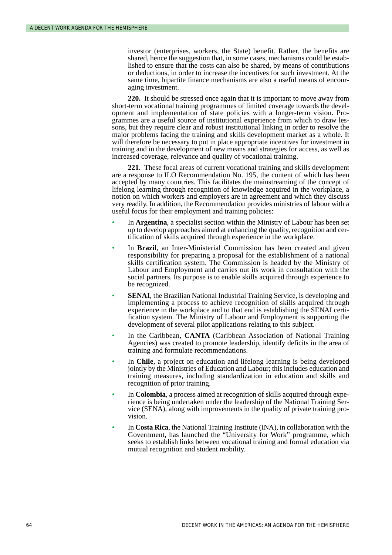investor (enterprises, workers, the State) benefit. Rather, the benefits are shared, hence the suggestion that, in some cases, mechanisms could be established to ensure that the costs can also be shared, by means of contributions or deductions, in order to increase the incentives for such investment. At the same time, bipartite finance mechanisms are also a useful means of encouraging investment.

**220.** It should be stressed once again that it is important to move away from short-term vocational training programmes of limited coverage towards the development and implementation of state policies with a longer-term vision. Programmes are a useful source of institutional experience from which to draw lessons, but they require clear and robust institutional linking in order to resolve the major problems facing the training and skills development market as a whole. It will therefore be necessary to put in place appropriate incentives for investment in training and in the development of new means and strategies for access, as well as increased coverage, relevance and quality of vocational training.

**221.** These focal areas of current vocational training and skills development are a response to ILO Recommendation No. 195, the content of which has been accepted by many countries. This facilitates the mainstreaming of the concept of lifelong learning through recognition of knowledge acquired in the workplace, a notion on which workers and employers are in agreement and which they discuss very readily. In addition, the Recommendation provides ministries of labour with a useful focus for their employment and training policies:

- In **Argentina**, a specialist section within the Ministry of Labour has been set up to develop approaches aimed at enhancing the quality, recognition and certification of skills acquired through experience in the workplace.
- In **Brazil**, an Inter-Ministerial Commission has been created and given responsibility for preparing a proposal for the establishment of a national skills certification system. The Commission is headed by the Ministry of Labour and Employment and carries out its work in consultation with the social partners. Its purpose is to enable skills acquired through experience to be recognized.
- **SENAI**, the Brazilian National Industrial Training Service, is developing and implementing a process to achieve recognition of skills acquired through experience in the workplace and to that end is establishing the SENAI certification system. The Ministry of Labour and Employment is supporting the development of several pilot applications relating to this subject.
- In the Caribbean, **CANTA** (Caribbean Association of National Training Agencies) was created to promote leadership, identify deficits in the area of training and formulate recommendations.
- In **Chile**, a project on education and lifelong learning is being developed jointly by the Ministries of Education and Labour; this includes education and training measures, including standardization in education and skills and recognition of prior training.
- In **Colombia**, a process aimed at recognition of skills acquired through experience is being undertaken under the leadership of the National Training Service (SENA), along with improvements in the quality of private training provision.
- In **Costa Rica**, the National Training Institute (INA), in collaboration with the Government, has launched the "University for Work" programme, which seeks to establish links between vocational training and formal education via mutual recognition and student mobility.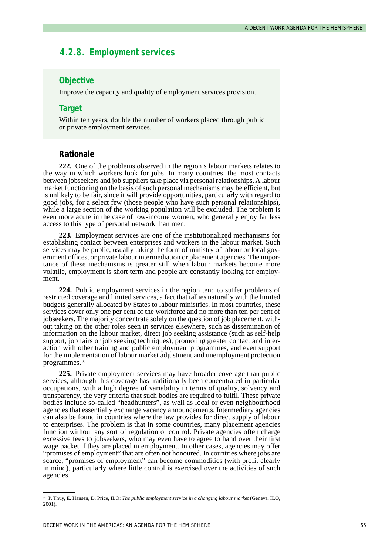# *4.2.8. Employment services*

# **Objective**

Improve the capacity and quality of employment services provision.

### **Target**

Within ten years, double the number of workers placed through public or private employment services.

### **Rationale**

**222.** One of the problems observed in the region's labour markets relates to the way in which workers look for jobs. In many countries, the most contacts between jobseekers and job suppliers take place via personal relationships. A labour market functioning on the basis of such personal mechanisms may be efficient, but is unlikely to be fair, since it will provide opportunities, particularly with regard to good jobs, for a select few (those people who have such personal relationships), while a large section of the working population will be excluded. The problem is even more acute in the case of low-income women, who generally enjoy far less access to this type of personal network than men.

**223.** Employment services are one of the institutionalized mechanisms for establishing contact between enterprises and workers in the labour market. Such services may be public, usually taking the form of ministry of labour or local government offices, or private labour intermediation or placement agencies. The importance of these mechanisms is greater still when labour markets become more volatile, employment is short term and people are constantly looking for employment.

**224.** Public employment services in the region tend to suffer problems of restricted coverage and limited services, a fact that tallies naturally with the limited budgets generally allocated by States to labour ministries. In most countries, these services cover only one per cent of the workforce and no more than ten per cent of jobseekers. The majority concentrate solely on the question of job placement, without taking on the other roles seen in services elsewhere, such as dissemination of information on the labour market, direct job seeking assistance (such as self-help support, job fairs or job seeking techniques), promoting greater contact and interaction with other training and public employment programmes, and even support for the implementation of labour market adjustment and unemployment protection programmes.<sup>35</sup>

**225.** Private employment services may have broader coverage than public services, although this coverage has traditionally been concentrated in particular occupations, with a high degree of variability in terms of quality, solvency and transparency, the very criteria that such bodies are required to fulfil. These private bodies include so-called "headhunters", as well as local or even neighbourhood agencies that essentially exchange vacancy announcements. Intermediary agencies can also be found in countries where the law provides for direct supply of labour to enterprises. The problem is that in some countries, many placement agencies function without any sort of regulation or control. Private agencies often charge excessive fees to jobseekers, who may even have to agree to hand over their first wage packet if they are placed in employment. In other cases, agencies may offer "promises of employment" that are often not honoured. In countries where jobs are scarce, "promises of employment" can become commodities (with profit clearly in mind), particularly where little control is exercised over the activities of such agencies.

<sup>35</sup> P. Thuy, E. Hansen, D. Price, ILO: *The public employment service in a changing labour market* (Geneva, ILO, 2001).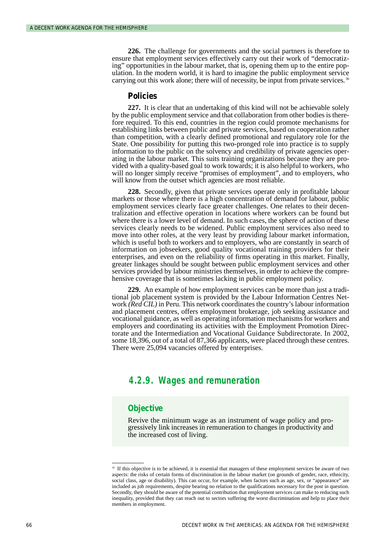**226.** The challenge for governments and the social partners is therefore to ensure that employment services effectively carry out their work of "democratizing" opportunities in the labour market, that is, opening them up to the entire population. In the modern world, it is hard to imagine the public employment service carrying out this work alone; there will of necessity, be input from private services.<sup>36</sup>

#### **Policies**

**227.** It is clear that an undertaking of this kind will not be achievable solely by the public employment service and that collaboration from other bodies is therefore required. To this end, countries in the region could promote mechanisms for establishing links between public and private services, based on cooperation rather than competition, with a clearly defined promotional and regulatory role for the State. One possibility for putting this two-pronged role into practice is to supply information to the public on the solvency and credibility of private agencies operating in the labour market. This suits training organizations because they are provided with a quality-based goal to work towards; it is also helpful to workers, who will no longer simply receive "promises of employment", and to employers, who will know from the outset which agencies are most reliable.

**228.** Secondly, given that private services operate only in profitable labour markets or those where there is a high concentration of demand for labour, public employment services clearly face greater challenges. One relates to their decentralization and effective operation in locations where workers can be found but where there is a lower level of demand. In such cases, the sphere of action of these services clearly needs to be widened. Public employment services also need to move into other roles, at the very least by providing labour market information, which is useful both to workers and to employers, who are constantly in search of information on jobseekers, good quality vocational training providers for their enterprises, and even on the reliability of firms operating in this market. Finally, greater linkages should be sought between public employment services and other services provided by labour ministries themselves, in order to achieve the comprehensive coverage that is sometimes lacking in public employment policy.

**229.** An example of how employment services can be more than just a traditional job placement system is provided by the Labour Information Centres Network *(Red CIL)* in Peru. This network coordinates the country's labour information and placement centres, offers employment brokerage, job seeking assistance and vocational guidance, as well as operating information mechanisms for workers and employers and coordinating its activities with the Employment Promotion Directorate and the Intermediation and Vocational Guidance Subdirectorate. In 2002, some 18,396, out of a total of 87,366 applicants, were placed through these centres. There were 25,094 vacancies offered by enterprises.

# *4.2.9. Wages and remuneration*

#### **Objective**

Revive the minimum wage as an instrument of wage policy and progressively link increases in remuneration to changes in productivity and the increased cost of living.

<sup>&</sup>lt;sup>36</sup> If this objective is to be achieved, it is essential that managers of these employment services be aware of two aspects: the risks of certain forms of discrimination in the labour market (on grounds of gender, race, ethnicity, social class, age or disability). This can occur, for example, when factors such as age, sex, or "appearance" are included as job requirements, despite bearing no relation to the qualifications necessary for the post in question. Secondly, they should be aware of the potential contribution that employment services can make to reducing such inequality, provided that they can reach out to sectors suffering the worst discrimination and help to place their members in employment.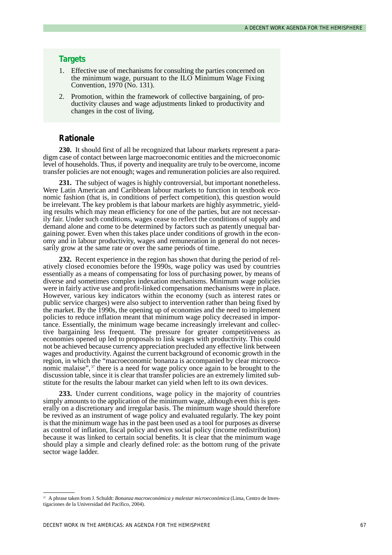#### **Targets**

- 1. Effective use of mechanisms for consulting the parties concerned on the minimum wage, pursuant to the ILO Minimum Wage Fixing Convention, 1970 (No. 131).
- 2. Promotion, within the framework of collective bargaining, of productivity clauses and wage adjustments linked to productivity and changes in the cost of living.

#### **Rationale**

**230.** It should first of all be recognized that labour markets represent a paradigm case of contact between large macroeconomic entities and the microeconomic level of households. Thus, if poverty and inequality are truly to be overcome, income transfer policies are not enough; wages and remuneration policies are also required.

**231.** The subject of wages is highly controversial, but important nonetheless. Were Latin American and Caribbean labour markets to function in textbook economic fashion (that is, in conditions of perfect competition), this question would be irrelevant. The key problem is that labour markets are highly asymmetric, yielding results which may mean efficiency for one of the parties, but are not necessarily fair. Under such conditions, wages cease to reflect the conditions of supply and demand alone and come to be determined by factors such as patently unequal bargaining power. Even when this takes place under conditions of growth in the economy and in labour productivity, wages and remuneration in general do not necessarily grow at the same rate or over the same periods of time.

**232.** Recent experience in the region has shown that during the period of relatively closed economies before the 1990s, wage policy was used by countries essentially as a means of compensating for loss of purchasing power, by means of diverse and sometimes complex indexation mechanisms. Minimum wage policies were in fairly active use and profit-linked compensation mechanisms were in place. However, various key indicators within the economy (such as interest rates or public service charges) were also subject to intervention rather than being fixed by the market. By the 1990s, the opening up of economies and the need to implement policies to reduce inflation meant that minimum wage policy decreased in importance. Essentially, the minimum wage became increasingly irrelevant and collective bargaining less frequent. The pressure for greater competitiveness as economies opened up led to proposals to link wages with productivity. This could not be achieved because currency appreciation precluded any effective link between wages and productivity. Against the current background of economic growth in the region, in which the "macroeconomic bonanza is accompanied by clear microeconomic malaise",<sup>37</sup> there is a need for wage policy once again to be brought to the discussion table, since it is clear that transfer policies are an extremely limited substitute for the results the labour market can yield when left to its own devices.

**233.** Under current conditions, wage policy in the majority of countries simply amounts to the application of the minimum wage, although even this is generally on a discretionary and irregular basis. The minimum wage should therefore be revived as an instrument of wage policy and evaluated regularly. The key point is that the minimum wage has in the past been used as a tool for purposes as diverse as control of inflation, fiscal policy and even social policy (income redistribution) because it was linked to certain social benefits. It is clear that the minimum wage should play a simple and clearly defined role: as the bottom rung of the private sector wage ladder.

<sup>37</sup> A phrase taken from J. Schuldt: *Bonanza macroeconómica y malestar microeconómica* (Lima, Centro de Investigaciones de la Universidad del Pacífico, 2004).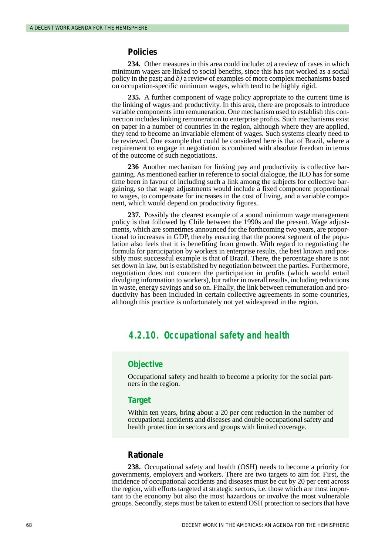#### **Policies**

**234.** Other measures in this area could include: *a)* a review of cases in which minimum wages are linked to social benefits, since this has not worked as a social policy in the past; and *b)* a review of examples of more complex mechanisms based on occupation-specific minimum wages, which tend to be highly rigid.

**235.** A further component of wage policy appropriate to the current time is the linking of wages and productivity. In this area, there are proposals to introduce variable components into remuneration. One mechanism used to establish this connection includes linking remuneration to enterprise profits. Such mechanisms exist on paper in a number of countries in the region, although where they are applied, they tend to become an invariable element of wages. Such systems clearly need to be reviewed. One example that could be considered here is that of Brazil, where a requirement to engage in negotiation is combined with absolute freedom in terms of the outcome of such negotiations.

**236** Another mechanism for linking pay and productivity is collective bargaining. As mentioned earlier in reference to social dialogue, the ILO has for some time been in favour of including such a link among the subjects for collective bargaining, so that wage adjustments would include a fixed component proportional to wages, to compensate for increases in the cost of living, and a variable component, which would depend on productivity figures.

**237.** Possibly the clearest example of a sound minimum wage management policy is that followed by Chile between the 1990s and the present. Wage adjustments, which are sometimes announced for the forthcoming two years, are proportional to increases in GDP, thereby ensuring that the poorest segment of the population also feels that it is benefiting from growth. With regard to negotiating the formula for participation by workers in enterprise results, the best known and possibly most successful example is that of Brazil. There, the percentage share is not set down in law, but is established by negotiation between the parties. Furthermore, negotiation does not concern the participation in profits (which would entail divulging information to workers), but rather in overall results, including reductions in waste, energy savings and so on. Finally, the link between remuneration and productivity has been included in certain collective agreements in some countries, although this practice is unfortunately not yet widespread in the region.

### *4.2.10. Occupational safety and health*

#### **Objective**

Occupational safety and health to become a priority for the social partners in the region.

#### **Target**

Within ten years, bring about a 20 per cent reduction in the number of occupational accidents and diseases and double occupational safety and health protection in sectors and groups with limited coverage.

#### **Rationale**

**238.** Occupational safety and health (OSH) needs to become a priority for governments, employers and workers. There are two targets to aim for. First, the incidence of occupational accidents and diseases must be cut by 20 per cent across the region, with efforts targeted at strategic sectors, i.e. those which are most important to the economy but also the most hazardous or involve the most vulnerable groups. Secondly, steps must be taken to extend OSH protection to sectors that have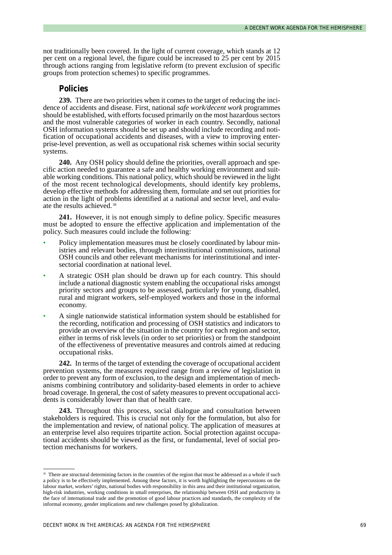not traditionally been covered. In the light of current coverage, which stands at 12 per cent on a regional level, the figure could be increased to 25 per cent by 2015 through actions ranging from legislative reform (to prevent exclusion of specific groups from protection schemes) to specific programmes.

#### **Policies**

**239.** There are two priorities when it comes to the target of reducing the incidence of accidents and disease. First, national *safe work/decent work* programmes should be established, with efforts focused primarily on the most hazardous sectors and the most vulnerable categories of worker in each country. Secondly, national OSH information systems should be set up and should include recording and notification of occupational accidents and diseases, with a view to improving enterprise-level prevention, as well as occupational risk schemes within social security systems.

**240.** Any OSH policy should define the priorities, overall approach and specific action needed to guarantee a safe and healthy working environment and suitable working conditions. This national policy, which should be reviewed in the light of the most recent technological developments, should identify key problems, develop effective methods for addressing them, formulate and set out priorities for action in the light of problems identified at a national and sector level, and evaluate the results achieved. <sup>38</sup>

**241.** However, it is not enough simply to define policy. Specific measures must be adopted to ensure the effective application and implementation of the policy. Such measures could include the following:

- Policy implementation measures must be closely coordinated by labour ministries and relevant bodies, through interinstitutional commissions, national OSH councils and other relevant mechanisms for interinstitutional and intersectorial coordination at national level.
- A strategic OSH plan should be drawn up for each country. This should include a national diagnostic system enabling the occupational risks amongst priority sectors and groups to be assessed, particularly for young, disabled, rural and migrant workers, self-employed workers and those in the informal economy.
- A single nationwide statistical information system should be established for the recording, notification and processing of OSH statistics and indicators to provide an overview of the situation in the country for each region and sector, either in terms of risk levels (in order to set priorities) or from the standpoint of the effectiveness of preventative measures and controls aimed at reducing occupational risks.

**242.** In terms of the target of extending the coverage of occupational accident prevention systems, the measures required range from a review of legislation in order to prevent any form of exclusion, to the design and implementation of mechanisms combining contributory and solidarity-based elements in order to achieve broad coverage. In general, the cost of safety measures to prevent occupational accidents is considerably lower than that of health care.

**243.** Throughout this process, social dialogue and consultation between stakeholders is required. This is crucial not only for the formulation, but also for the implementation and review, of national policy. The application of measures at an enterprise level also requires tripartite action. Social protection against occupational accidents should be viewed as the first, or fundamental, level of social protection mechanisms for workers.

<sup>&</sup>lt;sup>38</sup> There are structural determining factors in the countries of the region that must be addressed as a whole if such a policy is to be effectively implemented. Among these factors, it is worth highlighting the repercussions on the labour market, workers' rights, national bodies with responsibility in this area and their institutional organization, high-risk industries, working conditions in small enterprises, the relationship between OSH and productivity in the face of international trade and the promotion of good labour practices and standards, the complexity of the informal economy, gender implications and new challenges posed by globalization.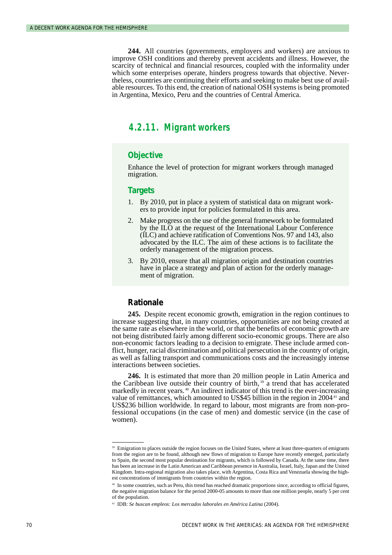**244.** All countries (governments, employers and workers) are anxious to improve OSH conditions and thereby prevent accidents and illness. However, the scarcity of technical and financial resources, coupled with the informality under which some enterprises operate, hinders progress towards that objective. Nevertheless, countries are continuing their efforts and seeking to make best use of available resources. To this end, the creation of national OSH systems is being promoted in Argentina, Mexico, Peru and the countries of Central America.

### *4.2.11. Migrant workers*

#### **Objective**

Enhance the level of protection for migrant workers through managed migration.

#### **Targets**

- 1. By 2010, put in place a system of statistical data on migrant workers to provide input for policies formulated in this area.
- 2. Make progress on the use of the general framework to be formulated by the ILO at the request of the International Labour Conference (ILC) and achieve ratification of Conventions Nos. 97 and 143, also advocated by the ILC. The aim of these actions is to facilitate the orderly management of the migration process.
- 3. By 2010, ensure that all migration origin and destination countries have in place a strategy and plan of action for the orderly management of migration.

#### **Rationale**

**245.** Despite recent economic growth, emigration in the region continues to increase suggesting that, in many countries, opportunities are not being created at the same rate as elsewhere in the world, or that the benefits of economic growth are not being distributed fairly among different socio-economic groups. There are also non-economic factors leading to a decision to emigrate. These include armed conflict, hunger, racial discrimination and political persecution in the country of origin, as well as falling transport and communications costs and the increasingly intense interactions between societies.

**246.** It is estimated that more than 20 million people in Latin America and the Caribbean live outside their country of birth,  $39^{\circ}$  a trend that has accelerated markedly in recent years.<sup>40</sup> An indirect indicator of this trend is the ever-increasing value of remittances, which amounted to US\$45 billion in the region in 2004<sup>41</sup> and US\$236 billion worldwide. In regard to labour, most migrants are from non-professional occupations (in the case of men) and domestic service (in the case of women).

<sup>&</sup>lt;sup>39</sup> Emigration to places outside the region focuses on the United States, where at least three-quarters of emigrants from the region are to be found, although new flows of migration to Europe have recently emerged, particularly to Spain, the second most popular destination for migrants, which is followed by Canada. At the same time, there has been an increase in the Latin American and Caribbean presence in Australia, Israel, Italy, Japan and the United Kingdom. Intra-regional migration also takes place, with Argentina, Costa Rica and Venezuela showing the highest concentrations of immigrants from countries within the region.

<sup>40</sup> In some countries, such as Peru, this trend has reached dramatic proportions since, according to official figures, the negative migration balance for the period 2000-05 amounts to more than one million people, nearly 5 per cent of the population.

<sup>41</sup> IDB: *Se buscan empleos: Los mercados laborales en América Latina* (2004).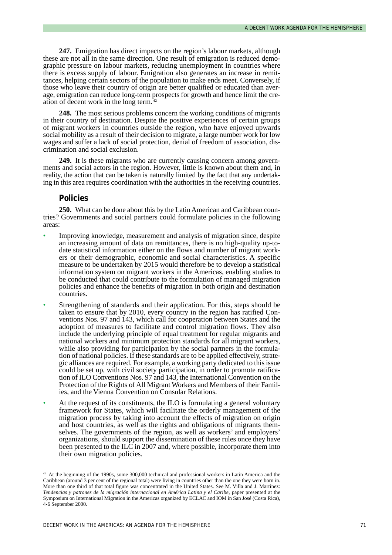**247.** Emigration has direct impacts on the region's labour markets, although these are not all in the same direction. One result of emigration is reduced demographic pressure on labour markets, reducing unemployment in countries where there is excess supply of labour. Emigration also generates an increase in remittances, helping certain sectors of the population to make ends meet. Conversely, if those who leave their country of origin are better qualified or educated than average, emigration can reduce long-term prospects for growth and hence limit the creation of decent work in the long term. <sup>42</sup>

**248.** The most serious problems concern the working conditions of migrants in their country of destination. Despite the positive experiences of certain groups of migrant workers in countries outside the region, who have enjoyed upwards social mobility as a result of their decision to migrate, a large number work for low wages and suffer a lack of social protection, denial of freedom of association, discrimination and social exclusion.

**249.** It is these migrants who are currently causing concern among governments and social actors in the region. However, little is known about them and, in reality, the action that can be taken is naturally limited by the fact that any undertaking in this area requires coordination with the authorities in the receiving countries.

#### **Policies**

**250.** What can be done about this by the Latin American and Caribbean countries? Governments and social partners could formulate policies in the following areas:

- Improving knowledge, measurement and analysis of migration since, despite an increasing amount of data on remittances, there is no high-quality up-todate statistical information either on the flows and number of migrant workers or their demographic, economic and social characteristics. A specific measure to be undertaken by 2015 would therefore be to develop a statistical information system on migrant workers in the Americas, enabling studies to be conducted that could contribute to the formulation of managed migration policies and enhance the benefits of migration in both origin and destination countries.
- Strengthening of standards and their application. For this, steps should be taken to ensure that by 2010, every country in the region has ratified Conventions Nos. 97 and 143, which call for cooperation between States and the adoption of measures to facilitate and control migration flows. They also include the underlying principle of equal treatment for regular migrants and national workers and minimum protection standards for all migrant workers, while also providing for participation by the social partners in the formulation of national policies. If these standards are to be applied effectively, strategic alliances are required. For example, a working party dedicated to this issue could be set up, with civil society participation, in order to promote ratification of ILO Conventions Nos. 97 and 143, the International Convention on the Protection of the Rights of All Migrant Workers and Members of their Families, and the Vienna Convention on Consular Relations.
- At the request of its constituents, the ILO is formulating a general voluntary framework for States, which will facilitate the orderly management of the migration process by taking into account the effects of migration on origin and host countries, as well as the rights and obligations of migrants themselves. The governments of the region, as well as workers' and employers' organizations, should support the dissemination of these rules once they have been presented to the ILC in 2007 and, where possible, incorporate them into their own migration policies.

<sup>42</sup> At the beginning of the 1990s, some 300,000 technical and professional workers in Latin America and the Caribbean (around 3 per cent of the regional total) were living in countries other than the one they were born in. More than one third of that total figure was concentrated in the United States. See M. Villa and J. Martínez: *Tendencias y patrones de la migración internacional en América Latina y el Caribe*, paper presented at the Symposium on International Migration in the Americas organized by ECLAC and IOM in San José (Costa Rica), 4-6 September 2000.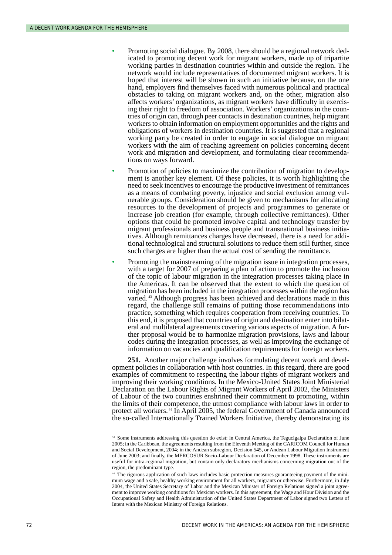- Promoting social dialogue. By 2008, there should be a regional network dedicated to promoting decent work for migrant workers, made up of tripartite working parties in destination countries within and outside the region. The network would include representatives of documented migrant workers. It is hoped that interest will be shown in such an initiative because, on the one hand, employers find themselves faced with numerous political and practical obstacles to taking on migrant workers and, on the other, migration also affects workers' organizations, as migrant workers have difficulty in exercising their right to freedom of association. Workers' organizations in the countries of origin can, through peer contacts in destination countries, help migrant workers to obtain information on employment opportunities and the rights and obligations of workers in destination countries. It is suggested that a regional working party be created in order to engage in social dialogue on migrant workers with the aim of reaching agreement on policies concerning decent work and migration and development, and formulating clear recommendations on ways forward.
- Promotion of policies to maximize the contribution of migration to development is another key element. Of these policies, it is worth highlighting the need to seek incentives to encourage the productive investment of remittances as a means of combating poverty, injustice and social exclusion among vulnerable groups. Consideration should be given to mechanisms for allocating resources to the development of projects and programmes to generate or increase job creation (for example, through collective remittances). Other options that could be promoted involve capital and technology transfer by migrant professionals and business people and transnational business initiatives. Although remittances charges have decreased, there is a need for additional technological and structural solutions to reduce them still further, since such charges are higher than the actual cost of sending the remittance.
- Promoting the mainstreaming of the migration issue in integration processes, with a target for 2007 of preparing a plan of action to promote the inclusion of the topic of labour migration in the integration processes taking place in the Americas. It can be observed that the extent to which the question of migration has been included in the integration processes within the region has varied.<sup>43</sup> Although progress has been achieved and declarations made in this regard, the challenge still remains of putting those recommendations into practice, something which requires cooperation from receiving countries. To this end, it is proposed that countries of origin and destination enter into bilateral and multilateral agreements covering various aspects of migration. A further proposal would be to harmonize migration provisions, laws and labour codes during the integration processes, as well as improving the exchange of information on vacancies and qualification requirements for foreign workers.

**251.** Another major challenge involves formulating decent work and development policies in collaboration with host countries. In this regard, there are good examples of commitment to respecting the labour rights of migrant workers and improving their working conditions. In the Mexico-United States Joint Ministerial Declaration on the Labour Rights of Migrant Workers of April 2002, the Ministers of Labour of the two countries enshrined their commitment to promoting, within the limits of their competence, the utmost compliance with labour laws in order to protect all workers.<sup>44</sup> In April 2005, the federal Government of Canada announced the so-called Internationally Trained Workers Initiative, thereby demonstrating its

<sup>&</sup>lt;sup>43</sup> Some instruments addressing this question do exist: in Central America, the Tegucigalpa Declaration of June 2005; in the Caribbean, the agreements resulting from the Eleventh Meeting of the CARICOM Council for Human and Social Development, 2004; in the Andean subregion, Decision 545, or Andean Labour Migration Instrument of June 2003; and finally, the MERCOSUR Socio-Labour Declaration of December 1998. These instruments are useful for intra-regional migration, but contain only declaratory mechanisms concerning migration out of the region, the predominant type.

<sup>44</sup> The rigorous application of such laws includes basic protection measures guaranteeing payment of the minimum wage and a safe, healthy working environment for all workers, migrants or otherwise. Furthermore, in July 2004, the United States Secretary of Labor and the Mexican Minister of Foreign Relations signed a joint agreement to improve working conditions for Mexican workers. In this agreement, the Wage and Hour Division and the Occupational Safety and Health Administration of the United States Department of Labor signed two Letters of Intent with the Mexican Ministry of Foreign Relations.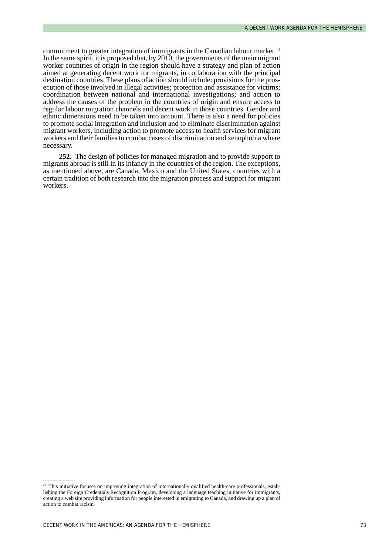commitment to greater integration of immigrants in the Canadian labour market. <sup>45</sup> In the same spirit, it is proposed that, by 2010, the governments of the main migrant worker countries of origin in the region should have a strategy and plan of action aimed at generating decent work for migrants, in collaboration with the principal destination countries. These plans of action should include: provisions for the prosecution of those involved in illegal activities; protection and assistance for victims; coordination between national and international investigations; and action to address the causes of the problem in the countries of origin and ensure access to regular labour migration channels and decent work in those countries. Gender and ethnic dimensions need to be taken into account. There is also a need for policies to promote social integration and inclusion and to eliminate discrimination against migrant workers, including action to promote access to health services for migrant workers and their families to combat cases of discrimination and xenophobia where necessary.

**252.** The design of policies for managed migration and to provide support to migrants abroad is still in its infancy in the countries of the region. The exceptions, as mentioned above, are Canada, Mexico and the United States, countries with a certain tradition of both research into the migration process and support for migrant workers.

<sup>&</sup>lt;sup>45</sup> This initiative focuses on improving integration of internationally qualified health-care professionals, establishing the Foreign Credentials Recognition Program, developing a language teaching initiative for immigrants, creating a web site providing information for people interested in emigrating to Canada, and drawing up a plan of action to combat racism.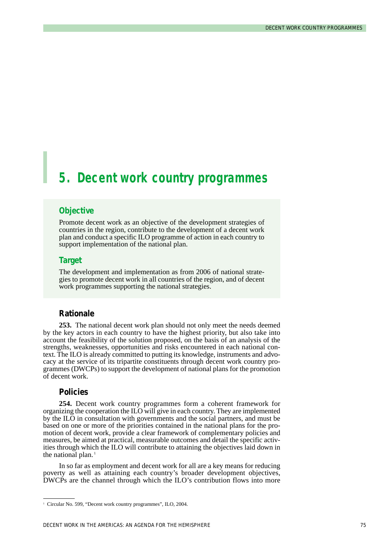# *5. Decent work country programmes*

#### **Objective**

Promote decent work as an objective of the development strategies of countries in the region, contribute to the development of a decent work plan and conduct a specific ILO programme of action in each country to support implementation of the national plan.

#### **Target**

The development and implementation as from 2006 of national strategies to promote decent work in all countries of the region, and of decent work programmes supporting the national strategies.

#### **Rationale**

**253.** The national decent work plan should not only meet the needs deemed by the key actors in each country to have the highest priority, but also take into account the feasibility of the solution proposed, on the basis of an analysis of the strengths, weaknesses, opportunities and risks encountered in each national context. The ILO is already committed to putting its knowledge, instruments and advocacy at the service of its tripartite constituents through decent work country programmes (DWCPs) to support the development of national plans for the promotion of decent work.

#### **Policies**

**254.** Decent work country programmes form a coherent framework for organizing the cooperation the ILO will give in each country. They are implemented by the ILO in consultation with governments and the social partners, and must be based on one or more of the priorities contained in the national plans for the promotion of decent work, provide a clear framework of complementary policies and measures, be aimed at practical, measurable outcomes and detail the specific activities through which the ILO will contribute to attaining the objectives laid down in the national plan. $<sup>1</sup>$ </sup>

In so far as employment and decent work for all are a key means for reducing poverty as well as attaining each country's broader development objectives, DWCPs are the channel through which the ILO's contribution flows into more

<sup>&</sup>lt;sup>1</sup> Circular No. 599, "Decent work country programmes", ILO, 2004.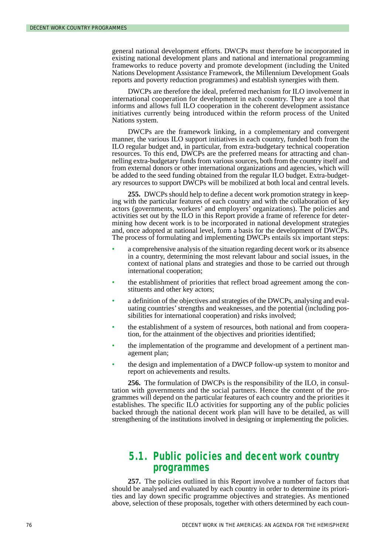general national development efforts. DWCPs must therefore be incorporated in existing national development plans and national and international programming frameworks to reduce poverty and promote development (including the United Nations Development Assistance Framework, the Millennium Development Goals reports and poverty reduction programmes) and establish synergies with them.

DWCPs are therefore the ideal, preferred mechanism for ILO involvement in international cooperation for development in each country. They are a tool that informs and allows full ILO cooperation in the coherent development assistance initiatives currently being introduced within the reform process of the United Nations system.

DWCPs are the framework linking, in a complementary and convergent manner, the various ILO support initiatives in each country, funded both from the ILO regular budget and, in particular, from extra-budgetary technical cooperation resources. To this end, DWCPs are the preferred means for attracting and channelling extra-budgetary funds from various sources, both from the country itself and from external donors or other international organizations and agencies, which will be added to the seed funding obtained from the regular ILO budget. Extra-budgetary resources to support DWCPs will be mobilized at both local and central levels.

**255.** DWCPs should help to define a decent work promotion strategy in keeping with the particular features of each country and with the collaboration of key actors (governments, workers' and employers' organizations). The policies and activities set out by the ILO in this Report provide a frame of reference for determining how decent work is to be incorporated in national development strategies and, once adopted at national level, form a basis for the development of DWCPs. The process of formulating and implementing DWCPs entails six important steps:

- a comprehensive analysis of the situation regarding decent work or its absence in a country, determining the most relevant labour and social issues, in the context of national plans and strategies and those to be carried out through international cooperation;
- the establishment of priorities that reflect broad agreement among the constituents and other key actors;
- a definition of the objectives and strategies of the DWCPs, analysing and evaluating countries' strengths and weaknesses, and the potential (including possibilities for international cooperation) and risks involved;
- the establishment of a system of resources, both national and from cooperation, for the attainment of the objectives and priorities identified;
- the implementation of the programme and development of a pertinent management plan;
- the design and implementation of a DWCP follow-up system to monitor and report on achievements and results.

**256.** The formulation of DWCPs is the responsibility of the ILO, in consultation with governments and the social partners. Hence the content of the programmes will depend on the particular features of each country and the priorities it establishes. The specific ILO activities for supporting any of the public policies backed through the national decent work plan will have to be detailed, as will strengthening of the institutions involved in designing or implementing the policies.

### *5.1. Public policies and decent work country programmes*

**257.** The policies outlined in this Report involve a number of factors that should be analysed and evaluated by each country in order to determine its priorities and lay down specific programme objectives and strategies. As mentioned above, selection of these proposals, together with others determined by each coun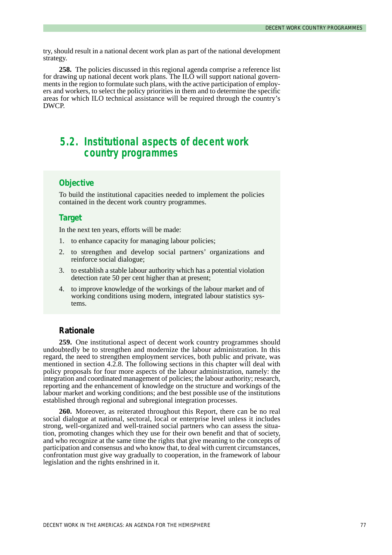try, should result in a national decent work plan as part of the national development strategy.

**258.** The policies discussed in this regional agenda comprise a reference list for drawing up national decent work plans. The  $IL\overline{O}$  will support national governments in the region to formulate such plans, with the active participation of employers and workers, to select the policy priorities in them and to determine the specific areas for which ILO technical assistance will be required through the country's DWCP.

## *5.2. Institutional aspects of decent work country programmes*

### **Objective**

To build the institutional capacities needed to implement the policies contained in the decent work country programmes.

#### **Target**

In the next ten years, efforts will be made:

- 1. to enhance capacity for managing labour policies;
- 2. to strengthen and develop social partners' organizations and reinforce social dialogue;
- 3. to establish a stable labour authority which has a potential violation detection rate 50 per cent higher than at present;
- 4. to improve knowledge of the workings of the labour market and of working conditions using modern, integrated labour statistics systems.

#### **Rationale**

**259.** One institutional aspect of decent work country programmes should undoubtedly be to strengthen and modernize the labour administration. In this regard, the need to strengthen employment services, both public and private, was mentioned in section 4.2.8. The following sections in this chapter will deal with policy proposals for four more aspects of the labour administration, namely: the integration and coordinated management of policies; the labour authority; research, reporting and the enhancement of knowledge on the structure and workings of the labour market and working conditions; and the best possible use of the institutions established through regional and subregional integration processes.

**260.** Moreover, as reiterated throughout this Report, there can be no real social dialogue at national, sectoral, local or enterprise level unless it includes strong, well-organized and well-trained social partners who can assess the situation, promoting changes which they use for their own benefit and that of society, and who recognize at the same time the rights that give meaning to the concepts of participation and consensus and who know that, to deal with current circumstances, confrontation must give way gradually to cooperation, in the framework of labour legislation and the rights enshrined in it.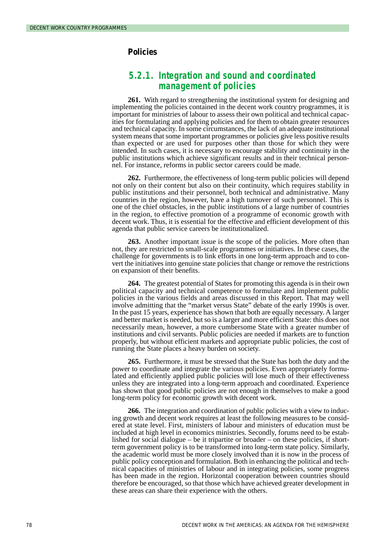#### **Policies**

### *5.2.1. Integration and sound and coordinated management of policies*

**261.** With regard to strengthening the institutional system for designing and implementing the policies contained in the decent work country programmes, it is important for ministries of labour to assess their own political and technical capacities for formulating and applying policies and for them to obtain greater resources and technical capacity. In some circumstances, the lack of an adequate institutional system means that some important programmes or policies give less positive results than expected or are used for purposes other than those for which they were intended. In such cases, it is necessary to encourage stability and continuity in the public institutions which achieve significant results and in their technical personnel. For instance, reforms in public sector careers could be made.

**262.** Furthermore, the effectiveness of long-term public policies will depend not only on their content but also on their continuity, which requires stability in public institutions and their personnel, both technical and administrative. Many countries in the region, however, have a high turnover of such personnel. This is one of the chief obstacles, in the public institutions of a large number of countries in the region, to effective promotion of a programme of economic growth with decent work. Thus, it is essential for the effective and efficient development of this agenda that public service careers be institutionalized.

**263.** Another important issue is the scope of the policies. More often than not, they are restricted to small-scale programmes or initiatives. In these cases, the challenge for governments is to link efforts in one long-term approach and to convert the initiatives into genuine state policies that change or remove the restrictions on expansion of their benefits.

**264.** The greatest potential of States for promoting this agenda is in their own political capacity and technical competence to formulate and implement public policies in the various fields and areas discussed in this Report. That may well involve admitting that the "market versus State" debate of the early 1990s is over. In the past 15 years, experience has shown that both are equally necessary. A larger and better market is needed, but so is a larger and more efficient State: this does not necessarily mean, however, a more cumbersome State with a greater number of institutions and civil servants. Public policies are needed if markets are to function properly, but without efficient markets and appropriate public policies, the cost of running the State places a heavy burden on society.

**265.** Furthermore, it must be stressed that the State has both the duty and the power to coordinate and integrate the various policies. Even appropriately formulated and efficiently applied public policies will lose much of their effectiveness unless they are integrated into a long-term approach and coordinated. Experience has shown that good public policies are not enough in themselves to make a good long-term policy for economic growth with decent work.

**266.** The integration and coordination of public policies with a view to inducing growth and decent work requires at least the following measures to be considered at state level. First, ministers of labour and ministers of education must be included at high level in economics ministries. Secondly, forums need to be established for social dialogue – be it tripartite or broader – on these policies, if shortterm government policy is to be transformed into long-term state policy. Similarly, the academic world must be more closely involved than it is now in the process of public policy conception and formulation. Both in enhancing the political and technical capacities of ministries of labour and in integrating policies, some progress has been made in the region. Horizontal cooperation between countries should therefore be encouraged, so that those which have achieved greater development in these areas can share their experience with the others.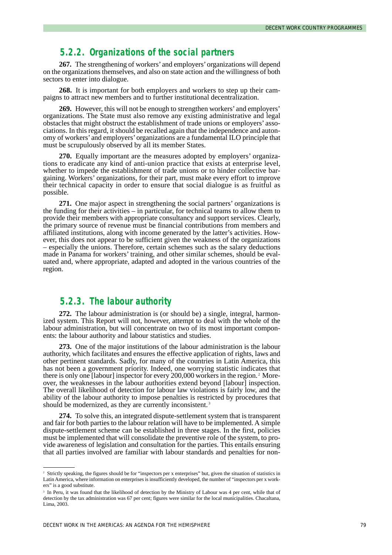### *5.2.2. Organizations of the social partners*

**267.** The strengthening of workers'and employers'organizations will depend on the organizations themselves, and also on state action and the willingness of both sectors to enter into dialogue.

**268.** It is important for both employers and workers to step up their campaigns to attract new members and to further institutional decentralization.

**269.** However, this will not be enough to strengthen workers' and employers' organizations. The State must also remove any existing administrative and legal obstacles that might obstruct the establishment of trade unions or employers' associations. In this regard, it should be recalled again that the independence and autonomy of workers'and employers'organizations are a fundamental ILO principle that must be scrupulously observed by all its member States.

**270.** Equally important are the measures adopted by employers' organizations to eradicate any kind of anti-union practice that exists at enterprise level, whether to impede the establishment of trade unions or to hinder collective bargaining. Workers' organizations, for their part, must make every effort to improve their technical capacity in order to ensure that social dialogue is as fruitful as possible.

**271.** One major aspect in strengthening the social partners' organizations is the funding for their activities – in particular, for technical teams to allow them to provide their members with appropriate consultancy and support services. Clearly, the primary source of revenue must be financial contributions from members and affiliated institutions, along with income generated by the latter's activities. However, this does not appear to be sufficient given the weakness of the organizations – especially the unions. Therefore, certain schemes such as the salary deductions made in Panama for workers' training, and other similar schemes, should be evaluated and, where appropriate, adapted and adopted in the various countries of the region.

### *5.2.3. The labour authority*

**272.** The labour administration is (or should be) a single, integral, harmonized system. This Report will not, however, attempt to deal with the whole of the labour administration, but will concentrate on two of its most important components: the labour authority and labour statistics and studies.

**273.** One of the major institutions of the labour administration is the labour authority, which facilitates and ensures the effective application of rights, laws and other pertinent standards. Sadly, for many of the countries in Latin America, this has not been a government priority. Indeed, one worrying statistic indicates that there is only one [labour] inspector for every 200,000 workers in the region. <sup>2</sup> Moreover, the weaknesses in the labour authorities extend beyond [labour] inspection. The overall likelihood of detection for labour law violations is fairly low, and the ability of the labour authority to impose penalties is restricted by procedures that should be modernized, as they are currently inconsistent.<sup>3</sup>

**274.** To solve this, an integrated dispute-settlement system that is transparent and fair for both parties to the labour relation will have to be implemented. A simple dispute-settlement scheme can be established in three stages. In the first, policies must be implemented that will consolidate the preventive role of the system, to provide awareness of legislation and consultation for the parties. This entails ensuring that all parties involved are familiar with labour standards and penalties for non-

<sup>&</sup>lt;sup>2</sup> Strictly speaking, the figures should be for "inspectors per x enterprises" but, given the situation of statistics in Latin America, where information on enterprises is insufficiently developed, the number of "inspectors per x workers" is a good substitute.

<sup>&</sup>lt;sup>3</sup> In Peru, it was found that the likelihood of detection by the Ministry of Labour was 4 per cent, while that of detection by the tax administration was 67 per cent; figures were similar for the local municipalities. Chacaltana, Lima, 2003.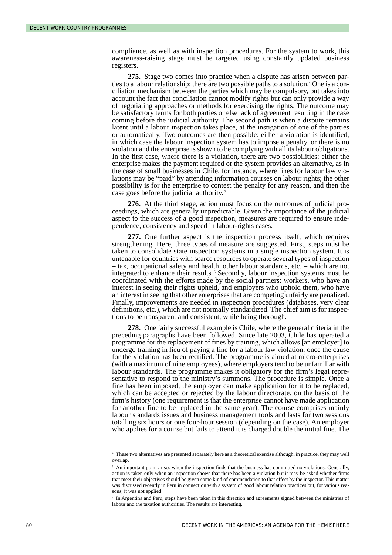compliance, as well as with inspection procedures. For the system to work, this awareness-raising stage must be targeted using constantly updated business registers.

**275.** Stage two comes into practice when a dispute has arisen between parties to a labour relationship: there are two possible paths to a solution.<sup>4</sup> One is a conciliation mechanism between the parties which may be compulsory, but takes into account the fact that conciliation cannot modify rights but can only provide a way of negotiating approaches or methods for exercising the rights. The outcome may be satisfactory terms for both parties or else lack of agreement resulting in the case coming before the judicial authority. The second path is when a dispute remains latent until a labour inspection takes place, at the instigation of one of the parties or automatically. Two outcomes are then possible: either a violation is identified, in which case the labour inspection system has to impose a penalty, or there is no violation and the enterprise is shown to be complying with all its labour obligations. In the first case, where there is a violation, there are two possibilities: either the enterprise makes the payment required or the system provides an alternative, as in the case of small businesses in Chile, for instance, where fines for labour law violations may be "paid" by attending information courses on labour rights; the other possibility is for the enterprise to contest the penalty for any reason, and then the case goes before the judicial authority.<sup>5</sup>

**276.** At the third stage, action must focus on the outcomes of judicial proceedings, which are generally unpredictable. Given the importance of the judicial aspect to the success of a good inspection, measures are required to ensure independence, consistency and speed in labour-rights cases.

**277.** One further aspect is the inspection process itself, which requires strengthening. Here, three types of measure are suggested. First, steps must be taken to consolidate state inspection systems in a single inspection system. It is untenable for countries with scarce resources to operate several types of inspection – tax, occupational safety and health, other labour standards, etc. – which are not integrated to enhance their results. <sup>6</sup> Secondly, labour inspection systems must be coordinated with the efforts made by the social partners: workers, who have an interest in seeing their rights upheld, and employers who uphold them, who have an interest in seeing that other enterprises that are competing unfairly are penalized. Finally, improvements are needed in inspection procedures (databases, very clear definitions, etc.), which are not normally standardized. The chief aim is for inspections to be transparent and consistent, while being thorough.

**278.** One fairly successful example is Chile, where the general criteria in the preceding paragraphs have been followed. Since late 2003, Chile has operated a programme for the replacement of fines by training, which allows [an employer] to undergo training in lieu of paying a fine for a labour law violation, once the cause for the violation has been rectified. The programme is aimed at micro-enterprises (with a maximum of nine employees), where employers tend to be unfamiliar with labour standards. The programme makes it obligatory for the firm's legal representative to respond to the ministry's summons. The procedure is simple. Once a fine has been imposed, the employer can make application for it to be replaced, which can be accepted or rejected by the labour directorate, on the basis of the firm's history (one requirement is that the enterprise cannot have made application for another fine to be replaced in the same year). The course comprises mainly labour standards issues and business management tools and lasts for two sessions totalling six hours or one four-hour session (depending on the case). An employer who applies for a course but fails to attend it is charged double the initial fine. The

<sup>4</sup> These two alternatives are presented separately here as a theoretical exercise although, in practice, they may well overlap.

<sup>&</sup>lt;sup>5</sup> An important point arises when the inspection finds that the business has committed no violations. Generally, action is taken only when an inspection shows that there has been a violation but it may be asked whether firms that meet their objectives should be given some kind of commendation to that effect by the inspector. This matter was discussed recently in Peru in connection with a system of good labour relation practices but, for various reasons, it was not applied.

<sup>6</sup> In Argentina and Peru, steps have been taken in this direction and agreements signed between the ministries of labour and the taxation authorities. The results are interesting.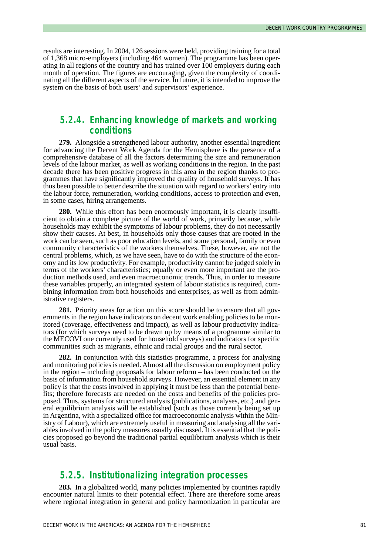results are interesting. In 2004, 126 sessions were held, providing training for a total of 1,368 micro-employers (including 464 women). The programme has been operating in all regions of the country and has trained over 100 employers during each month of operation. The figures are encouraging, given the complexity of coordinating all the different aspects of the service. In future, it is intended to improve the system on the basis of both users' and supervisors' experience.

### *5.2.4. Enhancing knowledge of markets and working conditions*

**279.** Alongside a strengthened labour authority, another essential ingredient for advancing the Decent Work Agenda for the Hemisphere is the presence of a comprehensive database of all the factors determining the size and remuneration levels of the labour market, as well as working conditions in the region. In the past decade there has been positive progress in this area in the region thanks to programmes that have significantly improved the quality of household surveys. It has thus been possible to better describe the situation with regard to workers' entry into the labour force, remuneration, working conditions, access to protection and even, in some cases, hiring arrangements.

**280.** While this effort has been enormously important, it is clearly insufficient to obtain a complete picture of the world of work, primarily because, while households may exhibit the symptoms of labour problems, they do not necessarily show their causes. At best, in households only those causes that are rooted in the work can be seen, such as poor education levels, and some personal, family or even community characteristics of the workers themselves. These, however, are not the central problems, which, as we have seen, have to do with the structure of the economy and its low productivity. For example, productivity cannot be judged solely in terms of the workers' characteristics; equally or even more important are the production methods used, and even macroeconomic trends. Thus, in order to measure these variables properly, an integrated system of labour statistics is required, combining information from both households and enterprises, as well as from administrative registers.

**281.** Priority areas for action on this score should be to ensure that all governments in the region have indicators on decent work enabling policies to be monitored (coverage, effectiveness and impact), as well as labour productivity indicators (for which surveys need to be drawn up by means of a programme similar to the MECOVI one currently used for household surveys) and indicators for specific communities such as migrants, ethnic and racial groups and the rural sector.

**282.** In conjunction with this statistics programme, a process for analysing and monitoring policies is needed. Almost all the discussion on employment policy in the region – including proposals for labour reform – has been conducted on the basis of information from household surveys. However, an essential element in any policy is that the costs involved in applying it must be less than the potential benefits; therefore forecasts are needed on the costs and benefits of the policies proposed. Thus, systems for structured analysis (publications, analyses, etc.) and general equilibrium analysis will be established (such as those currently being set up in Argentina, with a specialized office for macroeconomic analysis within the Ministry of Labour), which are extremely useful in measuring and analysing all the variables involved in the policy measures usually discussed. It is essential that the policies proposed go beyond the traditional partial equilibrium analysis which is their usual basis.

### *5.2.5. Institutionalizing integration processes*

**283.** In a globalized world, many policies implemented by countries rapidly encounter natural limits to their potential effect. There are therefore some areas where regional integration in general and policy harmonization in particular are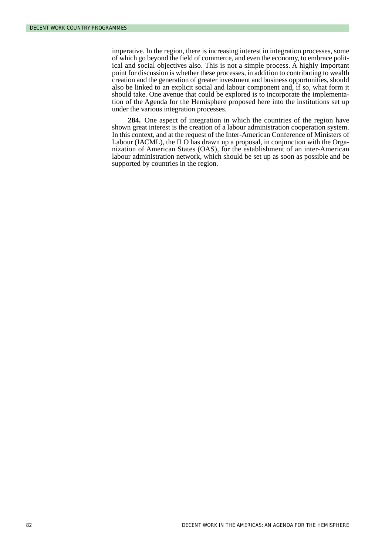imperative. In the region, there is increasing interest in integration processes, some of which go beyond the field of commerce, and even the economy, to embrace political and social objectives also. This is not a simple process. A highly important point for discussion is whether these processes, in addition to contributing to wealth creation and the generation of greater investment and business opportunities, should also be linked to an explicit social and labour component and, if so, what form it should take. One avenue that could be explored is to incorporate the implementation of the Agenda for the Hemisphere proposed here into the institutions set up under the various integration processes.

**284.** One aspect of integration in which the countries of the region have shown great interest is the creation of a labour administration cooperation system. In this context, and at the request of the Inter-American Conference of Ministers of Labour (IACML), the ILO has drawn up a proposal, in conjunction with the Organization of American States (OAS), for the establishment of an inter-American labour administration network, which should be set up as soon as possible and be supported by countries in the region.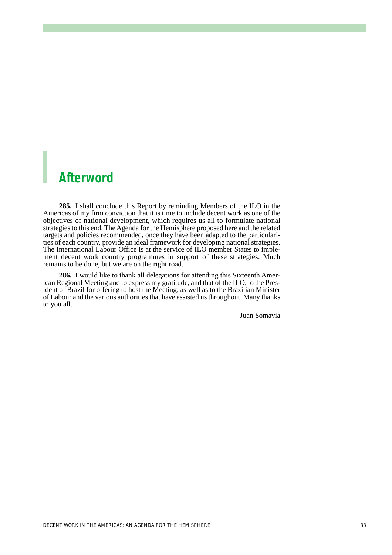# *Afterword*

**285.** I shall conclude this Report by reminding Members of the ILO in the Americas of my firm conviction that it is time to include decent work as one of the objectives of national development, which requires us all to formulate national strategies to this end. The Agenda for the Hemisphere proposed here and the related targets and policies recommended, once they have been adapted to the particularities of each country, provide an ideal framework for developing national strategies. The International Labour Office is at the service of ILO member States to implement decent work country programmes in support of these strategies. Much remains to be done, but we are on the right road.

**286.** I would like to thank all delegations for attending this Sixteenth American Regional Meeting and to express my gratitude, and that of the ILO, to the President of Brazil for offering to host the Meeting, as well as to the Brazilian Minister of Labour and the various authorities that have assisted us throughout. Many thanks to you all.

Juan Somavia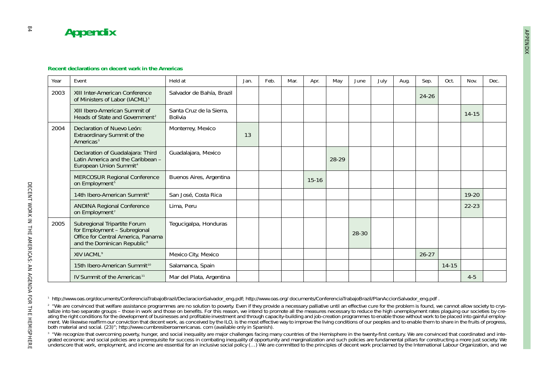| Year | Fvent                                                                                                                                         | Held at                             | Jan. | Feb. | Mar. | Apr.      | May   | June  | July | Aug. | Sep.      | Oct.      | Nov.      | Dec. |
|------|-----------------------------------------------------------------------------------------------------------------------------------------------|-------------------------------------|------|------|------|-----------|-------|-------|------|------|-----------|-----------|-----------|------|
| 2003 | XIII Inter-American Conference<br>of Ministers of Labor (IACML) <sup>1</sup>                                                                  | Salvador de Bahía, Brazil           |      |      |      |           |       |       |      |      | $24 - 26$ |           |           |      |
|      | XIII Ibero-American Summit of<br>Heads of State and Government <sup>2</sup>                                                                   | Santa Cruz de la Sierra,<br>Bolivia |      |      |      |           |       |       |      |      |           |           | $14 - 15$ |      |
| 2004 | Declaration of Nuevo León:<br>Extraordinary Summit of the<br>Americas <sup>3</sup>                                                            | Monterrey, Mexico                   | 13   |      |      |           |       |       |      |      |           |           |           |      |
|      | Declaration of Guadalajara: Third<br>Latin America and the Caribbean -<br>European Union Summit <sup>4</sup>                                  | Guadalajara, Mexico                 |      |      |      |           | 28-29 |       |      |      |           |           |           |      |
|      | MERCOSUR Regional Conference<br>on Employment <sup>5</sup>                                                                                    | Buenos Aires, Argentina             |      |      |      | $15 - 16$ |       |       |      |      |           |           |           |      |
|      | 14th Ibero-American Summit <sup>6</sup>                                                                                                       | San José, Costa Rica                |      |      |      |           |       |       |      |      |           |           | $19 - 20$ |      |
|      | <b>ANDINA Regional Conference</b><br>on Employment <sup>7</sup>                                                                               | Lima, Peru                          |      |      |      |           |       |       |      |      |           |           | $22 - 23$ |      |
| 2005 | Subregional Tripartite Forum<br>for Employment - Subregional<br>Office for Central America, Panama<br>and the Dominican Republic <sup>8</sup> | Tegucigalpa, Honduras               |      |      |      |           |       | 28-30 |      |      |           |           |           |      |
|      | XIV IACML <sup>9</sup>                                                                                                                        | Mexico City, Mexico                 |      |      |      |           |       |       |      |      | $26 - 27$ |           |           |      |
|      | 15th Ibero-American Summit <sup>10</sup>                                                                                                      | Salamanca, Spain                    |      |      |      |           |       |       |      |      |           | $14 - 15$ |           |      |
|      | IV Summit of the Americas <sup>11</sup>                                                                                                       | Mar del Plata, Argentina            |      |      |      |           |       |       |      |      |           |           | $4 - 5$   |      |

<sup>&</sup>lt;sup>2</sup> "We are convinced that welfare assistance programmes are no solution to poverty. Even if they provide a necessary palliative until an effective cure for the problem is found, we cannot allow society to crystallize into two separate groups – those in work and those on benefits. For this reason, we intend to promote all the measures necessary to reduce the high unemployment rates plaguing our societies by creating the right conditions for the development of businesses and profitable investment and through capacity-building and job-creation programmes to enable those without work to be placed into gainful employment. We likewise reaffirm our conviction that decent work, as conceived by the ILO, is the most effective way to improve the living conditions of our peoples and to enable them to share in the fruits of progress, both material and social. (23)"; http://www.cumbresiberoamericanas. com (available only in Spanish).